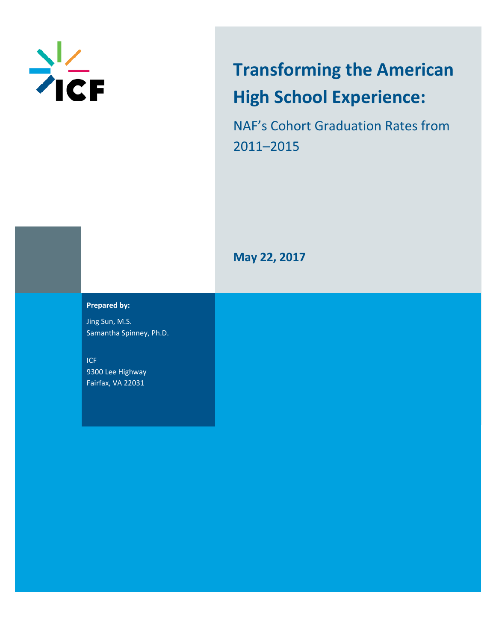

# **Transforming the American High School Experience:**

NAF's Cohort Graduation Rates from 2011–2015

**May 22, 2017**

#### **Prepared by:**

Jing Sun, M.S. Samantha Spinney, Ph.D.

ICF 9300 Lee Highway Fairfax, VA 22031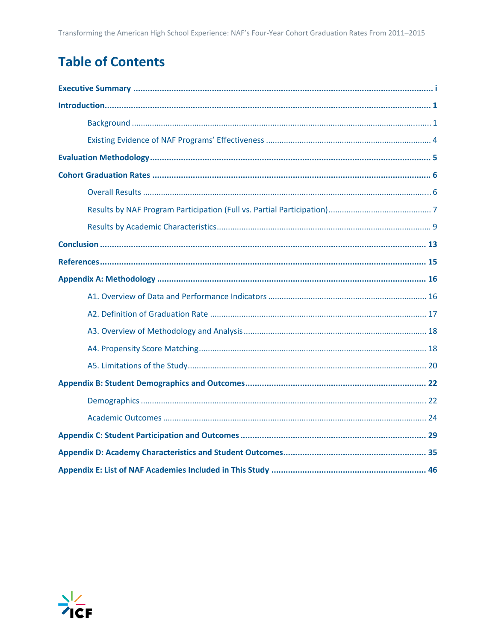# **Table of Contents**

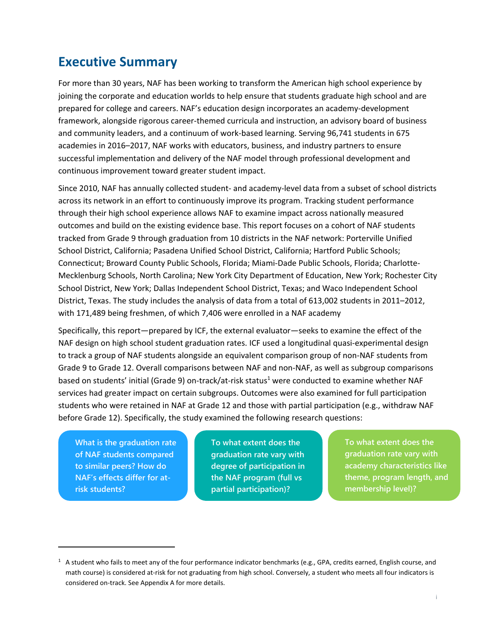# **Executive Summary**

For more than 30 years, NAF has been working to transform the American high school experience by joining the corporate and education worlds to help ensure that students graduate high school and are prepared for college and careers. NAF's education design incorporates an academy‐development framework, alongside rigorous career‐themed curricula and instruction, an advisory board of business and community leaders, and a continuum of work‐based learning. Serving 96,741 students in 675 academies in 2016–2017, NAF works with educators, business, and industry partners to ensure successful implementation and delivery of the NAF model through professional development and continuous improvement toward greater student impact.

Since 2010, NAF has annually collected student‐ and academy‐level data from a subset of school districts across its network in an effort to continuously improve its program. Tracking student performance through their high school experience allows NAF to examine impact across nationally measured outcomes and build on the existing evidence base. This report focuses on a cohort of NAF students tracked from Grade 9 through graduation from 10 districts in the NAF network: Porterville Unified School District, California; Pasadena Unified School District, California; Hartford Public Schools; Connecticut; Broward County Public Schools, Florida; Miami‐Dade Public Schools, Florida; Charlotte‐ Mecklenburg Schools, North Carolina; New York City Department of Education, New York; Rochester City School District, New York; Dallas Independent School District, Texas; and Waco Independent School District, Texas. The study includes the analysis of data from a total of 613,002 students in 2011–2012, with 171,489 being freshmen, of which 7,406 were enrolled in a NAF academy

Specifically, this report—prepared by ICF, the external evaluator—seeks to examine the effect of the NAF design on high school student graduation rates. ICF used a longitudinal quasi‐experimental design to track a group of NAF students alongside an equivalent comparison group of non‐NAF students from Grade 9 to Grade 12. Overall comparisons between NAF and non‐NAF, as well as subgroup comparisons based on students' initial (Grade 9) on-track/at-risk status<sup>1</sup> were conducted to examine whether NAF services had greater impact on certain subgroups. Outcomes were also examined for full participation students who were retained in NAF at Grade 12 and those with partial participation (e.g., withdraw NAF before Grade 12). Specifically, the study examined the following research questions:

**What is the graduation rate of NAF students compared to similar peers? How do NAF's effects differ for atrisk students?** 

**To what extent does the graduation rate vary with degree of participation in the NAF program (full vs partial participation)?** 

**To what extent does the graduation rate vary with academy characteristics like theme, program length, and membership level)?** 

 $1$  A student who fails to meet any of the four performance indicator benchmarks (e.g., GPA, credits earned, English course, and math course) is considered at‐risk for not graduating from high school. Conversely, a student who meets all four indicators is considered on‐track. See Appendix A for more details.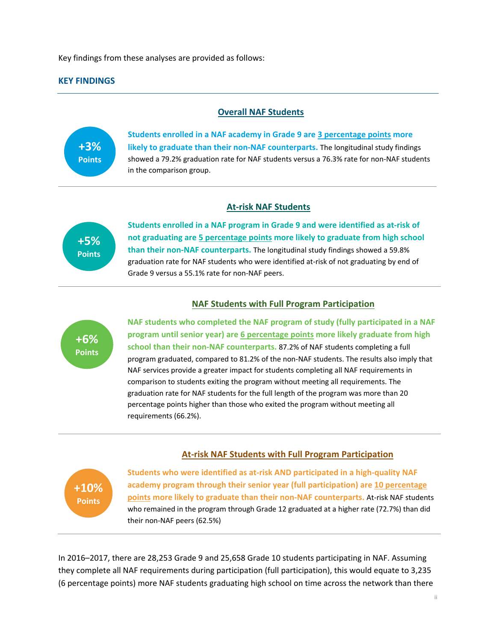Key findings from these analyses are provided as follows:

#### **KEY FINDINGS**

#### **Overall NAF Students**



**Students enrolled in a NAF academy in Grade 9 are 3 percentage points more likely to graduate than their non‐NAF counterparts.** The longitudinal study findings showed a 79.2% graduation rate for NAF students versus a 76.3% rate for non-NAF students in the comparison group.

#### **At‐risk NAF Students**

**+5% Points** **Students enrolled in a NAF program in Grade 9 and were identified as at‐risk of not graduating are 5 percentage points more likely to graduate from high school than their non‐NAF counterparts.** The longitudinal study findings showed a 59.8% graduation rate for NAF students who were identified at-risk of not graduating by end of Grade 9 versus a 55.1% rate for non‐NAF peers.

#### **NAF Students with Full Program Participation**



**NAF students who completed the NAF program of study (fully participated in a NAF program until senior year) are 6 percentage points more likely graduate from high school than their non‐NAF counterparts.** 87.2% of NAF students completing a full program graduated, compared to 81.2% of the non‐NAF students. The results also imply that NAF services provide a greater impact for students completing all NAF requirements in comparison to students exiting the program without meeting all requirements. The graduation rate for NAF students for the full length of the program was more than 20 percentage points higher than those who exited the program without meeting all requirements (66.2%).

#### **At‐risk NAF Students with Full Program Participation**



**Students who were identified as at‐risk AND participated in a high‐quality NAF academy program through their senior year (full participation) are 10 percentage points more likely to graduate than their non‐NAF counterparts.** At‐risk NAF students who remained in the program through Grade 12 graduated at a higher rate (72.7%) than did their non‐NAF peers (62.5%)

In 2016–2017, there are 28,253 Grade 9 and 25,658 Grade 10 students participating in NAF. Assuming they complete all NAF requirements during participation (full participation), this would equate to 3,235 (6 percentage points) more NAF students graduating high school on time across the network than there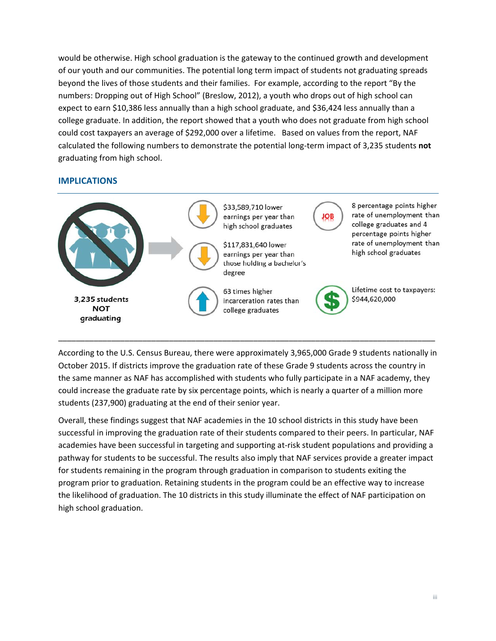would be otherwise. High school graduation is the gateway to the continued growth and development of our youth and our communities. The potential long term impact of students not graduating spreads beyond the lives of those students and their families. For example, according to the report "By the numbers: Dropping out of High School" (Breslow, 2012), a youth who drops out of high school can expect to earn \$10,386 less annually than a high school graduate, and \$36,424 less annually than a college graduate. In addition, the report showed that a youth who does not graduate from high school could cost taxpayers an average of \$292,000 over a lifetime. Based on values from the report, NAF calculated the following numbers to demonstrate the potential long‐term impact of 3,235 students **not** graduating from high school.

#### **IMPLICATIONS**



According to the U.S. Census Bureau, there were approximately 3,965,000 Grade 9 students nationally in October 2015. If districts improve the graduation rate of these Grade 9 students across the country in the same manner as NAF has accomplished with students who fully participate in a NAF academy, they could increase the graduate rate by six percentage points, which is nearly a quarter of a million more students (237,900) graduating at the end of their senior year.

Overall, these findings suggest that NAF academies in the 10 school districts in this study have been successful in improving the graduation rate of their students compared to their peers. In particular, NAF academies have been successful in targeting and supporting at-risk student populations and providing a pathway for students to be successful. The results also imply that NAF services provide a greater impact for students remaining in the program through graduation in comparison to students exiting the program prior to graduation. Retaining students in the program could be an effective way to increase the likelihood of graduation. The 10 districts in this study illuminate the effect of NAF participation on high school graduation.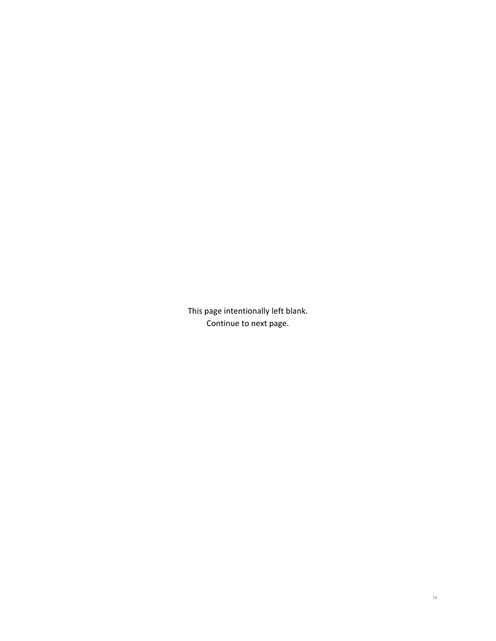This page intentionally left blank. Continue to next page.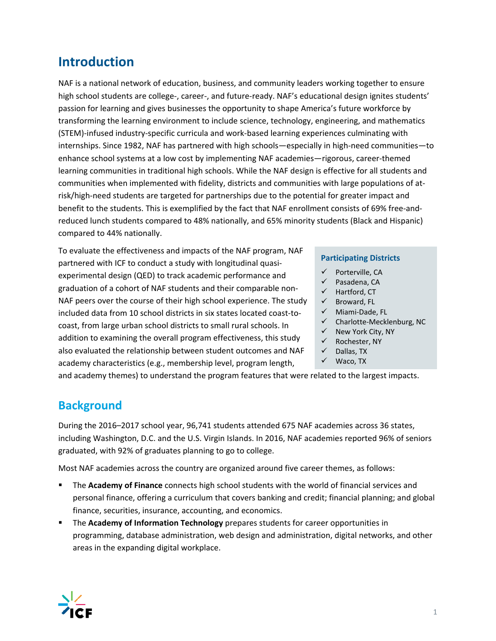# **Introduction**

NAF is a national network of education, business, and community leaders working together to ensure high school students are college-, career-, and future-ready. NAF's educational design ignites students' passion for learning and gives businesses the opportunity to shape America's future workforce by transforming the learning environment to include science, technology, engineering, and mathematics (STEM)‐infused industry‐specific curricula and work‐based learning experiences culminating with internships. Since 1982, NAF has partnered with high schools—especially in high-need communities—to enhance school systems at a low cost by implementing NAF academies—rigorous, career‐themed learning communities in traditional high schools. While the NAF design is effective for all students and communities when implemented with fidelity, districts and communities with large populations of at‐ risk/high‐need students are targeted for partnerships due to the potential for greater impact and benefit to the students. This is exemplified by the fact that NAF enrollment consists of 69% free-andreduced lunch students compared to 48% nationally, and 65% minority students (Black and Hispanic) compared to 44% nationally.

To evaluate the effectiveness and impacts of the NAF program, NAF partnered with ICF to conduct a study with longitudinal quasi‐ experimental design (QED) to track academic performance and graduation of a cohort of NAF students and their comparable non‐ NAF peers over the course of their high school experience. The study included data from 10 school districts in six states located coast‐to‐ coast, from large urban school districts to small rural schools. In addition to examining the overall program effectiveness, this study also evaluated the relationship between student outcomes and NAF academy characteristics (e.g., membership level, program length,

#### **Participating Districts**

- $\checkmark$  Porterville, CA
- $\checkmark$  Pasadena, CA
- $\checkmark$  Hartford, CT
- $\checkmark$  Broward, FL
- Miami‐Dade, FL
- Charlotte‐Mecklenburg, NC
- $\checkmark$  New York City, NY
- $\checkmark$  Rochester, NY
- $\checkmark$  Dallas, TX
- $\checkmark$  Waco, TX

and academy themes) to understand the program features that were related to the largest impacts.

# **Background**

During the 2016–2017 school year, 96,741 students attended 675 NAF academies across 36 states, including Washington, D.C. and the U.S. Virgin Islands. In 2016, NAF academies reported 96% of seniors graduated, with 92% of graduates planning to go to college.

Most NAF academies across the country are organized around five career themes, as follows:

- The **Academy of Finance** connects high school students with the world of financial services and personal finance, offering a curriculum that covers banking and credit; financial planning; and global finance, securities, insurance, accounting, and economics.
- The **Academy of Information Technology** prepares students for career opportunities in programming, database administration, web design and administration, digital networks, and other areas in the expanding digital workplace.

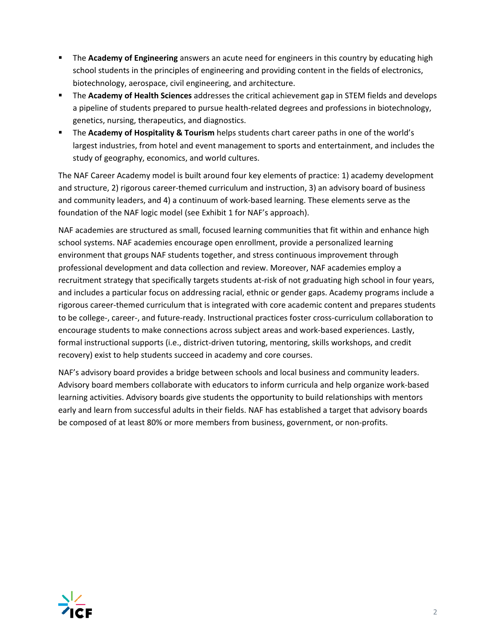- **The Academy of Engineering** answers an acute need for engineers in this country by educating high school students in the principles of engineering and providing content in the fields of electronics, biotechnology, aerospace, civil engineering, and architecture.
- The **Academy of Health Sciences** addresses the critical achievement gap in STEM fields and develops a pipeline of students prepared to pursue health-related degrees and professions in biotechnology, genetics, nursing, therapeutics, and diagnostics.
- The **Academy of Hospitality & Tourism** helps students chart career paths in one of the world's largest industries, from hotel and event management to sports and entertainment, and includes the study of geography, economics, and world cultures.

The NAF Career Academy model is built around four key elements of practice: 1) academy development and structure, 2) rigorous career-themed curriculum and instruction, 3) an advisory board of business and community leaders, and 4) a continuum of work‐based learning. These elements serve as the foundation of the NAF logic model (see Exhibit 1 for NAF's approach).

NAF academies are structured as small, focused learning communities that fit within and enhance high school systems. NAF academies encourage open enrollment, provide a personalized learning environment that groups NAF students together, and stress continuous improvement through professional development and data collection and review. Moreover, NAF academies employ a recruitment strategy that specifically targets students at-risk of not graduating high school in four years, and includes a particular focus on addressing racial, ethnic or gender gaps. Academy programs include a rigorous career‐themed curriculum that is integrated with core academic content and prepares students to be college‐, career‐, and future‐ready. Instructional practices foster cross‐curriculum collaboration to encourage students to make connections across subject areas and work‐based experiences. Lastly, formal instructional supports (i.e., district-driven tutoring, mentoring, skills workshops, and credit recovery) exist to help students succeed in academy and core courses.

NAF's advisory board provides a bridge between schools and local business and community leaders. Advisory board members collaborate with educators to inform curricula and help organize work‐based learning activities. Advisory boards give students the opportunity to build relationships with mentors early and learn from successful adults in their fields. NAF has established a target that advisory boards be composed of at least 80% or more members from business, government, or non-profits.

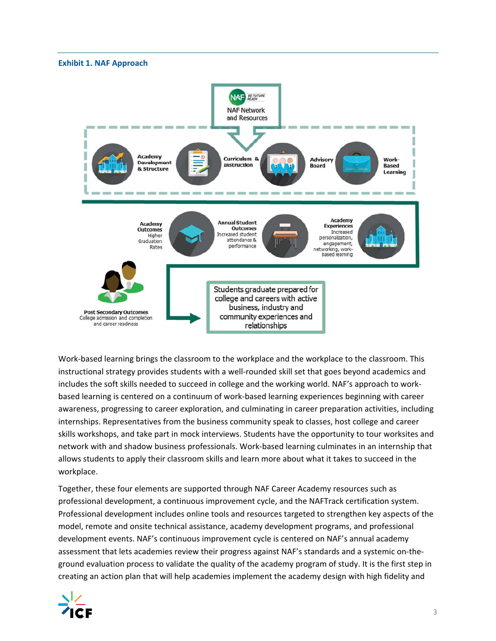#### **Exhibit 1. NAF Approach**



Work‐based learning brings the classroom to the workplace and the workplace to the classroom. This instructional strategy provides students with a well-rounded skill set that goes beyond academics and includes the soft skills needed to succeed in college and the working world. NAF's approach to work‐ based learning is centered on a continuum of work‐based learning experiences beginning with career awareness, progressing to career exploration, and culminating in career preparation activities, including internships. Representatives from the business community speak to classes, host college and career skills workshops, and take part in mock interviews. Students have the opportunity to tour worksites and network with and shadow business professionals. Work‐based learning culminates in an internship that allows students to apply their classroom skills and learn more about what it takes to succeed in the workplace.

Together, these four elements are supported through NAF Career Academy resources such as professional development, a continuous improvement cycle, and the NAFTrack certification system. Professional development includes online tools and resources targeted to strengthen key aspects of the model, remote and onsite technical assistance, academy development programs, and professional development events. NAF's continuous improvement cycle is centered on NAF's annual academy assessment that lets academies review their progress against NAF's standards and a systemic on-theground evaluation process to validate the quality of the academy program of study. It is the first step in creating an action plan that will help academies implement the academy design with high fidelity and

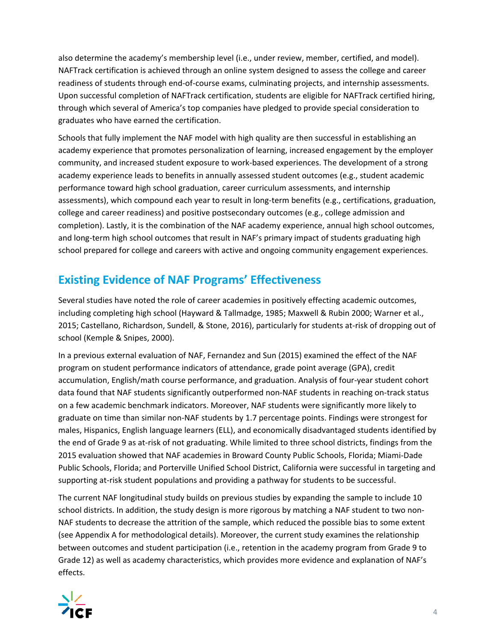also determine the academy's membership level (i.e., under review, member, certified, and model). NAFTrack certification is achieved through an online system designed to assess the college and career readiness of students through end‐of‐course exams, culminating projects, and internship assessments. Upon successful completion of NAFTrack certification, students are eligible for NAFTrack certified hiring, through which several of America's top companies have pledged to provide special consideration to graduates who have earned the certification.

Schools that fully implement the NAF model with high quality are then successful in establishing an academy experience that promotes personalization of learning, increased engagement by the employer community, and increased student exposure to work‐based experiences. The development of a strong academy experience leads to benefits in annually assessed student outcomes (e.g., student academic performance toward high school graduation, career curriculum assessments, and internship assessments), which compound each year to result in long-term benefits (e.g., certifications, graduation, college and career readiness) and positive postsecondary outcomes (e.g., college admission and completion). Lastly, it is the combination of the NAF academy experience, annual high school outcomes, and long-term high school outcomes that result in NAF's primary impact of students graduating high school prepared for college and careers with active and ongoing community engagement experiences.

# **Existing Evidence of NAF Programs' Effectiveness**

Several studies have noted the role of career academies in positively effecting academic outcomes, including completing high school (Hayward & Tallmadge, 1985; Maxwell & Rubin 2000; Warner et al., 2015; Castellano, Richardson, Sundell, & Stone, 2016), particularly for students at‐risk of dropping out of school (Kemple & Snipes, 2000).

In a previous external evaluation of NAF, Fernandez and Sun (2015) examined the effect of the NAF program on student performance indicators of attendance, grade point average (GPA), credit accumulation, English/math course performance, and graduation. Analysis of four‐year student cohort data found that NAF students significantly outperformed non‐NAF students in reaching on‐track status on a few academic benchmark indicators. Moreover, NAF students were significantly more likely to graduate on time than similar non‐NAF students by 1.7 percentage points. Findings were strongest for males, Hispanics, English language learners (ELL), and economically disadvantaged students identified by the end of Grade 9 as at-risk of not graduating. While limited to three school districts, findings from the 2015 evaluation showed that NAF academies in Broward County Public Schools, Florida; Miami‐Dade Public Schools, Florida; and Porterville Unified School District, California were successful in targeting and supporting at-risk student populations and providing a pathway for students to be successful.

The current NAF longitudinal study builds on previous studies by expanding the sample to include 10 school districts. In addition, the study design is more rigorous by matching a NAF student to two non‐ NAF students to decrease the attrition of the sample, which reduced the possible bias to some extent (see Appendix A for methodological details). Moreover, the current study examines the relationship between outcomes and student participation (i.e., retention in the academy program from Grade 9 to Grade 12) as well as academy characteristics, which provides more evidence and explanation of NAF's effects.

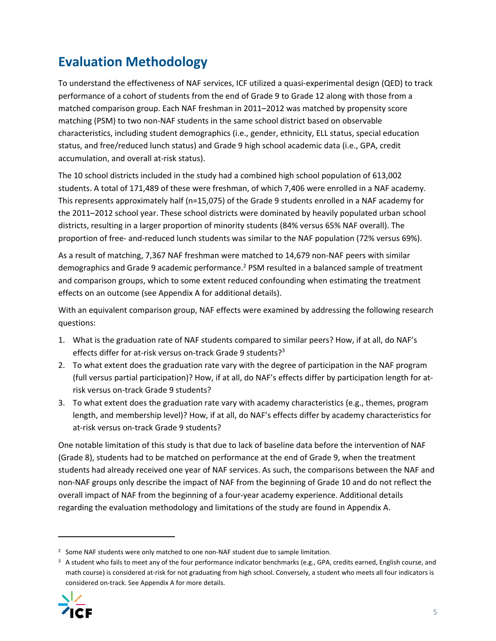# **Evaluation Methodology**

To understand the effectiveness of NAF services, ICF utilized a quasi‐experimental design (QED) to track performance of a cohort of students from the end of Grade 9 to Grade 12 along with those from a matched comparison group. Each NAF freshman in 2011–2012 was matched by propensity score matching (PSM) to two non-NAF students in the same school district based on observable characteristics, including student demographics (i.e., gender, ethnicity, ELL status, special education status, and free/reduced lunch status) and Grade 9 high school academic data (i.e., GPA, credit accumulation, and overall at‐risk status).

The 10 school districts included in the study had a combined high school population of 613,002 students. A total of 171,489 of these were freshman, of which 7,406 were enrolled in a NAF academy. This represents approximately half (n=15,075) of the Grade 9 students enrolled in a NAF academy for the 2011–2012 school year. These school districts were dominated by heavily populated urban school districts, resulting in a larger proportion of minority students (84% versus 65% NAF overall). The proportion of free- and-reduced lunch students was similar to the NAF population (72% versus 69%).

As a result of matching, 7,367 NAF freshman were matched to 14,679 non‐NAF peers with similar demographics and Grade 9 academic performance.<sup>2</sup> PSM resulted in a balanced sample of treatment and comparison groups, which to some extent reduced confounding when estimating the treatment effects on an outcome (see Appendix A for additional details).

With an equivalent comparison group, NAF effects were examined by addressing the following research questions:

- 1. What is the graduation rate of NAF students compared to similar peers? How, if at all, do NAF's effects differ for at-risk versus on-track Grade 9 students?<sup>3</sup>
- 2. To what extent does the graduation rate vary with the degree of participation in the NAF program (full versus partial participation)? How, if at all, do NAF's effects differ by participation length for at‐ risk versus on‐track Grade 9 students?
- 3. To what extent does the graduation rate vary with academy characteristics (e.g., themes, program length, and membership level)? How, if at all, do NAF's effects differ by academy characteristics for at‐risk versus on‐track Grade 9 students?

One notable limitation of this study is that due to lack of baseline data before the intervention of NAF (Grade 8), students had to be matched on performance at the end of Grade 9, when the treatment students had already received one year of NAF services. As such, the comparisons between the NAF and non‐NAF groups only describe the impact of NAF from the beginning of Grade 10 and do not reflect the overall impact of NAF from the beginning of a four‐year academy experience. Additional details regarding the evaluation methodology and limitations of the study are found in Appendix A.

 $3$  A student who fails to meet any of the four performance indicator benchmarks (e.g., GPA, credits earned, English course, and math course) is considered at‐risk for not graduating from high school. Conversely, a student who meets all four indicators is considered on‐track. See Appendix A for more details.



<sup>&</sup>lt;sup>2</sup> Some NAF students were only matched to one non-NAF student due to sample limitation.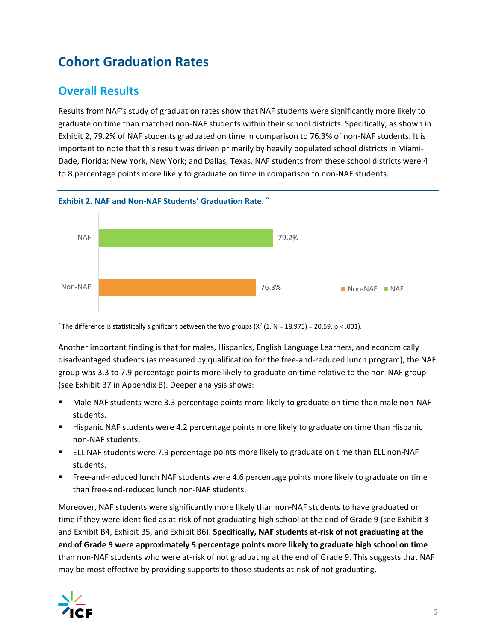# **Cohort Graduation Rates**

# **Overall Results**

Results from NAF's study of graduation rates show that NAF students were significantly more likely to graduate on time than matched non‐NAF students within their school districts. Specifically, as shown in Exhibit 2, 79.2% of NAF students graduated on time in comparison to 76.3% of non‐NAF students. It is important to note that this result was driven primarily by heavily populated school districts in Miami‐ Dade, Florida; New York, New York; and Dallas, Texas. NAF students from these school districts were 4 to 8 percentage points more likely to graduate on time in comparison to non‐NAF students.



^ The difference is statistically significant between the two groups ( $X^2$  (1, N = 18,975) = 20.59, p < .001).

Another important finding is that for males, Hispanics, English Language Learners, and economically disadvantaged students (as measured by qualification for the free-and-reduced lunch program), the NAF group was 3.3 to 7.9 percentage points more likely to graduate on time relative to the non‐NAF group (see Exhibit B7 in Appendix B). Deeper analysis shows:

- Male NAF students were 3.3 percentage points more likely to graduate on time than male non‐NAF students.
- **Hispanic NAF students were 4.2 percentage points more likely to graduate on time than Hispanic** non‐NAF students.
- ELL NAF students were 7.9 percentage points more likely to graduate on time than ELL non-NAF students.
- Free-and-reduced lunch NAF students were 4.6 percentage points more likely to graduate on time than free‐and‐reduced lunch non‐NAF students.

Moreover, NAF students were significantly more likely than non‐NAF students to have graduated on time if they were identified as at-risk of not graduating high school at the end of Grade 9 (see Exhibit 3 and Exhibit B4, Exhibit B5, and Exhibit B6). **Specifically, NAF students at‐risk of not graduating at the end of Grade 9 were approximately 5 percentage points more likely to graduate high school on time** than non‐NAF students who were at‐risk of not graduating at the end of Grade 9. This suggests that NAF may be most effective by providing supports to those students at-risk of not graduating.

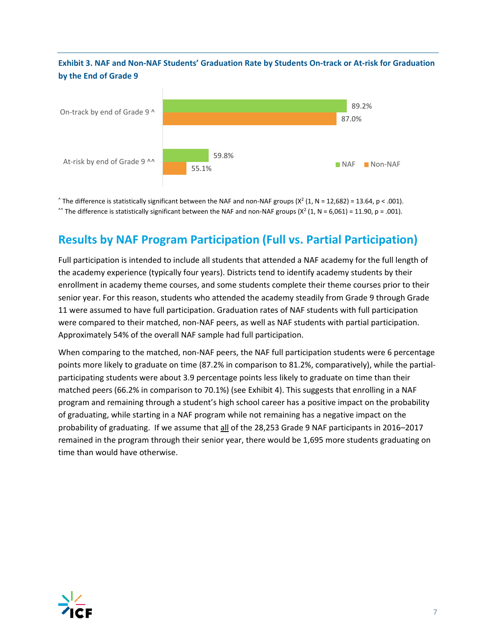### Exhibit 3. NAF and Non-NAF Students' Graduation Rate by Students On-track or At-risk for Graduation **by the End of Grade 9**



^ The difference is statistically significant between the NAF and non-NAF groups ( $X^2$  (1, N = 12,682) = 13.64, p < .001). ^^ The difference is statistically significant between the NAF and non-NAF groups ( $X^2$  (1, N = 6,061) = 11.90, p = .001).

# **Results by NAF Program Participation (Full vs. Partial Participation)**

Full participation is intended to include all students that attended a NAF academy for the full length of the academy experience (typically four years). Districts tend to identify academy students by their enrollment in academy theme courses, and some students complete their theme courses prior to their senior year. For this reason, students who attended the academy steadily from Grade 9 through Grade 11 were assumed to have full participation. Graduation rates of NAF students with full participation were compared to their matched, non-NAF peers, as well as NAF students with partial participation. Approximately 54% of the overall NAF sample had full participation.

When comparing to the matched, non-NAF peers, the NAF full participation students were 6 percentage points more likely to graduate on time (87.2% in comparison to 81.2%, comparatively), while the partial‐ participating students were about 3.9 percentage points less likely to graduate on time than their matched peers (66.2% in comparison to 70.1%) (see Exhibit 4). This suggests that enrolling in a NAF program and remaining through a student's high school career has a positive impact on the probability of graduating, while starting in a NAF program while not remaining has a negative impact on the probability of graduating. If we assume that all of the 28,253 Grade 9 NAF participants in 2016–2017 remained in the program through their senior year, there would be 1,695 more students graduating on time than would have otherwise.

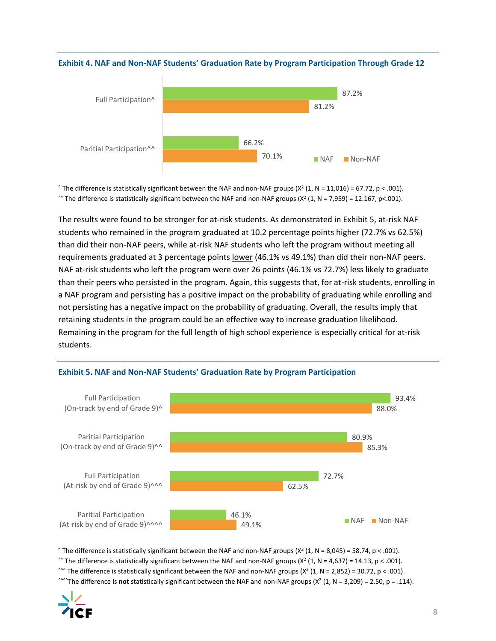

#### **Exhibit 4. NAF and Non‐NAF Students' Graduation Rate by Program Participation Through Grade 12**

^ The difference is statistically significant between the NAF and non-NAF groups ( $X^2$  (1, N = 11,016) = 67.72, p < .001).  $\gamma$  The difference is statistically significant between the NAF and non-NAF groups (X<sup>2</sup> (1, N = 7,959) = 12.167, p<.001).

The results were found to be stronger for at‐risk students. As demonstrated in Exhibit 5, at‐risk NAF students who remained in the program graduated at 10.2 percentage points higher (72.7% vs 62.5%) than did their non‐NAF peers, while at‐risk NAF students who left the program without meeting all requirements graduated at 3 percentage points lower (46.1% vs 49.1%) than did their non-NAF peers. NAF at-risk students who left the program were over 26 points (46.1% vs 72.7%) less likely to graduate than their peers who persisted in the program. Again, this suggests that, for at‐risk students, enrolling in a NAF program and persisting has a positive impact on the probability of graduating while enrolling and not persisting has a negative impact on the probability of graduating. Overall, the results imply that retaining students in the program could be an effective way to increase graduation likelihood. Remaining in the program for the full length of high school experience is especially critical for at‐risk students.



#### **Exhibit 5. NAF and Non‐NAF Students' Graduation Rate by Program Participation**

 $\hat{X}$  The difference is statistically significant between the NAF and non-NAF groups ( $X^2$  (1, N = 8,045) = 58.74, p < .001). ^^ The difference is statistically significant between the NAF and non-NAF groups  $(X<sup>2</sup> (1, N = 4,637) = 14.13, p < .001)$ . ^^^ The difference is statistically significant between the NAF and non-NAF groups  $(X^2 (1, N = 2,852) = 30.72, p < .001)$ . <sup>^^^^</sup>The difference is **not** statistically significant between the NAF and non-NAF groups  $(X^2 (1, N = 3,209) = 2.50, p = .114)$ .

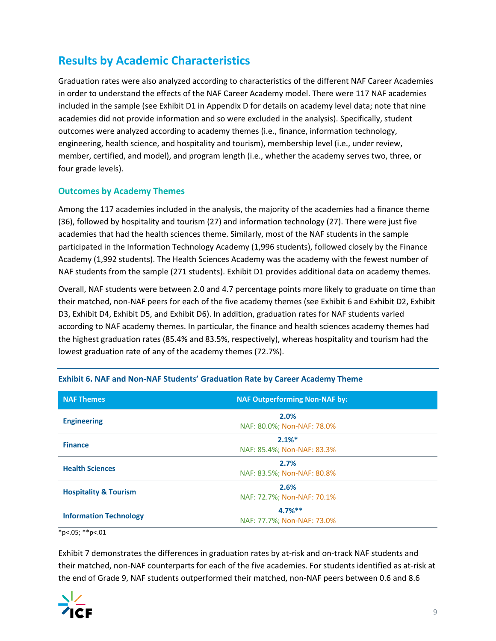# **Results by Academic Characteristics**

Graduation rates were also analyzed according to characteristics of the different NAF Career Academies in order to understand the effects of the NAF Career Academy model. There were 117 NAF academies included in the sample (see Exhibit D1 in Appendix D for details on academy level data; note that nine academies did not provide information and so were excluded in the analysis). Specifically, student outcomes were analyzed according to academy themes (i.e., finance, information technology, engineering, health science, and hospitality and tourism), membership level (i.e., under review, member, certified, and model), and program length (i.e., whether the academy serves two, three, or four grade levels).

### **Outcomes by Academy Themes**

Among the 117 academies included in the analysis, the majority of the academies had a finance theme (36), followed by hospitality and tourism (27) and information technology (27). There were just five academies that had the health sciences theme. Similarly, most of the NAF students in the sample participated in the Information Technology Academy (1,996 students), followed closely by the Finance Academy (1,992 students). The Health Sciences Academy was the academy with the fewest number of NAF students from the sample (271 students). Exhibit D1 provides additional data on academy themes.

Overall, NAF students were between 2.0 and 4.7 percentage points more likely to graduate on time than their matched, non‐NAF peers for each of the five academy themes (see Exhibit 6 and Exhibit D2, Exhibit D3, Exhibit D4, Exhibit D5, and Exhibit D6). In addition, graduation rates for NAF students varied according to NAF academy themes. In particular, the finance and health sciences academy themes had the highest graduation rates (85.4% and 83.5%, respectively), whereas hospitality and tourism had the lowest graduation rate of any of the academy themes (72.7%).

| <b>NAF Themes</b>                | <b>NAF Outperforming Non-NAF by:</b>    |  |  |
|----------------------------------|-----------------------------------------|--|--|
| <b>Engineering</b>               | 2.0%<br>NAF: 80.0%; Non-NAF: 78.0%      |  |  |
| <b>Finance</b>                   | 2.1%<br>NAF: 85.4%; Non-NAF: 83.3%      |  |  |
| <b>Health Sciences</b>           | 2.7%<br>NAF: 83.5%; Non-NAF: 80.8%      |  |  |
| <b>Hospitality &amp; Tourism</b> | 2.6%<br>NAF: 72.7%; Non-NAF: 70.1%      |  |  |
| <b>Information Technology</b>    | $4.7%$ **<br>NAF: 77.7%; Non-NAF: 73.0% |  |  |
| *p<.05; **p<.01                  |                                         |  |  |

#### **Exhibit 6. NAF and Non‐NAF Students' Graduation Rate by Career Academy Theme**

Exhibit 7 demonstrates the differences in graduation rates by at-risk and on-track NAF students and their matched, non‐NAF counterparts for each of the five academies. For students identified as at‐risk at the end of Grade 9, NAF students outperformed their matched, non-NAF peers between 0.6 and 8.6

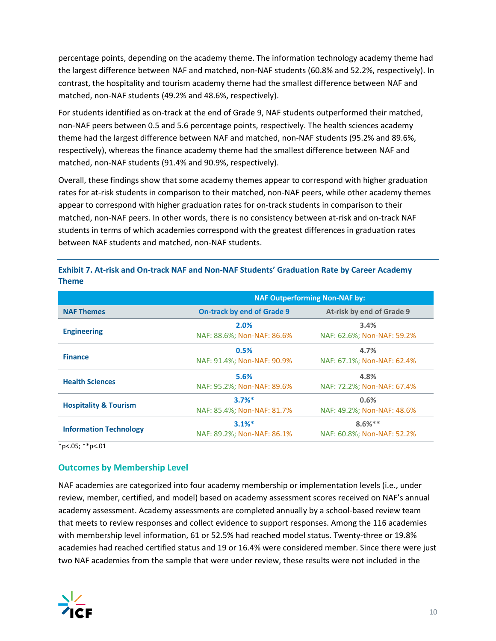percentage points, depending on the academy theme. The information technology academy theme had the largest difference between NAF and matched, non-NAF students (60.8% and 52.2%, respectively). In contrast, the hospitality and tourism academy theme had the smallest difference between NAF and matched, non‐NAF students (49.2% and 48.6%, respectively).

For students identified as on-track at the end of Grade 9, NAF students outperformed their matched, non‐NAF peers between 0.5 and 5.6 percentage points, respectively. The health sciences academy theme had the largest difference between NAF and matched, non‐NAF students (95.2% and 89.6%, respectively), whereas the finance academy theme had the smallest difference between NAF and matched, non‐NAF students (91.4% and 90.9%, respectively).

Overall, these findings show that some academy themes appear to correspond with higher graduation rates for at-risk students in comparison to their matched, non-NAF peers, while other academy themes appear to correspond with higher graduation rates for on-track students in comparison to their matched, non-NAF peers. In other words, there is no consistency between at-risk and on-track NAF students in terms of which academies correspond with the greatest differences in graduation rates between NAF students and matched, non‐NAF students.

|                                  | <b>NAF Outperforming Non-NAF by:</b>               |                                        |  |
|----------------------------------|----------------------------------------------------|----------------------------------------|--|
| <b>NAF Themes</b>                | <b>On-track by end of Grade 9</b>                  | At-risk by end of Grade 9              |  |
| <b>Engineering</b>               | 2.0%<br>NAF: 88.6%; Non-NAF: 86.6%                 | 3.4%<br>NAF: 62.6%; Non-NAF: 59.2%     |  |
| <b>Finance</b>                   | 0.5%<br>NAF: 91.4%; Non-NAF: 90.9%                 | 4.7%<br>NAF: 67.1%; Non-NAF: 62.4%     |  |
| <b>Health Sciences</b>           | 5.6%<br>NAF: 95.2%; Non-NAF: 89.6%                 | 4.8%<br>NAF: 72.2%; Non-NAF: 67.4%     |  |
| <b>Hospitality &amp; Tourism</b> | $3.7%$ <sup>*</sup><br>NAF: 85.4%; Non-NAF: 81.7%  | 0.6%<br>NAF: 49.2%; Non-NAF: 48.6%     |  |
| <b>Information Technology</b>    | $3.1\%$ <sup>*</sup><br>NAF: 89.2%; Non-NAF: 86.1% | $8.6%**$<br>NAF: 60.8%; Non-NAF: 52.2% |  |

Exhibit 7. At-risk and On-track NAF and Non-NAF Students' Graduation Rate by Career Academy **Theme** 

\*p<.05; \*\*p<.01

#### **Outcomes by Membership Level**

NAF academies are categorized into four academy membership or implementation levels (i.e., under review, member, certified, and model) based on academy assessment scores received on NAF's annual academy assessment. Academy assessments are completed annually by a school‐based review team that meets to review responses and collect evidence to support responses. Among the 116 academies with membership level information, 61 or 52.5% had reached model status. Twenty-three or 19.8% academies had reached certified status and 19 or 16.4% were considered member. Since there were just two NAF academies from the sample that were under review, these results were not included in the

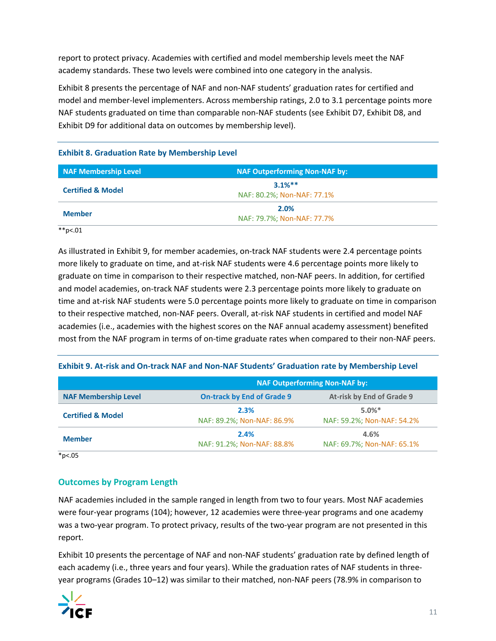report to protect privacy. Academies with certified and model membership levels meet the NAF academy standards. These two levels were combined into one category in the analysis.

Exhibit 8 presents the percentage of NAF and non‐NAF students' graduation rates for certified and model and member‐level implementers. Across membership ratings, 2.0 to 3.1 percentage points more NAF students graduated on time than comparable non‐NAF students (see Exhibit D7, Exhibit D8, and Exhibit D9 for additional data on outcomes by membership level).

| NAF Membership Level         | <b>NAF Outperforming Non-NAF by:</b>    |  |
|------------------------------|-----------------------------------------|--|
| <b>Certified &amp; Model</b> | $3.1%$ **<br>NAF: 80.2%; Non-NAF: 77.1% |  |
| <b>Member</b>                | 2.0%<br>NAF: 79.7%; Non-NAF: 77.7%      |  |

#### **Exhibit 8. Graduation Rate by Membership Level**

 $*$  $p$ <.01

As illustrated in Exhibit 9, for member academies, on-track NAF students were 2.4 percentage points more likely to graduate on time, and at-risk NAF students were 4.6 percentage points more likely to graduate on time in comparison to their respective matched, non‐NAF peers. In addition, for certified and model academies, on-track NAF students were 2.3 percentage points more likely to graduate on time and at-risk NAF students were 5.0 percentage points more likely to graduate on time in comparison to their respective matched, non‐NAF peers. Overall, at‐risk NAF students in certified and model NAF academies (i.e., academies with the highest scores on the NAF annual academy assessment) benefited most from the NAF program in terms of on-time graduate rates when compared to their non-NAF peers.

#### Exhibit 9. At-risk and On-track NAF and Non-NAF Students' Graduation rate by Membership Level

|                              | <b>NAF Outperforming Non-NAF by:</b>                           |                            |  |  |  |
|------------------------------|----------------------------------------------------------------|----------------------------|--|--|--|
| <b>NAF Membership Level</b>  | <b>On-track by End of Grade 9</b><br>At-risk by End of Grade 9 |                            |  |  |  |
| <b>Certified &amp; Model</b> | 2.3%                                                           | $5.0\%$ <sup>*</sup>       |  |  |  |
|                              | NAF: 89.2%; Non-NAF: 86.9%                                     | NAF: 59.2%; Non-NAF: 54.2% |  |  |  |
| <b>Member</b>                | 2.4%                                                           | 4.6%                       |  |  |  |
|                              | NAF: 91.2%; Non-NAF: 88.8%                                     | NAF: 69.7%; Non-NAF: 65.1% |  |  |  |

\*p<.05

### **Outcomes by Program Length**

NAF academies included in the sample ranged in length from two to four years. Most NAF academies were four-year programs (104); however, 12 academies were three-year programs and one academy was a two-year program. To protect privacy, results of the two-year program are not presented in this report.

Exhibit 10 presents the percentage of NAF and non‐NAF students' graduation rate by defined length of each academy (i.e., three years and four years). While the graduation rates of NAF students in threeyear programs (Grades 10–12) was similar to their matched, non‐NAF peers (78.9% in comparison to

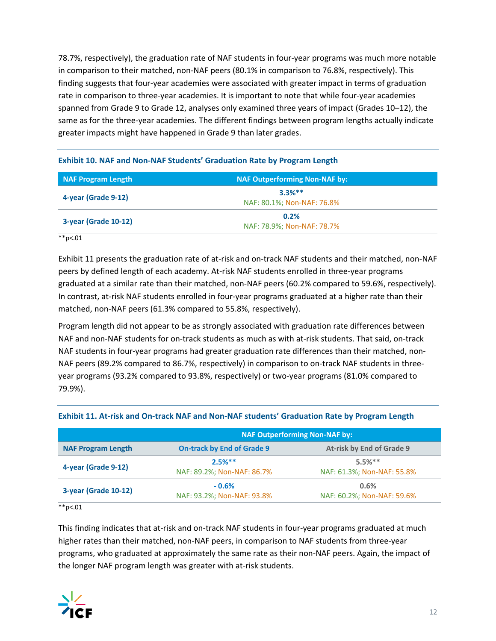78.7%, respectively), the graduation rate of NAF students in four‐year programs was much more notable in comparison to their matched, non-NAF peers (80.1% in comparison to 76.8%, respectively). This finding suggests that four‐year academies were associated with greater impact in terms of graduation rate in comparison to three-year academies. It is important to note that while four-year academies spanned from Grade 9 to Grade 12, analyses only examined three years of impact (Grades 10–12), the same as for the three-year academies. The different findings between program lengths actually indicate greater impacts might have happened in Grade 9 than later grades.

| <b>NAF Program Length</b> | <b>NAF Outperforming Non-NAF by:</b>   |  |
|---------------------------|----------------------------------------|--|
| 4-year (Grade 9-12)       | $3.3%**$<br>NAF: 80.1%; Non-NAF: 76.8% |  |
| 3-year (Grade 10-12)      | 0.2%<br>NAF: 78.9%; Non-NAF: 78.7%     |  |

#### **Exhibit 10. NAF and Non‐NAF Students' Graduation Rate by Program Length**

 $*$  $p$ <.01

Exhibit 11 presents the graduation rate of at-risk and on-track NAF students and their matched, non-NAF peers by defined length of each academy. At-risk NAF students enrolled in three-year programs graduated at a similar rate than their matched, non-NAF peers (60.2% compared to 59.6%, respectively). In contrast, at-risk NAF students enrolled in four-year programs graduated at a higher rate than their matched, non‐NAF peers (61.3% compared to 55.8%, respectively).

Program length did not appear to be as strongly associated with graduation rate differences between NAF and non-NAF students for on-track students as much as with at-risk students. That said, on-track NAF students in four-year programs had greater graduation rate differences than their matched, non-NAF peers (89.2% compared to 86.7%, respectively) in comparison to on‐track NAF students in three‐ year programs (93.2% compared to 93.8%, respectively) or two‐year programs (81.0% compared to 79.9%).

| <b>NAF Outperforming Non-NAF by:</b>                           |                                         |                                         |  |
|----------------------------------------------------------------|-----------------------------------------|-----------------------------------------|--|
| <b>On-track by End of Grade 9</b><br><b>NAF Program Length</b> |                                         | At-risk by End of Grade 9               |  |
| 4-year (Grade 9-12)                                            | $2.5%***$<br>NAF: 89.2%; Non-NAF: 86.7% | $5.5%$ **<br>NAF: 61.3%; Non-NAF: 55.8% |  |
| 3-year (Grade 10-12)                                           | $-0.6%$<br>NAF: 93.2%; Non-NAF: 93.8%   | 0.6%<br>NAF: 60.2%; Non-NAF: 59.6%      |  |

#### Exhibit 11. At-risk and On-track NAF and Non-NAF students' Graduation Rate by Program Length

 $*$ <sub>\*</sub> $*$ <sub>p</sub> $< 01$ 

This finding indicates that at-risk and on-track NAF students in four-year programs graduated at much higher rates than their matched, non-NAF peers, in comparison to NAF students from three-year programs, who graduated at approximately the same rate as their non‐NAF peers. Again, the impact of the longer NAF program length was greater with at‐risk students.

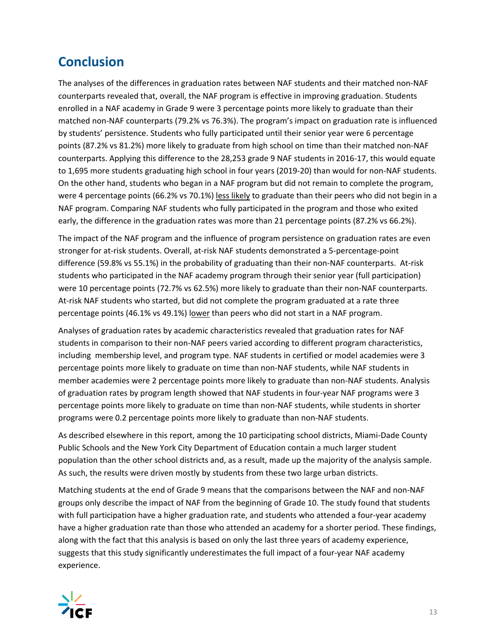# **Conclusion**

The analyses of the differences in graduation rates between NAF students and their matched non‐NAF counterparts revealed that, overall, the NAF program is effective in improving graduation. Students enrolled in a NAF academy in Grade 9 were 3 percentage points more likely to graduate than their matched non‐NAF counterparts (79.2% vs 76.3%). The program's impact on graduation rate is influenced by students' persistence. Students who fully participated until their senior year were 6 percentage points (87.2% vs 81.2%) more likely to graduate from high school on time than their matched non‐NAF counterparts. Applying this difference to the 28,253 grade 9 NAF students in 2016‐17, this would equate to 1,695 more students graduating high school in four years (2019-20) than would for non-NAF students. On the other hand, students who began in a NAF program but did not remain to complete the program, were 4 percentage points (66.2% vs 70.1%) less likely to graduate than their peers who did not begin in a NAF program. Comparing NAF students who fully participated in the program and those who exited early, the difference in the graduation rates was more than 21 percentage points (87.2% vs 66.2%).

The impact of the NAF program and the influence of program persistence on graduation rates are even stronger for at-risk students. Overall, at-risk NAF students demonstrated a 5-percentage-point difference (59.8% vs 55.1%) in the probability of graduating than their non‐NAF counterparts. At‐risk students who participated in the NAF academy program through their senior year (full participation) were 10 percentage points (72.7% vs 62.5%) more likely to graduate than their non‐NAF counterparts. At-risk NAF students who started, but did not complete the program graduated at a rate three percentage points (46.1% vs 49.1%) lower than peers who did not start in a NAF program.

Analyses of graduation rates by academic characteristics revealed that graduation rates for NAF students in comparison to their non‐NAF peers varied according to different program characteristics, including membership level, and program type. NAF students in certified or model academies were 3 percentage points more likely to graduate on time than non‐NAF students, while NAF students in member academies were 2 percentage points more likely to graduate than non-NAF students. Analysis of graduation rates by program length showed that NAF students in four-year NAF programs were 3 percentage points more likely to graduate on time than non‐NAF students, while students in shorter programs were 0.2 percentage points more likely to graduate than non‐NAF students.

As described elsewhere in this report, among the 10 participating school districts, Miami‐Dade County Public Schools and the New York City Department of Education contain a much larger student population than the other school districts and, as a result, made up the majority of the analysis sample. As such, the results were driven mostly by students from these two large urban districts.

Matching students at the end of Grade 9 means that the comparisons between the NAF and non‐NAF groups only describe the impact of NAF from the beginning of Grade 10. The study found that students with full participation have a higher graduation rate, and students who attended a four‐year academy have a higher graduation rate than those who attended an academy for a shorter period. These findings, along with the fact that this analysis is based on only the last three years of academy experience, suggests that this study significantly underestimates the full impact of a four‐year NAF academy experience.

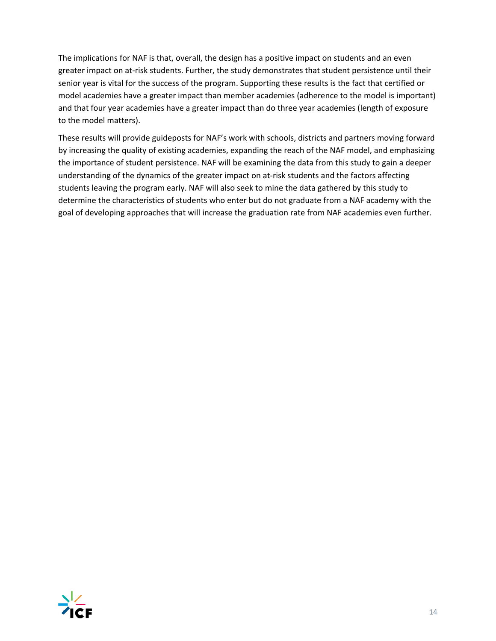The implications for NAF is that, overall, the design has a positive impact on students and an even greater impact on at-risk students. Further, the study demonstrates that student persistence until their senior year is vital for the success of the program. Supporting these results is the fact that certified or model academies have a greater impact than member academies (adherence to the model is important) and that four year academies have a greater impact than do three year academies (length of exposure to the model matters).

These results will provide guideposts for NAF's work with schools, districts and partners moving forward by increasing the quality of existing academies, expanding the reach of the NAF model, and emphasizing the importance of student persistence. NAF will be examining the data from this study to gain a deeper understanding of the dynamics of the greater impact on at-risk students and the factors affecting students leaving the program early. NAF will also seek to mine the data gathered by this study to determine the characteristics of students who enter but do not graduate from a NAF academy with the goal of developing approaches that will increase the graduation rate from NAF academies even further.

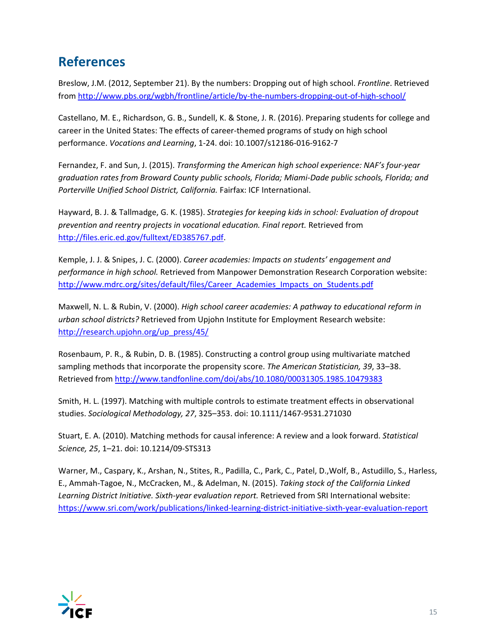# **References**

Breslow, J.M. (2012, September 21). By the numbers: Dropping out of high school. *Frontline*. Retrieved from http://www.pbs.org/wgbh/frontline/article/by‐the‐numbers‐dropping‐out‐of‐high‐school/

Castellano, M. E., Richardson, G. B., Sundell, K. & Stone, J. R. (2016). Preparing students for college and career in the United States: The effects of career‐themed programs of study on high school performance. *Vocations and Learning*, 1‐24. doi: 10.1007/s12186‐016‐9162‐7

Fernandez, F. and Sun, J. (2015). *Transforming the American high school experience: NAF's four‐year graduation rates from Broward County public schools, Florida; Miami‐Dade public schools, Florida; and Porterville Unified School District, California.* Fairfax: ICF International.

Hayward, B. J. & Tallmadge, G. K. (1985). *Strategies for keeping kids in school: Evaluation of dropout prevention and reentry projects in vocational education. Final report.* Retrieved from http://files.eric.ed.gov/fulltext/ED385767.pdf.

Kemple, J. J. & Snipes, J. C. (2000). *Career academies: Impacts on students' engagement and performance in high school.* Retrieved from Manpower Demonstration Research Corporation website: http://www.mdrc.org/sites/default/files/Career\_Academies\_Impacts\_on\_Students.pdf

Maxwell, N. L. & Rubin, V. (2000). *High school career academies: A pathway to educational reform in urban school districts?* Retrieved from Upjohn Institute for Employment Research website: http://research.upjohn.org/up\_press/45/

Rosenbaum, P. R., & Rubin, D. B. (1985). Constructing a control group using multivariate matched sampling methods that incorporate the propensity score. *The American Statistician, 39*, 33–38. Retrieved from http://www.tandfonline.com/doi/abs/10.1080/00031305.1985.10479383

Smith, H. L. (1997). Matching with multiple controls to estimate treatment effects in observational studies. *Sociological Methodology, 27*, 325–353. doi: 10.1111/1467‐9531.271030

Stuart, E. A. (2010). Matching methods for causal inference: A review and a look forward. *Statistical Science, 25*, 1–21. doi: 10.1214/09‐STS313

Warner, M., Caspary, K., Arshan, N., Stites, R., Padilla, C., Park, C., Patel, D.,Wolf, B., Astudillo, S., Harless, E., Ammah‐Tagoe, N., McCracken, M., & Adelman, N. (2015). *Taking stock of the California Linked Learning District Initiative. Sixth‐year evaluation report.* Retrieved from SRI International website: https://www.sri.com/work/publications/linked‐learning‐district‐initiative‐sixth‐year‐evaluation‐report

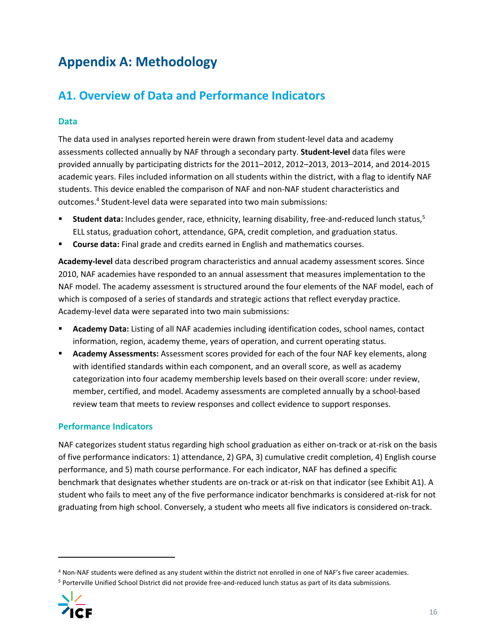# **Appendix A: Methodology**

# **A1. Overview of Data and Performance Indicators**

### **Data**

The data used in analyses reported herein were drawn from student‐level data and academy assessments collected annually by NAF through a secondary party. **Student‐level** data files were provided annually by participating districts for the 2011–2012, 2012–2013, 2013–2014, and 2014‐2015 academic years. Files included information on all students within the district, with a flag to identify NAF students. This device enabled the comparison of NAF and non‐NAF student characteristics and outcomes.4 Student‐level data were separated into two main submissions:

- **Student data:** Includes gender, race, ethnicity, learning disability, free-and-reduced lunch status,<sup>5</sup> ELL status, graduation cohort, attendance, GPA, credit completion, and graduation status.
- **Course data:** Final grade and credits earned in English and mathematics courses.

**Academy‐level** data described program characteristics and annual academy assessment scores. Since 2010, NAF academies have responded to an annual assessment that measures implementation to the NAF model. The academy assessment is structured around the four elements of the NAF model, each of which is composed of a series of standards and strategic actions that reflect everyday practice. Academy‐level data were separated into two main submissions:

- **Academy Data:** Listing of all NAF academies including identification codes, school names, contact information, region, academy theme, years of operation, and current operating status.
- **Academy Assessments:** Assessment scores provided for each of the four NAF key elements, along with identified standards within each component, and an overall score, as well as academy categorization into four academy membership levels based on their overall score: under review, member, certified, and model. Academy assessments are completed annually by a school‐based review team that meets to review responses and collect evidence to support responses.

### **Performance Indicators**

NAF categorizes student status regarding high school graduation as either on-track or at-risk on the basis of five performance indicators: 1) attendance, 2) GPA, 3) cumulative credit completion, 4) English course performance, and 5) math course performance. For each indicator, NAF has defined a specific benchmark that designates whether students are on-track or at-risk on that indicator (see Exhibit A1). A student who fails to meet any of the five performance indicator benchmarks is considered at‐risk for not graduating from high school. Conversely, a student who meets all five indicators is considered on‐track.

<sup>5</sup> Porterville Unified School District did not provide free-and-reduced lunch status as part of its data submissions.



<sup>&</sup>lt;sup>4</sup> Non-NAF students were defined as any student within the district not enrolled in one of NAF's five career academies.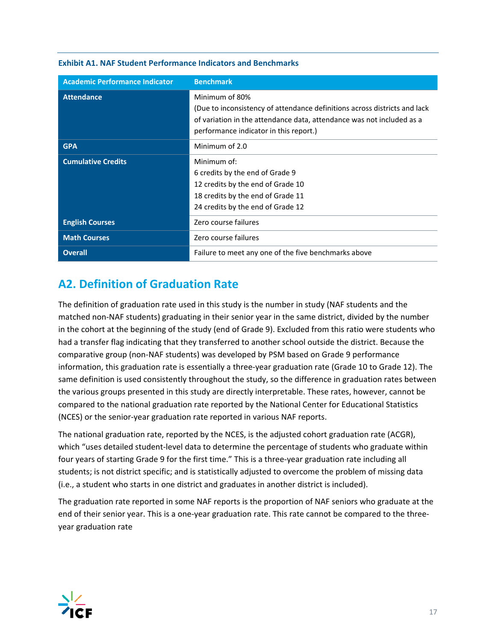| <b>Academic Performance Indicator</b> | <b>Benchmark</b>                                                          |
|---------------------------------------|---------------------------------------------------------------------------|
| <b>Attendance</b>                     | Minimum of 80%                                                            |
|                                       | (Due to inconsistency of attendance definitions across districts and lack |
|                                       | of variation in the attendance data, attendance was not included as a     |
|                                       | performance indicator in this report.)                                    |
| <b>GPA</b>                            | Minimum of 2.0                                                            |
| <b>Cumulative Credits</b>             | Minimum of:                                                               |
|                                       | 6 credits by the end of Grade 9                                           |
|                                       | 12 credits by the end of Grade 10                                         |
|                                       | 18 credits by the end of Grade 11                                         |
|                                       | 24 credits by the end of Grade 12                                         |
| <b>English Courses</b>                | Zero course failures                                                      |
| <b>Math Courses</b>                   | Zero course failures                                                      |
| <b>Overall</b>                        | Failure to meet any one of the five benchmarks above                      |

#### **Exhibit A1. NAF Student Performance Indicators and Benchmarks**

# **A2. Definition of Graduation Rate**

The definition of graduation rate used in this study is the number in study (NAF students and the matched non‐NAF students) graduating in their senior year in the same district, divided by the number in the cohort at the beginning of the study (end of Grade 9). Excluded from this ratio were students who had a transfer flag indicating that they transferred to another school outside the district. Because the comparative group (non‐NAF students) was developed by PSM based on Grade 9 performance information, this graduation rate is essentially a three‐year graduation rate (Grade 10 to Grade 12). The same definition is used consistently throughout the study, so the difference in graduation rates between the various groups presented in this study are directly interpretable. These rates, however, cannot be compared to the national graduation rate reported by the National Center for Educational Statistics (NCES) or the senior‐year graduation rate reported in various NAF reports.

The national graduation rate, reported by the NCES, is the adjusted cohort graduation rate (ACGR), which "uses detailed student-level data to determine the percentage of students who graduate within four years of starting Grade 9 for the first time." This is a three-year graduation rate including all students; is not district specific; and is statistically adjusted to overcome the problem of missing data (i.e., a student who starts in one district and graduates in another district is included).

The graduation rate reported in some NAF reports is the proportion of NAF seniors who graduate at the end of their senior year. This is a one-year graduation rate. This rate cannot be compared to the threeyear graduation rate

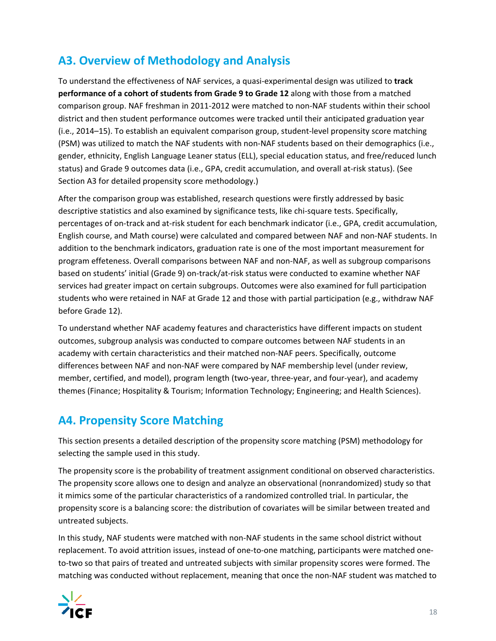# **A3. Overview of Methodology and Analysis**

To understand the effectiveness of NAF services, a quasi‐experimental design was utilized to **track performance of a cohort of students from Grade 9 to Grade 12** along with those from a matched comparison group. NAF freshman in 2011‐2012 were matched to non‐NAF students within their school district and then student performance outcomes were tracked until their anticipated graduation year (i.e., 2014–15). To establish an equivalent comparison group, student‐level propensity score matching (PSM) was utilized to match the NAF students with non‐NAF students based on their demographics (i.e., gender, ethnicity, English Language Leaner status (ELL), special education status, and free/reduced lunch status) and Grade 9 outcomes data (i.e., GPA, credit accumulation, and overall at‐risk status). (See Section A3 for detailed propensity score methodology.)

After the comparison group was established, research questions were firstly addressed by basic descriptive statistics and also examined by significance tests, like chi‐square tests. Specifically, percentages of on-track and at-risk student for each benchmark indicator (i.e., GPA, credit accumulation, English course, and Math course) were calculated and compared between NAF and non‐NAF students. In addition to the benchmark indicators, graduation rate is one of the most important measurement for program effeteness. Overall comparisons between NAF and non‐NAF, as well as subgroup comparisons based on students' initial (Grade 9) on‐track/at‐risk status were conducted to examine whether NAF services had greater impact on certain subgroups. Outcomes were also examined for full participation students who were retained in NAF at Grade 12 and those with partial participation (e.g., withdraw NAF before Grade 12).

To understand whether NAF academy features and characteristics have different impacts on student outcomes, subgroup analysis was conducted to compare outcomes between NAF students in an academy with certain characteristics and their matched non‐NAF peers. Specifically, outcome differences between NAF and non‐NAF were compared by NAF membership level (under review, member, certified, and model), program length (two‐year, three‐year, and four‐year), and academy themes (Finance; Hospitality & Tourism; Information Technology; Engineering; and Health Sciences).

# **A4. Propensity Score Matching**

This section presents a detailed description of the propensity score matching (PSM) methodology for selecting the sample used in this study.

The propensity score is the probability of treatment assignment conditional on observed characteristics. The propensity score allows one to design and analyze an observational (nonrandomized) study so that it mimics some of the particular characteristics of a randomized controlled trial. In particular, the propensity score is a balancing score: the distribution of covariates will be similar between treated and untreated subjects.

In this study, NAF students were matched with non‐NAF students in the same school district without replacement. To avoid attrition issues, instead of one‐to‐one matching, participants were matched one‐ to-two so that pairs of treated and untreated subjects with similar propensity scores were formed. The matching was conducted without replacement, meaning that once the non‐NAF student was matched to

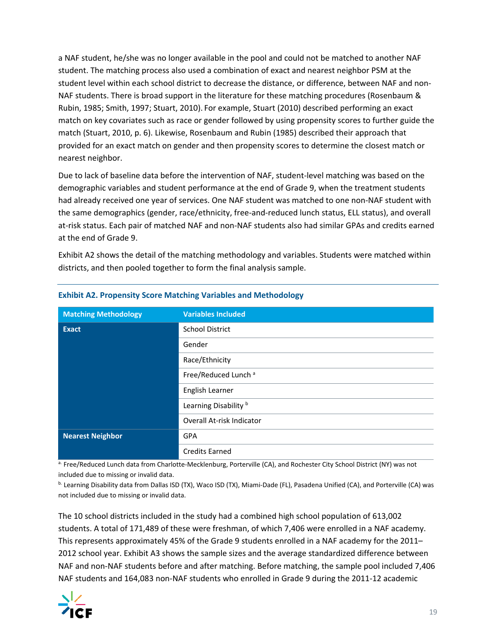a NAF student, he/she was no longer available in the pool and could not be matched to another NAF student. The matching process also used a combination of exact and nearest neighbor PSM at the student level within each school district to decrease the distance, or difference, between NAF and non‐ NAF students. There is broad support in the literature for these matching procedures (Rosenbaum & Rubin, 1985; Smith, 1997; Stuart, 2010). For example, Stuart (2010) described performing an exact match on key covariates such as race or gender followed by using propensity scores to further guide the match (Stuart, 2010, p. 6). Likewise, Rosenbaum and Rubin (1985) described their approach that provided for an exact match on gender and then propensity scores to determine the closest match or nearest neighbor.

Due to lack of baseline data before the intervention of NAF, student-level matching was based on the demographic variables and student performance at the end of Grade 9, when the treatment students had already received one year of services. One NAF student was matched to one non-NAF student with the same demographics (gender, race/ethnicity, free-and-reduced lunch status, ELL status), and overall at-risk status. Each pair of matched NAF and non-NAF students also had similar GPAs and credits earned at the end of Grade 9.

Exhibit A2 shows the detail of the matching methodology and variables. Students were matched within districts, and then pooled together to form the final analysis sample.

| <b>Matching Methodology</b> | <b>Variables Included</b>        |
|-----------------------------|----------------------------------|
| <b>Exact</b>                | <b>School District</b>           |
|                             | Gender                           |
|                             | Race/Ethnicity                   |
|                             | Free/Reduced Lunch <sup>a</sup>  |
|                             | English Learner                  |
|                             | Learning Disability <sup>b</sup> |
|                             | Overall At-risk Indicator        |
| <b>Nearest Neighbor</b>     | <b>GPA</b>                       |
|                             | <b>Credits Earned</b>            |

#### **Exhibit A2. Propensity Score Matching Variables and Methodology**

a. Free/Reduced Lunch data from Charlotte-Mecklenburg, Porterville (CA), and Rochester City School District (NY) was not included due to missing or invalid data.

b. Learning Disability data from Dallas ISD (TX), Waco ISD (TX), Miami‐Dade (FL), Pasadena Unified (CA), and Porterville (CA) was not included due to missing or invalid data.

The 10 school districts included in the study had a combined high school population of 613,002 students. A total of 171,489 of these were freshman, of which 7,406 were enrolled in a NAF academy. This represents approximately 45% of the Grade 9 students enrolled in a NAF academy for the 2011– 2012 school year. Exhibit A3 shows the sample sizes and the average standardized difference between NAF and non‐NAF students before and after matching. Before matching, the sample pool included 7,406 NAF students and 164,083 non‐NAF students who enrolled in Grade 9 during the 2011‐12 academic

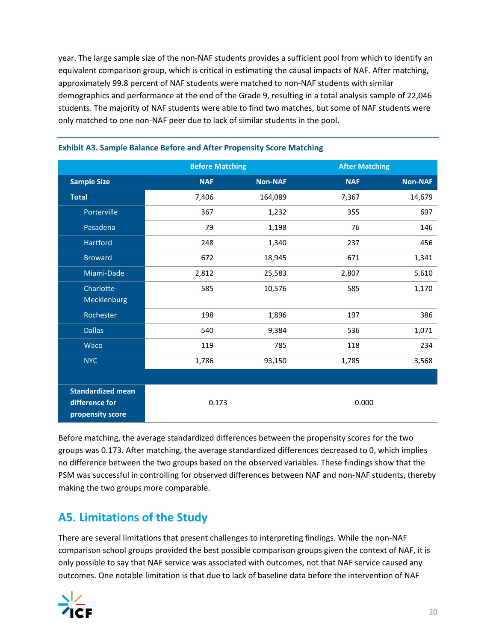year. The large sample size of the non‐NAF students provides a sufficient pool from which to identify an equivalent comparison group, which is critical in estimating the causal impacts of NAF. After matching, approximately 99.8 percent of NAF students were matched to non‐NAF students with similar demographics and performance at the end of the Grade 9, resulting in a total analysis sample of 22,046 students. The majority of NAF students were able to find two matches, but some of NAF students were only matched to one non‐NAF peer due to lack of similar students in the pool.

|                                                                | <b>Before Matching</b> |                |            | <b>After Matching</b> |
|----------------------------------------------------------------|------------------------|----------------|------------|-----------------------|
| <b>Sample Size</b>                                             | <b>NAF</b>             | <b>Non-NAF</b> | <b>NAF</b> | <b>Non-NAF</b>        |
| <b>Total</b>                                                   | 7,406                  | 164,089        | 7,367      | 14,679                |
| Porterville                                                    | 367                    | 1,232          | 355        | 697                   |
| Pasadena                                                       | 79                     | 1,198          | 76         | 146                   |
| Hartford                                                       | 248                    | 1,340          | 237        | 456                   |
| <b>Broward</b>                                                 | 672                    | 18,945         | 671        | 1,341                 |
| Miami-Dade                                                     | 2,812                  | 25,583         | 2,807      | 5,610                 |
| Charlotte-                                                     | 585                    | 10,576         | 585        | 1,170                 |
| Mecklenburg                                                    |                        |                |            |                       |
| Rochester                                                      | 198                    | 1,896          | 197        | 386                   |
| <b>Dallas</b>                                                  | 540                    | 9,384          | 536        | 1,071                 |
| Waco                                                           | 119                    | 785            | 118        | 234                   |
| <b>NYC</b>                                                     | 1,786                  | 93,150         | 1,785      | 3,568                 |
|                                                                |                        |                |            |                       |
| <b>Standardized mean</b><br>difference for<br>propensity score |                        | 0.173          |            | 0.000                 |

#### **Exhibit A3. Sample Balance Before and After Propensity Score Matching**

Before matching, the average standardized differences between the propensity scores for the two groups was 0.173. After matching, the average standardized differences decreased to 0, which implies no difference between the two groups based on the observed variables. These findings show that the PSM was successful in controlling for observed differences between NAF and non‐NAF students, thereby making the two groups more comparable.

# **A5. Limitations of the Study**

There are several limitations that present challenges to interpreting findings. While the non‐NAF comparison school groups provided the best possible comparison groups given the context of NAF, it is only possible to say that NAF service was associated with outcomes, not that NAF service caused any outcomes. One notable limitation is that due to lack of baseline data before the intervention of NAF

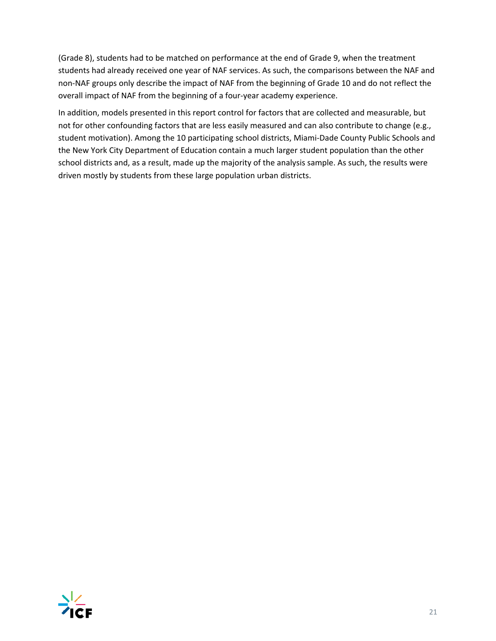(Grade 8), students had to be matched on performance at the end of Grade 9, when the treatment students had already received one year of NAF services. As such, the comparisons between the NAF and non‐NAF groups only describe the impact of NAF from the beginning of Grade 10 and do not reflect the overall impact of NAF from the beginning of a four‐year academy experience.

In addition, models presented in this report control for factors that are collected and measurable, but not for other confounding factors that are less easily measured and can also contribute to change (e.g., student motivation). Among the 10 participating school districts, Miami‐Dade County Public Schools and the New York City Department of Education contain a much larger student population than the other school districts and, as a result, made up the majority of the analysis sample. As such, the results were driven mostly by students from these large population urban districts.

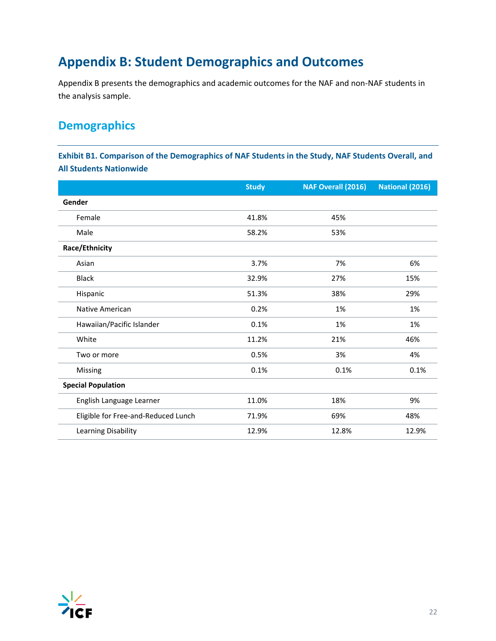# **Appendix B: Student Demographics and Outcomes**

Appendix B presents the demographics and academic outcomes for the NAF and non‐NAF students in the analysis sample.

# **Demographics**

**Exhibit B1. Comparison of the Demographics of NAF Students in the Study, NAF Students Overall, and All Students Nationwide**

|                                     | <b>Study</b> | <b>NAF Overall (2016)</b> | National (2016) |
|-------------------------------------|--------------|---------------------------|-----------------|
| Gender                              |              |                           |                 |
| Female                              | 41.8%        | 45%                       |                 |
| Male                                | 58.2%        | 53%                       |                 |
| Race/Ethnicity                      |              |                           |                 |
| Asian                               | 3.7%         | 7%                        | 6%              |
| <b>Black</b>                        | 32.9%        | 27%                       | 15%             |
| Hispanic                            | 51.3%        | 38%                       | 29%             |
| Native American                     | 0.2%         | 1%                        | 1%              |
| Hawaiian/Pacific Islander           | 0.1%         | 1%                        | 1%              |
| White                               | 11.2%        | 21%                       | 46%             |
| Two or more                         | 0.5%         | 3%                        | 4%              |
| Missing                             | 0.1%         | 0.1%                      | 0.1%            |
| <b>Special Population</b>           |              |                           |                 |
| English Language Learner            | 11.0%        | 18%                       | 9%              |
| Eligible for Free-and-Reduced Lunch | 71.9%        | 69%                       | 48%             |
| Learning Disability                 | 12.9%        | 12.8%                     | 12.9%           |

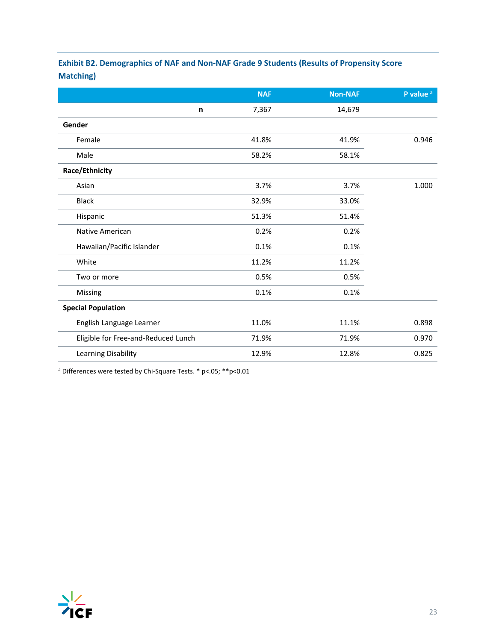# **Exhibit B2. Demographics of NAF and Non‐NAF Grade 9 Students (Results of Propensity Score Matching)**

|                                     | <b>NAF</b> | <b>Non-NAF</b> | P value <sup>a</sup> |
|-------------------------------------|------------|----------------|----------------------|
| n                                   | 7,367      | 14,679         |                      |
| Gender                              |            |                |                      |
| Female                              | 41.8%      | 41.9%          | 0.946                |
| Male                                | 58.2%      | 58.1%          |                      |
| Race/Ethnicity                      |            |                |                      |
| Asian                               | 3.7%       | 3.7%           | 1.000                |
| <b>Black</b>                        | 32.9%      | 33.0%          |                      |
| Hispanic                            | 51.3%      | 51.4%          |                      |
| Native American                     | 0.2%       | 0.2%           |                      |
| Hawaiian/Pacific Islander           | 0.1%       | 0.1%           |                      |
| White                               | 11.2%      | 11.2%          |                      |
| Two or more                         | 0.5%       | 0.5%           |                      |
| Missing                             | 0.1%       | 0.1%           |                      |
| <b>Special Population</b>           |            |                |                      |
| English Language Learner            | 11.0%      | 11.1%          | 0.898                |
| Eligible for Free-and-Reduced Lunch | 71.9%      | 71.9%          | 0.970                |
| Learning Disability                 | 12.9%      | 12.8%          | 0.825                |

<sup>a</sup> Differences were tested by Chi‐Square Tests. \* p<.05; \*\*p<0.01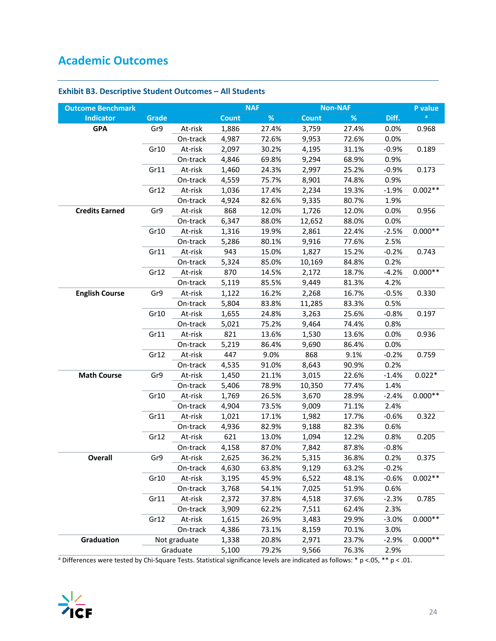# **Academic Outcomes**

| <b>Outcome Benchmark</b> |              |              |              | <b>NAF</b> |              | <b>Non-NAF</b> |         | P value   |
|--------------------------|--------------|--------------|--------------|------------|--------------|----------------|---------|-----------|
| <b>Indicator</b>         | <b>Grade</b> |              | <b>Count</b> | %          | <b>Count</b> | %              | Diff.   | a         |
| <b>GPA</b>               | Gr9          | At-risk      | 1,886        | 27.4%      | 3,759        | 27.4%          | 0.0%    | 0.968     |
|                          |              | On-track     | 4,987        | 72.6%      | 9,953        | 72.6%          | 0.0%    |           |
|                          | Gr10         | At-risk      | 2,097        | 30.2%      | 4,195        | 31.1%          | $-0.9%$ | 0.189     |
|                          |              | On-track     | 4,846        | 69.8%      | 9,294        | 68.9%          | 0.9%    |           |
|                          | Gr11         | At-risk      | 1,460        | 24.3%      | 2,997        | 25.2%          | $-0.9%$ | 0.173     |
|                          |              | On-track     | 4,559        | 75.7%      | 8,901        | 74.8%          | 0.9%    |           |
|                          | Gr12         | At-risk      | 1,036        | 17.4%      | 2,234        | 19.3%          | $-1.9%$ | $0.002**$ |
|                          |              | On-track     | 4,924        | 82.6%      | 9,335        | 80.7%          | 1.9%    |           |
| <b>Credits Earned</b>    | Gr9          | At-risk      | 868          | 12.0%      | 1,726        | 12.0%          | 0.0%    | 0.956     |
|                          |              | On-track     | 6,347        | 88.0%      | 12,652       | 88.0%          | 0.0%    |           |
|                          | Gr10         | At-risk      | 1,316        | 19.9%      | 2,861        | 22.4%          | $-2.5%$ | $0.000**$ |
|                          |              | On-track     | 5,286        | 80.1%      | 9,916        | 77.6%          | 2.5%    |           |
|                          | Gr11         | At-risk      | 943          | 15.0%      | 1,827        | 15.2%          | $-0.2%$ | 0.743     |
|                          |              | On-track     | 5,324        | 85.0%      | 10,169       | 84.8%          | 0.2%    |           |
|                          | Gr12         | At-risk      | 870          | 14.5%      | 2,172        | 18.7%          | $-4.2%$ | $0.000**$ |
|                          |              | On-track     | 5,119        | 85.5%      | 9,449        | 81.3%          | 4.2%    |           |
| <b>English Course</b>    | Gr9          | At-risk      | 1,122        | 16.2%      | 2,268        | 16.7%          | $-0.5%$ | 0.330     |
|                          |              | On-track     | 5,804        | 83.8%      | 11,285       | 83.3%          | 0.5%    |           |
|                          | Gr10         | At-risk      | 1,655        | 24.8%      | 3,263        | 25.6%          | $-0.8%$ | 0.197     |
|                          |              | On-track     | 5,021        | 75.2%      | 9,464        | 74.4%          | 0.8%    |           |
|                          | Gr11         | At-risk      | 821          | 13.6%      | 1,530        | 13.6%          | 0.0%    | 0.936     |
|                          |              | On-track     | 5,219        | 86.4%      | 9,690        | 86.4%          | 0.0%    |           |
|                          | Gr12         | At-risk      | 447          | 9.0%       | 868          | 9.1%           | $-0.2%$ | 0.759     |
|                          |              | On-track     | 4,535        | 91.0%      | 8,643        | 90.9%          | 0.2%    |           |
| <b>Math Course</b>       | Gr9          | At-risk      | 1,450        | 21.1%      | 3,015        | 22.6%          | $-1.4%$ | $0.022*$  |
|                          |              | On-track     | 5,406        | 78.9%      | 10,350       | 77.4%          | 1.4%    |           |
|                          | Gr10         | At-risk      | 1,769        | 26.5%      | 3,670        | 28.9%          | $-2.4%$ | $0.000**$ |
|                          |              | On-track     | 4,904        | 73.5%      | 9,009        | 71.1%          | 2.4%    |           |
|                          | Gr11         | At-risk      | 1,021        | 17.1%      | 1,982        | 17.7%          | $-0.6%$ | 0.322     |
|                          |              | On-track     | 4,936        | 82.9%      | 9,188        | 82.3%          | 0.6%    |           |
|                          | Gr12         | At-risk      | 621          | 13.0%      | 1,094        | 12.2%          | 0.8%    | 0.205     |
|                          |              | On-track     | 4,158        | 87.0%      | 7,842        | 87.8%          | $-0.8%$ |           |
| <b>Overall</b>           | Gr9          | At-risk      | 2,625        | 36.2%      | 5.315        | 36.8%          | 0.2%    | 0.375     |
|                          |              | On-track     | 4,630        | 63.8%      | 9,129        | 63.2%          | $-0.2%$ |           |
|                          | Gr10         | At-risk      | 3,195        | 45.9%      | 6,522        | 48.1%          | $-0.6%$ | $0.002**$ |
|                          |              | On-track     | 3,768        | 54.1%      | 7,025        | 51.9%          | 0.6%    |           |
|                          | Gr11         | At-risk      | 2,372        | 37.8%      | 4,518        | 37.6%          | $-2.3%$ | 0.785     |
|                          |              | On-track     | 3,909        | 62.2%      | 7,511        | 62.4%          | 2.3%    |           |
|                          | Gr12         | At-risk      | 1,615        | 26.9%      | 3,483        | 29.9%          | $-3.0%$ | $0.000**$ |
|                          |              | On-track     | 4,386        | 73.1%      | 8,159        | 70.1%          | 3.0%    |           |
| Graduation               |              | Not graduate | 1,338        | 20.8%      | 2,971        | 23.7%          | $-2.9%$ | $0.000**$ |
|                          |              | Graduate     | 5,100        | 79.2%      | 9,566        | 76.3%          | 2.9%    |           |

### **Exhibit B3. Descriptive Student Outcomes – All Students**

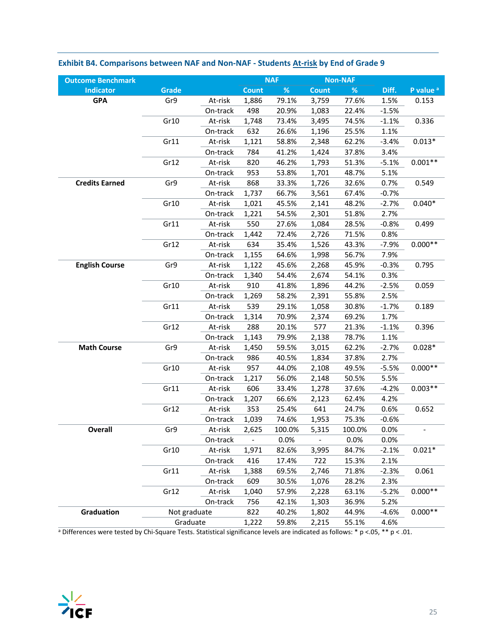| <b>Outcome Benchmark</b> |              |          |                          | <b>NAF</b> |              | <b>Non-NAF</b> |         |                      |
|--------------------------|--------------|----------|--------------------------|------------|--------------|----------------|---------|----------------------|
| <b>Indicator</b>         | <b>Grade</b> |          | <b>Count</b>             | $\%$       | <b>Count</b> | $\%$           | Diff.   | P value <sup>a</sup> |
| <b>GPA</b>               | Gr9          | At-risk  | 1,886                    | 79.1%      | 3,759        | 77.6%          | 1.5%    | 0.153                |
|                          |              | On-track | 498                      | 20.9%      | 1,083        | 22.4%          | $-1.5%$ |                      |
|                          | Gr10         | At-risk  | 1,748                    | 73.4%      | 3,495        | 74.5%          | $-1.1%$ | 0.336                |
|                          |              | On-track | 632                      | 26.6%      | 1,196        | 25.5%          | 1.1%    |                      |
|                          | Gr11         | At-risk  | 1,121                    | 58.8%      | 2,348        | 62.2%          | $-3.4%$ | $0.013*$             |
|                          |              | On-track | 784                      | 41.2%      | 1,424        | 37.8%          | 3.4%    |                      |
|                          | Gr12         | At-risk  | 820                      | 46.2%      | 1,793        | 51.3%          | $-5.1%$ | $0.001**$            |
|                          |              | On-track | 953                      | 53.8%      | 1,701        | 48.7%          | 5.1%    |                      |
| <b>Credits Earned</b>    | Gr9          | At-risk  | 868                      | 33.3%      | 1,726        | 32.6%          | 0.7%    | 0.549                |
|                          |              | On-track | 1,737                    | 66.7%      | 3,561        | 67.4%          | $-0.7%$ |                      |
|                          | Gr10         | At-risk  | 1,021                    | 45.5%      | 2,141        | 48.2%          | $-2.7%$ | $0.040*$             |
|                          |              | On-track | 1,221                    | 54.5%      | 2,301        | 51.8%          | 2.7%    |                      |
|                          | Gr11         | At-risk  | 550                      | 27.6%      | 1,084        | 28.5%          | $-0.8%$ | 0.499                |
|                          |              | On-track | 1,442                    | 72.4%      | 2,726        | 71.5%          | 0.8%    |                      |
|                          | Gr12         | At-risk  | 634                      | 35.4%      | 1,526        | 43.3%          | $-7.9%$ | $0.000**$            |
|                          |              | On-track | 1,155                    | 64.6%      | 1,998        | 56.7%          | 7.9%    |                      |
| <b>English Course</b>    | Gr9          | At-risk  | 1,122                    | 45.6%      | 2,268        | 45.9%          | $-0.3%$ | 0.795                |
|                          |              | On-track | 1,340                    | 54.4%      | 2,674        | 54.1%          | 0.3%    |                      |
|                          | Gr10         | At-risk  | 910                      | 41.8%      | 1,896        | 44.2%          | $-2.5%$ | 0.059                |
|                          |              | On-track | 1,269                    | 58.2%      | 2,391        | 55.8%          | 2.5%    |                      |
|                          | Gr11         | At-risk  | 539                      | 29.1%      | 1,058        | 30.8%          | $-1.7%$ | 0.189                |
|                          |              | On-track | 1,314                    | 70.9%      | 2,374        | 69.2%          | 1.7%    |                      |
|                          | Gr12         | At-risk  | 288                      | 20.1%      | 577          | 21.3%          | $-1.1%$ | 0.396                |
|                          |              | On-track | 1,143                    | 79.9%      | 2,138        | 78.7%          | 1.1%    |                      |
| <b>Math Course</b>       | Gr9          | At-risk  | 1,450                    | 59.5%      | 3,015        | 62.2%          | $-2.7%$ | $0.028*$             |
|                          |              | On-track | 986                      | 40.5%      | 1,834        | 37.8%          | 2.7%    |                      |
|                          | Gr10         | At-risk  | 957                      | 44.0%      | 2,108        | 49.5%          | $-5.5%$ | $0.000**$            |
|                          |              | On-track | 1,217                    | 56.0%      | 2,148        | 50.5%          | 5.5%    |                      |
|                          | Gr11         | At-risk  | 606                      | 33.4%      | 1,278        | 37.6%          | $-4.2%$ | $0.003**$            |
|                          |              | On-track | 1,207                    | 66.6%      | 2,123        | 62.4%          | 4.2%    |                      |
|                          | Gr12         | At-risk  | 353                      | 25.4%      | 641          | 24.7%          | 0.6%    | 0.652                |
|                          |              | On-track | 1,039                    | 74.6%      | 1,953        | 75.3%          | $-0.6%$ |                      |
| <b>Overall</b>           | Gr9          | At-risk  | 2,625                    | 100.0%     | 5,315        | 100.0%         | 0.0%    |                      |
|                          |              | On-track | $\overline{\phantom{a}}$ | 0.0%       | $\Box$       | 0.0%           | 0.0%    |                      |
|                          | Gr10         | At-risk  | 1,971                    | 82.6%      | 3,995        | 84.7%          | $-2.1%$ | $0.021*$             |
|                          |              | On-track | 416                      | 17.4%      | 722          | 15.3%          | 2.1%    |                      |
|                          | Gr11         | At-risk  | 1,388                    | 69.5%      | 2,746        | 71.8%          | $-2.3%$ | 0.061                |
|                          |              | On-track | 609                      | 30.5%      | 1,076        | 28.2%          | 2.3%    |                      |
|                          | Gr12         | At-risk  | 1,040                    | 57.9%      | 2,228        | 63.1%          | $-5.2%$ | $0.000**$            |
|                          |              | On-track | 756                      | 42.1%      | 1,303        | 36.9%          | 5.2%    |                      |
| Graduation               | Not graduate |          | 822                      | 40.2%      | 1,802        | 44.9%          | $-4.6%$ | $0.000**$            |
|                          | Graduate     |          | 1,222                    | 59.8%      | 2,215        | 55.1%          | 4.6%    |                      |
|                          |              |          |                          |            |              |                |         |                      |

### Exhibit B4. Comparisons between NAF and Non-NAF - Students At-risk by End of Grade 9

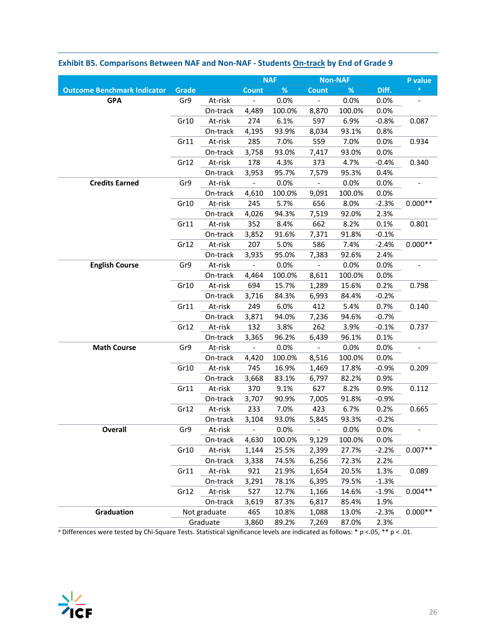|                                    |       |              |                              | <b>NAF</b> |                          | <b>Non-NAF</b> |         | P value   |
|------------------------------------|-------|--------------|------------------------------|------------|--------------------------|----------------|---------|-----------|
| <b>Outcome Benchmark Indicator</b> | Grade |              | <b>Count</b>                 | $\%$       | <b>Count</b>             | $\%$           | Diff.   | a         |
| <b>GPA</b>                         | Gr9   | At-risk      |                              | 0.0%       | $\frac{1}{2}$            | 0.0%           | 0.0%    |           |
|                                    |       | On-track     | 4,489                        | 100.0%     | 8,870                    | 100.0%         | 0.0%    |           |
|                                    | Gr10  | At-risk      | 274                          | 6.1%       | 597                      | 6.9%           | $-0.8%$ | 0.087     |
|                                    |       | On-track     | 4,195                        | 93.9%      | 8,034                    | 93.1%          | 0.8%    |           |
|                                    | Gr11  | At-risk      | 285                          | 7.0%       | 559                      | 7.0%           | 0.0%    | 0.934     |
|                                    |       | On-track     | 3,758                        | 93.0%      | 7,417                    | 93.0%          | 0.0%    |           |
|                                    | Gr12  | At-risk      | 178                          | 4.3%       | 373                      | 4.7%           | $-0.4%$ | 0.340     |
|                                    |       | On-track     | 3,953                        | 95.7%      | 7,579                    | 95.3%          | 0.4%    |           |
| <b>Credits Earned</b>              | Gr9   | At-risk      |                              | 0.0%       | $\overline{\phantom{0}}$ | 0.0%           | 0.0%    |           |
|                                    |       | On-track     | 4,610                        | 100.0%     | 9,091                    | 100.0%         | 0.0%    |           |
|                                    | Gr10  | At-risk      | 245                          | 5.7%       | 656                      | 8.0%           | $-2.3%$ | $0.000**$ |
|                                    |       | On-track     | 4,026                        | 94.3%      | 7,519                    | 92.0%          | 2.3%    |           |
|                                    | Gr11  | At-risk      | 352                          | 8.4%       | 662                      | 8.2%           | 0.1%    | 0.801     |
|                                    |       | On-track     | 3,852                        | 91.6%      | 7,371                    | 91.8%          | $-0.1%$ |           |
|                                    | Gr12  | At-risk      | 207                          | 5.0%       | 586                      | 7.4%           | $-2.4%$ | $0.000**$ |
|                                    |       | On-track     | 3,935                        | 95.0%      | 7,383                    | 92.6%          | 2.4%    |           |
| <b>English Course</b>              | Gr9   | At-risk      |                              | 0.0%       |                          | 0.0%           | 0.0%    |           |
|                                    |       | On-track     | 4,464                        | 100.0%     | 8,611                    | 100.0%         | 0.0%    |           |
|                                    | Gr10  | At-risk      | 694                          | 15.7%      | 1,289                    | 15.6%          | 0.2%    | 0.798     |
|                                    |       | On-track     | 3,716                        | 84.3%      | 6,993                    | 84.4%          | $-0.2%$ |           |
|                                    | Gr11  | At-risk      | 249                          | 6.0%       | 412                      | 5.4%           | 0.7%    | 0.140     |
|                                    |       | On-track     | 3,871                        | 94.0%      | 7,236                    | 94.6%          | $-0.7%$ |           |
|                                    | Gr12  | At-risk      | 132                          | 3.8%       | 262                      | 3.9%           | $-0.1%$ | 0.737     |
|                                    |       | On-track     | 3,365                        | 96.2%      | 6,439                    | 96.1%          | 0.1%    |           |
| <b>Math Course</b>                 | Gr9   | At-risk      | $\overline{\phantom{a}}$     | 0.0%       | $\qquad \qquad -$        | 0.0%           | 0.0%    |           |
|                                    |       | On-track     | 4,420                        | 100.0%     | 8,516                    | 100.0%         | 0.0%    |           |
|                                    | Gr10  | At-risk      | 745                          | 16.9%      | 1,469                    | 17.8%          | $-0.9%$ | 0.209     |
|                                    |       | On-track     | 3,668                        | 83.1%      | 6,797                    | 82.2%          | 0.9%    |           |
|                                    | Gr11  | At-risk      | 370                          | 9.1%       | 627                      | 8.2%           | 0.9%    | 0.112     |
|                                    |       | On-track     | 3,707                        | 90.9%      | 7,005                    | 91.8%          | $-0.9%$ |           |
|                                    | Gr12  | At-risk      | 233                          | 7.0%       | 423                      | 6.7%           | 0.2%    | 0.665     |
|                                    |       | On-track     | 3,104                        | 93.0%      | 5,845                    | 93.3%          | $-0.2%$ |           |
| <b>Overall</b>                     | Gr9   | At-risk      | $\qquad \qquad \blacksquare$ | 0.0%       |                          | 0.0%           | 0.0%    |           |
|                                    |       | On-track     | 4,630                        | 100.0%     | 9,129                    | 100.0%         | 0.0%    |           |
|                                    | Gr10  | At-risk      | 1,144                        | 25.5%      | 2,399                    | 27.7%          | $-2.2%$ | $0.007**$ |
|                                    |       | On-track     | 3,338                        | 74.5%      | 6,256                    | 72.3%          | 2.2%    |           |
|                                    | Gr11  | At-risk      | 921                          | 21.9%      | 1,654                    | 20.5%          | 1.3%    | 0.089     |
|                                    |       | On-track     | 3,291                        | 78.1%      | 6,395                    | 79.5%          | $-1.3%$ |           |
|                                    | Gr12  | At-risk      | 527                          | 12.7%      | 1,166                    | 14.6%          | $-1.9%$ | $0.004**$ |
|                                    |       | On-track     | 3,619                        | 87.3%      | 6,817                    | 85.4%          | 1.9%    |           |
| Graduation                         |       | Not graduate | 465                          | 10.8%      | 1,088                    | 13.0%          | $-2.3%$ | $0.000**$ |
|                                    |       | Graduate     | 3,860                        | 89.2%      | 7,269                    | 87.0%          | 2.3%    |           |
|                                    |       |              |                              |            |                          |                |         |           |

### Exhibit B5. Comparisons Between NAF and Non-NAF - Students On-track by End of Grade 9

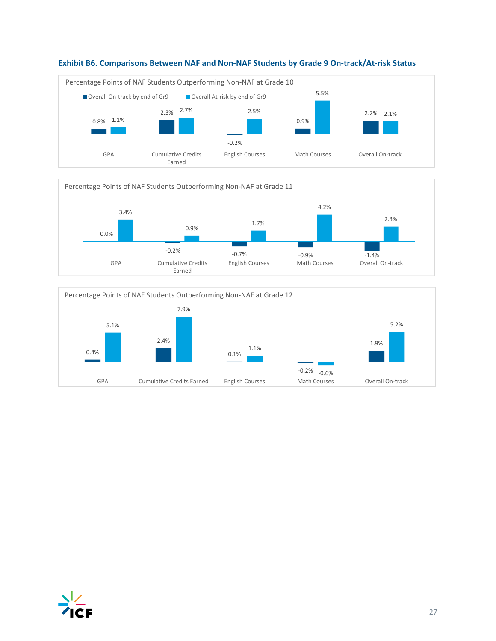







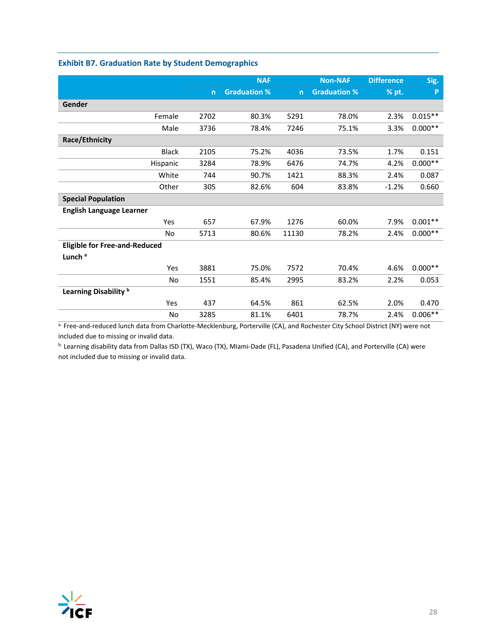|                                      |                | <b>NAF</b>          |                | <b>Non-NAF</b>      | <b>Difference</b> | Sig.      |
|--------------------------------------|----------------|---------------------|----------------|---------------------|-------------------|-----------|
|                                      | $\overline{n}$ | <b>Graduation %</b> | $\overline{n}$ | <b>Graduation %</b> | % pt.             | P         |
| Gender                               |                |                     |                |                     |                   |           |
| Female                               | 2702           | 80.3%               | 5291           | 78.0%               | 2.3%              | $0.015**$ |
| Male                                 | 3736           | 78.4%               | 7246           | 75.1%               | 3.3%              | $0.000**$ |
| Race/Ethnicity                       |                |                     |                |                     |                   |           |
| <b>Black</b>                         | 2105           | 75.2%               | 4036           | 73.5%               | 1.7%              | 0.151     |
| Hispanic                             | 3284           | 78.9%               | 6476           | 74.7%               | 4.2%              | $0.000**$ |
| White                                | 744            | 90.7%               | 1421           | 88.3%               | 2.4%              | 0.087     |
| Other                                | 305            | 82.6%               | 604            | 83.8%               | $-1.2%$           | 0.660     |
| <b>Special Population</b>            |                |                     |                |                     |                   |           |
| <b>English Language Learner</b>      |                |                     |                |                     |                   |           |
| Yes                                  | 657            | 67.9%               | 1276           | 60.0%               | 7.9%              | $0.001**$ |
| No.                                  | 5713           | 80.6%               | 11130          | 78.2%               | 2.4%              | $0.000**$ |
| <b>Eligible for Free-and-Reduced</b> |                |                     |                |                     |                   |           |
| Lunch <sup>a</sup>                   |                |                     |                |                     |                   |           |
| Yes                                  | 3881           | 75.0%               | 7572           | 70.4%               | 4.6%              | $0.000**$ |
| No                                   | 1551           | 85.4%               | 2995           | 83.2%               | 2.2%              | 0.053     |
| Learning Disability <sup>b</sup>     |                |                     |                |                     |                   |           |
| Yes                                  | 437            | 64.5%               | 861            | 62.5%               | 2.0%              | 0.470     |
| No                                   | 3285           | 81.1%               | 6401           | 78.7%               | 2.4%              | $0.006**$ |

### **Exhibit B7. Graduation Rate by Student Demographics**

a. Free-and-reduced lunch data from Charlotte-Mecklenburg, Porterville (CA), and Rochester City School District (NY) were not included due to missing or invalid data.

b. Learning disability data from Dallas ISD (TX), Waco (TX), Miami-Dade (FL), Pasadena Unified (CA), and Porterville (CA) were not included due to missing or invalid data.

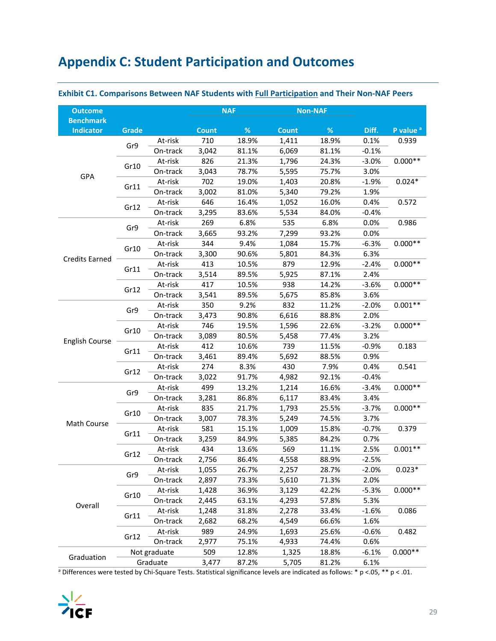# **Appendix C: Student Participation and Outcomes**

| <b>Outcome</b>                |       |              | <b>NAF</b>   |       |              | <b>Non-NAF</b> |         |                      |
|-------------------------------|-------|--------------|--------------|-------|--------------|----------------|---------|----------------------|
| <b>Benchmark</b><br>Indicator | Grade |              | <b>Count</b> | %     | <b>Count</b> | $\%$           | Diff.   | P value <sup>a</sup> |
|                               |       | At-risk      | 710          | 18.9% | 1,411        | 18.9%          | 0.1%    | 0.939                |
|                               | Gr9   | On-track     | 3,042        | 81.1% | 6,069        | 81.1%          | $-0.1%$ |                      |
|                               |       | At-risk      | 826          | 21.3% | 1,796        | 24.3%          | $-3.0%$ | $0.000**$            |
|                               | Gr10  | On-track     | 3,043        | 78.7% | 5,595        | 75.7%          | 3.0%    |                      |
| GPA                           |       | At-risk      | 702          | 19.0% | 1,403        | 20.8%          | $-1.9%$ | $0.024*$             |
|                               | Gr11  | On-track     | 3,002        | 81.0% | 5,340        | 79.2%          | 1.9%    |                      |
|                               |       | At-risk      | 646          | 16.4% | 1,052        | 16.0%          | 0.4%    | 0.572                |
|                               | Gr12  | On-track     | 3,295        | 83.6% | 5,534        | 84.0%          | $-0.4%$ |                      |
|                               |       | At-risk      | 269          | 6.8%  | 535          | 6.8%           | 0.0%    | 0.986                |
|                               | Gr9   | On-track     | 3,665        | 93.2% | 7,299        | 93.2%          | 0.0%    |                      |
|                               |       | At-risk      | 344          | 9.4%  | 1,084        | 15.7%          | $-6.3%$ | $0.000**$            |
|                               | Gr10  | On-track     | 3,300        | 90.6% | 5,801        | 84.3%          | 6.3%    |                      |
| <b>Credits Earned</b>         |       | At-risk      | 413          | 10.5% | 879          | 12.9%          | $-2.4%$ | $0.000**$            |
|                               | Gr11  | On-track     | 3,514        | 89.5% | 5,925        | 87.1%          | 2.4%    |                      |
|                               |       | At-risk      | 417          | 10.5% | 938          | 14.2%          | $-3.6%$ | $0.000**$            |
|                               | Gr12  | On-track     | 3,541        | 89.5% | 5,675        | 85.8%          | 3.6%    |                      |
|                               |       | At-risk      | 350          | 9.2%  | 832          | 11.2%          | $-2.0%$ | $0.001**$            |
|                               | Gr9   | On-track     | 3,473        | 90.8% | 6,616        | 88.8%          | 2.0%    |                      |
|                               |       | At-risk      | 746          | 19.5% | 1,596        | 22.6%          | $-3.2%$ | $0.000**$            |
|                               | Gr10  | On-track     | 3,089        | 80.5% | 5,458        | 77.4%          | 3.2%    |                      |
| <b>English Course</b>         |       | At-risk      | 412          | 10.6% | 739          | 11.5%          | $-0.9%$ | 0.183                |
|                               | Gr11  | On-track     | 3,461        | 89.4% | 5,692        | 88.5%          | 0.9%    |                      |
|                               |       | At-risk      | 274          | 8.3%  | 430          | 7.9%           | 0.4%    | 0.541                |
|                               | Gr12  | On-track     | 3,022        | 91.7% | 4,982        | 92.1%          | $-0.4%$ |                      |
|                               |       | At-risk      | 499          | 13.2% | 1,214        | 16.6%          | $-3.4%$ | $0.000**$            |
|                               | Gr9   | On-track     | 3,281        | 86.8% | 6,117        | 83.4%          | 3.4%    |                      |
|                               |       | At-risk      | 835          | 21.7% | 1,793        | 25.5%          | $-3.7%$ | $0.000**$            |
|                               | Gr10  | On-track     | 3,007        | 78.3% | 5,249        | 74.5%          | 3.7%    |                      |
| Math Course                   |       | At-risk      | 581          | 15.1% | 1,009        | 15.8%          | $-0.7%$ | 0.379                |
|                               | Gr11  | On-track     | 3,259        | 84.9% | 5,385        | 84.2%          | 0.7%    |                      |
|                               |       | At-risk      | 434          | 13.6% | 569          | 11.1%          | 2.5%    | $0.001**$            |
|                               | Gr12  | On-track     | 2,756        | 86.4% | 4,558        | 88.9%          | $-2.5%$ |                      |
|                               |       | At-risk      | 1,055        | 26.7% | 2,257        | 28.7%          | $-2.0%$ | $0.023*$             |
|                               | Gr9   | On-track     | 2,897        | 73.3% | 5,610        | 71.3%          | 2.0%    |                      |
|                               |       | At-risk      | 1,428        | 36.9% | 3,129        | 42.2%          | $-5.3%$ | $0.000**$            |
| Overall                       | Gr10  | On-track     | 2,445        | 63.1% | 4,293        | 57.8%          | 5.3%    |                      |
|                               | Gr11  | At-risk      | 1,248        | 31.8% | 2,278        | 33.4%          | $-1.6%$ | 0.086                |
|                               |       | On-track     | 2,682        | 68.2% | 4,549        | 66.6%          | 1.6%    |                      |
|                               |       | At-risk      | 989          | 24.9% | 1,693        | 25.6%          | $-0.6%$ | 0.482                |
|                               | Gr12  | On-track     | 2,977        | 75.1% | 4,933        | 74.4%          | 0.6%    |                      |
| Graduation                    |       | Not graduate | 509          | 12.8% | 1,325        | 18.8%          | $-6.1%$ | $0.000**$            |
|                               |       | Graduate     | 3,477        | 87.2% | 5,705        | 81.2%          | 6.1%    |                      |

### **Exhibit C1. Comparisons Between NAF Students with Full Participation and Their Non‐NAF Peers**

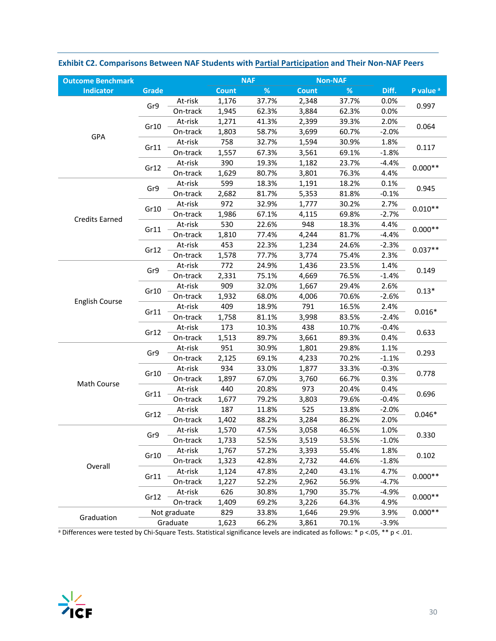| %<br>%<br>Diff.<br><b>Indicator</b><br><b>Grade</b><br><b>Count</b><br>Count<br>P value <sup>a</sup><br>At-risk<br>1,176<br>37.7%<br>0.0%<br>37.7%<br>2,348<br>Gr9<br>0.997<br>0.0%<br>1,945<br>62.3%<br>3,884<br>62.3%<br>On-track<br>At-risk<br>1,271<br>41.3%<br>2,399<br>39.3%<br>2.0%<br>Gr10<br>0.064<br>1,803<br>58.7%<br>3,699<br>60.7%<br>$-2.0%$<br>On-track<br>GPA<br>758<br>32.7%<br>1,594<br>30.9%<br>1.8%<br>At-risk<br>Gr11<br>0.117<br>69.1%<br>$-1.8%$<br>On-track<br>1,557<br>67.3%<br>3,561<br>390<br>At-risk<br>19.3%<br>1,182<br>23.7%<br>$-4.4%$<br>$0.000**$<br>Gr12<br>1,629<br>4.4%<br>80.7%<br>3,801<br>76.3%<br>On-track<br>599<br>18.3%<br>1,191<br>18.2%<br>0.1%<br>At-risk<br>Gr9<br>0.945<br>2,682<br>81.7%<br>5,353<br>81.8%<br>$-0.1%$<br>On-track<br>972<br>At-risk<br>32.9%<br>1,777<br>30.2%<br>2.7%<br>$0.010**$<br>Gr10<br>69.8%<br>1,986<br>67.1%<br>$-2.7%$<br>On-track<br>4,115<br><b>Credits Earned</b><br>530<br>At-risk<br>22.6%<br>948<br>18.3%<br>4.4%<br>$0.000**$<br>Gr11<br>On-track<br>1,810<br>77.4%<br>4,244<br>81.7%<br>$-4.4%$<br>453<br>22.3%<br>$-2.3%$<br>At-risk<br>1,234<br>24.6%<br>$0.037**$<br>Gr12<br>2.3%<br>1,578<br>On-track<br>77.7%<br>3,774<br>75.4%<br>772<br>24.9%<br>1,436<br>23.5%<br>1.4%<br>At-risk<br>Gr9<br>0.149<br>4,669<br>2,331<br>75.1%<br>76.5%<br>$-1.4%$<br>On-track<br>909<br>32.0%<br>1,667<br>2.6%<br>At-risk<br>29.4%<br>Gr10<br>$0.13*$<br>1,932<br>68.0%<br>4,006<br>70.6%<br>$-2.6%$<br>On-track<br>English Course<br>409<br>18.9%<br>791<br>16.5%<br>2.4%<br>At-risk<br>$0.016*$<br>Gr11<br>On-track<br>1,758<br>81.1%<br>3,998<br>83.5%<br>$-2.4%$<br>173<br>At-risk<br>10.3%<br>438<br>10.7%<br>$-0.4%$<br>Gr12<br>0.633<br>1,513<br>89.3%<br>0.4%<br>On-track<br>89.7%<br>3,661<br>951<br>30.9%<br>29.8%<br>1.1%<br>1,801<br>At-risk<br>Gr9<br>0.293<br>$-1.1%$<br>On-track<br>2,125<br>69.1%<br>4,233<br>70.2%<br>934<br>At-risk<br>33.0%<br>1,877<br>33.3%<br>$-0.3%$<br>Gr10<br>0.778<br>0.3%<br>1,897<br>67.0%<br>3,760<br>66.7%<br>On-track<br>Math Course<br>At-risk<br>440<br>20.8%<br>973<br>20.4%<br>0.4%<br>Gr11<br>0.696<br>1,677<br>79.2%<br>3,803<br>79.6%<br>$-0.4%$<br>On-track<br>187<br>11.8%<br>525<br>13.8%<br>$-2.0%$<br>At-risk<br>Gr12<br>$0.046*$<br>1,402<br>88.2%<br>2.0%<br>On-track<br>3,284<br>86.2%<br>1,570<br>47.5%<br>3,058<br>46.5%<br>1.0%<br>At-risk<br>Gr9<br>0.330<br>On-track<br>1,733<br>52.5%<br>3,519<br>53.5%<br>$-1.0%$<br>3,393<br>At-risk<br>1,767<br>57.2%<br>55.4%<br>1.8%<br>Gr10<br>0.102<br>1,323<br>42.8%<br>2,732<br>44.6%<br>$-1.8%$<br>On-track<br>Overall<br>At-risk<br>47.8%<br>2,240<br>43.1%<br>1,124<br>4.7%<br>$0.000**$<br>Gr11<br>1,227<br>2,962<br>56.9%<br>On-track<br>52.2%<br>$-4.7%$<br>626<br>At-risk<br>30.8%<br>1,790<br>35.7%<br>$-4.9%$<br>$0.000**$<br>Gr12<br>On-track<br>1,409<br>69.2%<br>4.9%<br>3,226<br>64.3%<br>829<br>$0.000**$<br>Not graduate<br>33.8%<br>1,646<br>29.9%<br>3.9%<br>Graduation<br>1,623<br>66.2%<br>70.1%<br>$-3.9%$<br>Graduate<br>3,861 | <b>Outcome Benchmark</b> |  | <b>NAF</b> | <b>Non-NAF</b> |  |
|----------------------------------------------------------------------------------------------------------------------------------------------------------------------------------------------------------------------------------------------------------------------------------------------------------------------------------------------------------------------------------------------------------------------------------------------------------------------------------------------------------------------------------------------------------------------------------------------------------------------------------------------------------------------------------------------------------------------------------------------------------------------------------------------------------------------------------------------------------------------------------------------------------------------------------------------------------------------------------------------------------------------------------------------------------------------------------------------------------------------------------------------------------------------------------------------------------------------------------------------------------------------------------------------------------------------------------------------------------------------------------------------------------------------------------------------------------------------------------------------------------------------------------------------------------------------------------------------------------------------------------------------------------------------------------------------------------------------------------------------------------------------------------------------------------------------------------------------------------------------------------------------------------------------------------------------------------------------------------------------------------------------------------------------------------------------------------------------------------------------------------------------------------------------------------------------------------------------------------------------------------------------------------------------------------------------------------------------------------------------------------------------------------------------------------------------------------------------------------------------------------------------------------------------------------------------------------------------------------------------------------------------------------------------------------------------------------------------------------------------------------------------------------------------------------------------------------------------------------------------------------------------------------------------------------------------------------------------------------------------------------------------------------------------|--------------------------|--|------------|----------------|--|
|                                                                                                                                                                                                                                                                                                                                                                                                                                                                                                                                                                                                                                                                                                                                                                                                                                                                                                                                                                                                                                                                                                                                                                                                                                                                                                                                                                                                                                                                                                                                                                                                                                                                                                                                                                                                                                                                                                                                                                                                                                                                                                                                                                                                                                                                                                                                                                                                                                                                                                                                                                                                                                                                                                                                                                                                                                                                                                                                                                                                                                              |                          |  |            |                |  |
|                                                                                                                                                                                                                                                                                                                                                                                                                                                                                                                                                                                                                                                                                                                                                                                                                                                                                                                                                                                                                                                                                                                                                                                                                                                                                                                                                                                                                                                                                                                                                                                                                                                                                                                                                                                                                                                                                                                                                                                                                                                                                                                                                                                                                                                                                                                                                                                                                                                                                                                                                                                                                                                                                                                                                                                                                                                                                                                                                                                                                                              |                          |  |            |                |  |
|                                                                                                                                                                                                                                                                                                                                                                                                                                                                                                                                                                                                                                                                                                                                                                                                                                                                                                                                                                                                                                                                                                                                                                                                                                                                                                                                                                                                                                                                                                                                                                                                                                                                                                                                                                                                                                                                                                                                                                                                                                                                                                                                                                                                                                                                                                                                                                                                                                                                                                                                                                                                                                                                                                                                                                                                                                                                                                                                                                                                                                              |                          |  |            |                |  |
|                                                                                                                                                                                                                                                                                                                                                                                                                                                                                                                                                                                                                                                                                                                                                                                                                                                                                                                                                                                                                                                                                                                                                                                                                                                                                                                                                                                                                                                                                                                                                                                                                                                                                                                                                                                                                                                                                                                                                                                                                                                                                                                                                                                                                                                                                                                                                                                                                                                                                                                                                                                                                                                                                                                                                                                                                                                                                                                                                                                                                                              |                          |  |            |                |  |
|                                                                                                                                                                                                                                                                                                                                                                                                                                                                                                                                                                                                                                                                                                                                                                                                                                                                                                                                                                                                                                                                                                                                                                                                                                                                                                                                                                                                                                                                                                                                                                                                                                                                                                                                                                                                                                                                                                                                                                                                                                                                                                                                                                                                                                                                                                                                                                                                                                                                                                                                                                                                                                                                                                                                                                                                                                                                                                                                                                                                                                              |                          |  |            |                |  |
|                                                                                                                                                                                                                                                                                                                                                                                                                                                                                                                                                                                                                                                                                                                                                                                                                                                                                                                                                                                                                                                                                                                                                                                                                                                                                                                                                                                                                                                                                                                                                                                                                                                                                                                                                                                                                                                                                                                                                                                                                                                                                                                                                                                                                                                                                                                                                                                                                                                                                                                                                                                                                                                                                                                                                                                                                                                                                                                                                                                                                                              |                          |  |            |                |  |
|                                                                                                                                                                                                                                                                                                                                                                                                                                                                                                                                                                                                                                                                                                                                                                                                                                                                                                                                                                                                                                                                                                                                                                                                                                                                                                                                                                                                                                                                                                                                                                                                                                                                                                                                                                                                                                                                                                                                                                                                                                                                                                                                                                                                                                                                                                                                                                                                                                                                                                                                                                                                                                                                                                                                                                                                                                                                                                                                                                                                                                              |                          |  |            |                |  |
|                                                                                                                                                                                                                                                                                                                                                                                                                                                                                                                                                                                                                                                                                                                                                                                                                                                                                                                                                                                                                                                                                                                                                                                                                                                                                                                                                                                                                                                                                                                                                                                                                                                                                                                                                                                                                                                                                                                                                                                                                                                                                                                                                                                                                                                                                                                                                                                                                                                                                                                                                                                                                                                                                                                                                                                                                                                                                                                                                                                                                                              |                          |  |            |                |  |
|                                                                                                                                                                                                                                                                                                                                                                                                                                                                                                                                                                                                                                                                                                                                                                                                                                                                                                                                                                                                                                                                                                                                                                                                                                                                                                                                                                                                                                                                                                                                                                                                                                                                                                                                                                                                                                                                                                                                                                                                                                                                                                                                                                                                                                                                                                                                                                                                                                                                                                                                                                                                                                                                                                                                                                                                                                                                                                                                                                                                                                              |                          |  |            |                |  |
|                                                                                                                                                                                                                                                                                                                                                                                                                                                                                                                                                                                                                                                                                                                                                                                                                                                                                                                                                                                                                                                                                                                                                                                                                                                                                                                                                                                                                                                                                                                                                                                                                                                                                                                                                                                                                                                                                                                                                                                                                                                                                                                                                                                                                                                                                                                                                                                                                                                                                                                                                                                                                                                                                                                                                                                                                                                                                                                                                                                                                                              |                          |  |            |                |  |
|                                                                                                                                                                                                                                                                                                                                                                                                                                                                                                                                                                                                                                                                                                                                                                                                                                                                                                                                                                                                                                                                                                                                                                                                                                                                                                                                                                                                                                                                                                                                                                                                                                                                                                                                                                                                                                                                                                                                                                                                                                                                                                                                                                                                                                                                                                                                                                                                                                                                                                                                                                                                                                                                                                                                                                                                                                                                                                                                                                                                                                              |                          |  |            |                |  |
|                                                                                                                                                                                                                                                                                                                                                                                                                                                                                                                                                                                                                                                                                                                                                                                                                                                                                                                                                                                                                                                                                                                                                                                                                                                                                                                                                                                                                                                                                                                                                                                                                                                                                                                                                                                                                                                                                                                                                                                                                                                                                                                                                                                                                                                                                                                                                                                                                                                                                                                                                                                                                                                                                                                                                                                                                                                                                                                                                                                                                                              |                          |  |            |                |  |
|                                                                                                                                                                                                                                                                                                                                                                                                                                                                                                                                                                                                                                                                                                                                                                                                                                                                                                                                                                                                                                                                                                                                                                                                                                                                                                                                                                                                                                                                                                                                                                                                                                                                                                                                                                                                                                                                                                                                                                                                                                                                                                                                                                                                                                                                                                                                                                                                                                                                                                                                                                                                                                                                                                                                                                                                                                                                                                                                                                                                                                              |                          |  |            |                |  |
|                                                                                                                                                                                                                                                                                                                                                                                                                                                                                                                                                                                                                                                                                                                                                                                                                                                                                                                                                                                                                                                                                                                                                                                                                                                                                                                                                                                                                                                                                                                                                                                                                                                                                                                                                                                                                                                                                                                                                                                                                                                                                                                                                                                                                                                                                                                                                                                                                                                                                                                                                                                                                                                                                                                                                                                                                                                                                                                                                                                                                                              |                          |  |            |                |  |
|                                                                                                                                                                                                                                                                                                                                                                                                                                                                                                                                                                                                                                                                                                                                                                                                                                                                                                                                                                                                                                                                                                                                                                                                                                                                                                                                                                                                                                                                                                                                                                                                                                                                                                                                                                                                                                                                                                                                                                                                                                                                                                                                                                                                                                                                                                                                                                                                                                                                                                                                                                                                                                                                                                                                                                                                                                                                                                                                                                                                                                              |                          |  |            |                |  |
|                                                                                                                                                                                                                                                                                                                                                                                                                                                                                                                                                                                                                                                                                                                                                                                                                                                                                                                                                                                                                                                                                                                                                                                                                                                                                                                                                                                                                                                                                                                                                                                                                                                                                                                                                                                                                                                                                                                                                                                                                                                                                                                                                                                                                                                                                                                                                                                                                                                                                                                                                                                                                                                                                                                                                                                                                                                                                                                                                                                                                                              |                          |  |            |                |  |
|                                                                                                                                                                                                                                                                                                                                                                                                                                                                                                                                                                                                                                                                                                                                                                                                                                                                                                                                                                                                                                                                                                                                                                                                                                                                                                                                                                                                                                                                                                                                                                                                                                                                                                                                                                                                                                                                                                                                                                                                                                                                                                                                                                                                                                                                                                                                                                                                                                                                                                                                                                                                                                                                                                                                                                                                                                                                                                                                                                                                                                              |                          |  |            |                |  |
|                                                                                                                                                                                                                                                                                                                                                                                                                                                                                                                                                                                                                                                                                                                                                                                                                                                                                                                                                                                                                                                                                                                                                                                                                                                                                                                                                                                                                                                                                                                                                                                                                                                                                                                                                                                                                                                                                                                                                                                                                                                                                                                                                                                                                                                                                                                                                                                                                                                                                                                                                                                                                                                                                                                                                                                                                                                                                                                                                                                                                                              |                          |  |            |                |  |
|                                                                                                                                                                                                                                                                                                                                                                                                                                                                                                                                                                                                                                                                                                                                                                                                                                                                                                                                                                                                                                                                                                                                                                                                                                                                                                                                                                                                                                                                                                                                                                                                                                                                                                                                                                                                                                                                                                                                                                                                                                                                                                                                                                                                                                                                                                                                                                                                                                                                                                                                                                                                                                                                                                                                                                                                                                                                                                                                                                                                                                              |                          |  |            |                |  |
|                                                                                                                                                                                                                                                                                                                                                                                                                                                                                                                                                                                                                                                                                                                                                                                                                                                                                                                                                                                                                                                                                                                                                                                                                                                                                                                                                                                                                                                                                                                                                                                                                                                                                                                                                                                                                                                                                                                                                                                                                                                                                                                                                                                                                                                                                                                                                                                                                                                                                                                                                                                                                                                                                                                                                                                                                                                                                                                                                                                                                                              |                          |  |            |                |  |
|                                                                                                                                                                                                                                                                                                                                                                                                                                                                                                                                                                                                                                                                                                                                                                                                                                                                                                                                                                                                                                                                                                                                                                                                                                                                                                                                                                                                                                                                                                                                                                                                                                                                                                                                                                                                                                                                                                                                                                                                                                                                                                                                                                                                                                                                                                                                                                                                                                                                                                                                                                                                                                                                                                                                                                                                                                                                                                                                                                                                                                              |                          |  |            |                |  |
|                                                                                                                                                                                                                                                                                                                                                                                                                                                                                                                                                                                                                                                                                                                                                                                                                                                                                                                                                                                                                                                                                                                                                                                                                                                                                                                                                                                                                                                                                                                                                                                                                                                                                                                                                                                                                                                                                                                                                                                                                                                                                                                                                                                                                                                                                                                                                                                                                                                                                                                                                                                                                                                                                                                                                                                                                                                                                                                                                                                                                                              |                          |  |            |                |  |
|                                                                                                                                                                                                                                                                                                                                                                                                                                                                                                                                                                                                                                                                                                                                                                                                                                                                                                                                                                                                                                                                                                                                                                                                                                                                                                                                                                                                                                                                                                                                                                                                                                                                                                                                                                                                                                                                                                                                                                                                                                                                                                                                                                                                                                                                                                                                                                                                                                                                                                                                                                                                                                                                                                                                                                                                                                                                                                                                                                                                                                              |                          |  |            |                |  |
|                                                                                                                                                                                                                                                                                                                                                                                                                                                                                                                                                                                                                                                                                                                                                                                                                                                                                                                                                                                                                                                                                                                                                                                                                                                                                                                                                                                                                                                                                                                                                                                                                                                                                                                                                                                                                                                                                                                                                                                                                                                                                                                                                                                                                                                                                                                                                                                                                                                                                                                                                                                                                                                                                                                                                                                                                                                                                                                                                                                                                                              |                          |  |            |                |  |
|                                                                                                                                                                                                                                                                                                                                                                                                                                                                                                                                                                                                                                                                                                                                                                                                                                                                                                                                                                                                                                                                                                                                                                                                                                                                                                                                                                                                                                                                                                                                                                                                                                                                                                                                                                                                                                                                                                                                                                                                                                                                                                                                                                                                                                                                                                                                                                                                                                                                                                                                                                                                                                                                                                                                                                                                                                                                                                                                                                                                                                              |                          |  |            |                |  |
|                                                                                                                                                                                                                                                                                                                                                                                                                                                                                                                                                                                                                                                                                                                                                                                                                                                                                                                                                                                                                                                                                                                                                                                                                                                                                                                                                                                                                                                                                                                                                                                                                                                                                                                                                                                                                                                                                                                                                                                                                                                                                                                                                                                                                                                                                                                                                                                                                                                                                                                                                                                                                                                                                                                                                                                                                                                                                                                                                                                                                                              |                          |  |            |                |  |
|                                                                                                                                                                                                                                                                                                                                                                                                                                                                                                                                                                                                                                                                                                                                                                                                                                                                                                                                                                                                                                                                                                                                                                                                                                                                                                                                                                                                                                                                                                                                                                                                                                                                                                                                                                                                                                                                                                                                                                                                                                                                                                                                                                                                                                                                                                                                                                                                                                                                                                                                                                                                                                                                                                                                                                                                                                                                                                                                                                                                                                              |                          |  |            |                |  |
|                                                                                                                                                                                                                                                                                                                                                                                                                                                                                                                                                                                                                                                                                                                                                                                                                                                                                                                                                                                                                                                                                                                                                                                                                                                                                                                                                                                                                                                                                                                                                                                                                                                                                                                                                                                                                                                                                                                                                                                                                                                                                                                                                                                                                                                                                                                                                                                                                                                                                                                                                                                                                                                                                                                                                                                                                                                                                                                                                                                                                                              |                          |  |            |                |  |
|                                                                                                                                                                                                                                                                                                                                                                                                                                                                                                                                                                                                                                                                                                                                                                                                                                                                                                                                                                                                                                                                                                                                                                                                                                                                                                                                                                                                                                                                                                                                                                                                                                                                                                                                                                                                                                                                                                                                                                                                                                                                                                                                                                                                                                                                                                                                                                                                                                                                                                                                                                                                                                                                                                                                                                                                                                                                                                                                                                                                                                              |                          |  |            |                |  |
|                                                                                                                                                                                                                                                                                                                                                                                                                                                                                                                                                                                                                                                                                                                                                                                                                                                                                                                                                                                                                                                                                                                                                                                                                                                                                                                                                                                                                                                                                                                                                                                                                                                                                                                                                                                                                                                                                                                                                                                                                                                                                                                                                                                                                                                                                                                                                                                                                                                                                                                                                                                                                                                                                                                                                                                                                                                                                                                                                                                                                                              |                          |  |            |                |  |
|                                                                                                                                                                                                                                                                                                                                                                                                                                                                                                                                                                                                                                                                                                                                                                                                                                                                                                                                                                                                                                                                                                                                                                                                                                                                                                                                                                                                                                                                                                                                                                                                                                                                                                                                                                                                                                                                                                                                                                                                                                                                                                                                                                                                                                                                                                                                                                                                                                                                                                                                                                                                                                                                                                                                                                                                                                                                                                                                                                                                                                              |                          |  |            |                |  |
|                                                                                                                                                                                                                                                                                                                                                                                                                                                                                                                                                                                                                                                                                                                                                                                                                                                                                                                                                                                                                                                                                                                                                                                                                                                                                                                                                                                                                                                                                                                                                                                                                                                                                                                                                                                                                                                                                                                                                                                                                                                                                                                                                                                                                                                                                                                                                                                                                                                                                                                                                                                                                                                                                                                                                                                                                                                                                                                                                                                                                                              |                          |  |            |                |  |
|                                                                                                                                                                                                                                                                                                                                                                                                                                                                                                                                                                                                                                                                                                                                                                                                                                                                                                                                                                                                                                                                                                                                                                                                                                                                                                                                                                                                                                                                                                                                                                                                                                                                                                                                                                                                                                                                                                                                                                                                                                                                                                                                                                                                                                                                                                                                                                                                                                                                                                                                                                                                                                                                                                                                                                                                                                                                                                                                                                                                                                              |                          |  |            |                |  |
|                                                                                                                                                                                                                                                                                                                                                                                                                                                                                                                                                                                                                                                                                                                                                                                                                                                                                                                                                                                                                                                                                                                                                                                                                                                                                                                                                                                                                                                                                                                                                                                                                                                                                                                                                                                                                                                                                                                                                                                                                                                                                                                                                                                                                                                                                                                                                                                                                                                                                                                                                                                                                                                                                                                                                                                                                                                                                                                                                                                                                                              |                          |  |            |                |  |
|                                                                                                                                                                                                                                                                                                                                                                                                                                                                                                                                                                                                                                                                                                                                                                                                                                                                                                                                                                                                                                                                                                                                                                                                                                                                                                                                                                                                                                                                                                                                                                                                                                                                                                                                                                                                                                                                                                                                                                                                                                                                                                                                                                                                                                                                                                                                                                                                                                                                                                                                                                                                                                                                                                                                                                                                                                                                                                                                                                                                                                              |                          |  |            |                |  |
|                                                                                                                                                                                                                                                                                                                                                                                                                                                                                                                                                                                                                                                                                                                                                                                                                                                                                                                                                                                                                                                                                                                                                                                                                                                                                                                                                                                                                                                                                                                                                                                                                                                                                                                                                                                                                                                                                                                                                                                                                                                                                                                                                                                                                                                                                                                                                                                                                                                                                                                                                                                                                                                                                                                                                                                                                                                                                                                                                                                                                                              |                          |  |            |                |  |
|                                                                                                                                                                                                                                                                                                                                                                                                                                                                                                                                                                                                                                                                                                                                                                                                                                                                                                                                                                                                                                                                                                                                                                                                                                                                                                                                                                                                                                                                                                                                                                                                                                                                                                                                                                                                                                                                                                                                                                                                                                                                                                                                                                                                                                                                                                                                                                                                                                                                                                                                                                                                                                                                                                                                                                                                                                                                                                                                                                                                                                              |                          |  |            |                |  |
|                                                                                                                                                                                                                                                                                                                                                                                                                                                                                                                                                                                                                                                                                                                                                                                                                                                                                                                                                                                                                                                                                                                                                                                                                                                                                                                                                                                                                                                                                                                                                                                                                                                                                                                                                                                                                                                                                                                                                                                                                                                                                                                                                                                                                                                                                                                                                                                                                                                                                                                                                                                                                                                                                                                                                                                                                                                                                                                                                                                                                                              |                          |  |            |                |  |
|                                                                                                                                                                                                                                                                                                                                                                                                                                                                                                                                                                                                                                                                                                                                                                                                                                                                                                                                                                                                                                                                                                                                                                                                                                                                                                                                                                                                                                                                                                                                                                                                                                                                                                                                                                                                                                                                                                                                                                                                                                                                                                                                                                                                                                                                                                                                                                                                                                                                                                                                                                                                                                                                                                                                                                                                                                                                                                                                                                                                                                              |                          |  |            |                |  |
|                                                                                                                                                                                                                                                                                                                                                                                                                                                                                                                                                                                                                                                                                                                                                                                                                                                                                                                                                                                                                                                                                                                                                                                                                                                                                                                                                                                                                                                                                                                                                                                                                                                                                                                                                                                                                                                                                                                                                                                                                                                                                                                                                                                                                                                                                                                                                                                                                                                                                                                                                                                                                                                                                                                                                                                                                                                                                                                                                                                                                                              |                          |  |            |                |  |
|                                                                                                                                                                                                                                                                                                                                                                                                                                                                                                                                                                                                                                                                                                                                                                                                                                                                                                                                                                                                                                                                                                                                                                                                                                                                                                                                                                                                                                                                                                                                                                                                                                                                                                                                                                                                                                                                                                                                                                                                                                                                                                                                                                                                                                                                                                                                                                                                                                                                                                                                                                                                                                                                                                                                                                                                                                                                                                                                                                                                                                              |                          |  |            |                |  |
|                                                                                                                                                                                                                                                                                                                                                                                                                                                                                                                                                                                                                                                                                                                                                                                                                                                                                                                                                                                                                                                                                                                                                                                                                                                                                                                                                                                                                                                                                                                                                                                                                                                                                                                                                                                                                                                                                                                                                                                                                                                                                                                                                                                                                                                                                                                                                                                                                                                                                                                                                                                                                                                                                                                                                                                                                                                                                                                                                                                                                                              |                          |  |            |                |  |
|                                                                                                                                                                                                                                                                                                                                                                                                                                                                                                                                                                                                                                                                                                                                                                                                                                                                                                                                                                                                                                                                                                                                                                                                                                                                                                                                                                                                                                                                                                                                                                                                                                                                                                                                                                                                                                                                                                                                                                                                                                                                                                                                                                                                                                                                                                                                                                                                                                                                                                                                                                                                                                                                                                                                                                                                                                                                                                                                                                                                                                              |                          |  |            |                |  |

### **Exhibit C2. Comparisons Between NAF Students with Partial Participation and Their Non‐NAF Peers**

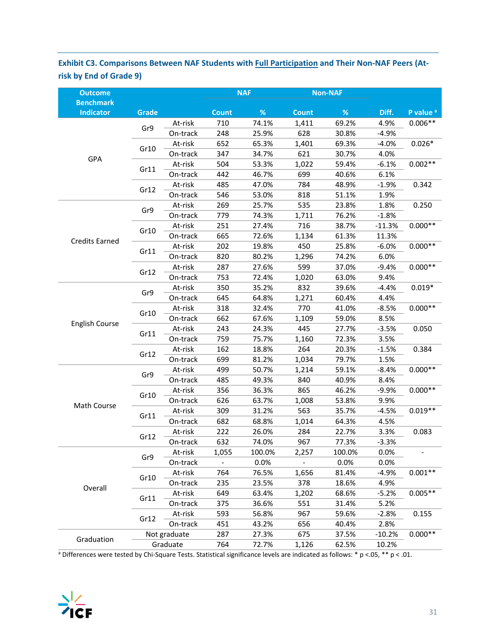# **Exhibit C3. Comparisons Between NAF Students with Full Participation and Their Non‐NAF Peers (At‐ risk by End of Grade 9)**

| <b>Outcome</b>                       |              |              |              | <b>NAF</b> |              | <b>Non-NAF</b> |           |                      |
|--------------------------------------|--------------|--------------|--------------|------------|--------------|----------------|-----------|----------------------|
| <b>Benchmark</b><br><b>Indicator</b> | <b>Grade</b> |              | <b>Count</b> | $\%$       | <b>Count</b> | $\%$           | Diff.     | P value <sup>a</sup> |
|                                      |              | At-risk      | 710          | 74.1%      | 1,411        | 69.2%          | 4.9%      | $0.006**$            |
|                                      | Gr9          | On-track     | 248          | 25.9%      | 628          | 30.8%          | $-4.9%$   |                      |
|                                      |              | At-risk      | 652          | 65.3%      | 1,401        | 69.3%          | $-4.0%$   | $0.026*$             |
|                                      | Gr10         | On-track     | 347          | 34.7%      | 621          | 30.7%          | 4.0%      |                      |
| GPA                                  |              | At-risk      | 504          | 53.3%      | 1,022        | 59.4%          | $-6.1%$   | $0.002**$            |
|                                      | Gr11         | On-track     | 442          | 46.7%      | 699          | 40.6%          | 6.1%      |                      |
|                                      | Gr12         | At-risk      | 485          | 47.0%      | 784          | 48.9%          | $-1.9%$   | 0.342                |
|                                      |              | On-track     | 546          | 53.0%      | 818          | 51.1%          | 1.9%      |                      |
|                                      | Gr9          | At-risk      | 269          | 25.7%      | 535          | 23.8%          | 1.8%      | 0.250                |
|                                      |              | On-track     | 779          | 74.3%      | 1,711        | 76.2%          | $-1.8%$   |                      |
|                                      |              | At-risk      | 251          | 27.4%      | 716          | 38.7%          | $-11.3%$  | $0.000**$            |
|                                      | Gr10         | On-track     | 665          | 72.6%      | 1,134        | 61.3%          | 11.3%     |                      |
| <b>Credits Earned</b>                |              | At-risk      | 202          | 19.8%      | 450          | 25.8%          | $-6.0%$   | $0.000**$            |
|                                      | Gr11         | On-track     | 820          | 80.2%      | 1,296        | 74.2%          | 6.0%      |                      |
|                                      |              | At-risk      | 287          | 27.6%      | 599          | 37.0%          | $-9.4%$   | $0.000**$            |
|                                      | Gr12         | On-track     | 753          | 72.4%      | 1,020        | 63.0%          | 9.4%      |                      |
|                                      | Gr9          | At-risk      | 350          | 35.2%      | 832          | 39.6%          | $-4.4%$   | $0.019*$             |
|                                      |              | On-track     | 645          | 64.8%      | 1,271        | 60.4%          | 4.4%      |                      |
|                                      |              | At-risk      | 318          | 32.4%      | 770          | 41.0%          | $-8.5%$   | $0.000**$            |
|                                      | Gr10         | On-track     | 662          | 67.6%      | 1,109        | 59.0%          | 8.5%      |                      |
| <b>English Course</b>                |              | At-risk      | 243          | 24.3%      | 445          | 27.7%          | $-3.5%$   | 0.050                |
|                                      | Gr11         | On-track     | 759          | 75.7%      | 1,160        | 72.3%          | 3.5%      |                      |
|                                      |              | At-risk      | 162          | 18.8%      | 264          | 20.3%          | $-1.5%$   | 0.384                |
|                                      | Gr12         | On-track     | 699          | 81.2%      | 1,034        | 79.7%          | 1.5%      |                      |
|                                      |              | At-risk      | 499          | 50.7%      | 1,214        | 59.1%          | $-8.4%$   | $0.000**$            |
|                                      | Gr9          | On-track     | 485          | 49.3%      | 840          | 40.9%          | 8.4%      |                      |
|                                      |              | At-risk      | 356          | 36.3%      | 865          | 46.2%          | $-9.9%$   | $0.000**$            |
| Math Course                          | Gr10         | On-track     | 626          | 63.7%      | 1,008        | 53.8%          | 9.9%      |                      |
|                                      |              | At-risk      | 309          | 31.2%      | 563          | 35.7%          | $-4.5%$   | $0.019**$            |
|                                      | Gr11         | On-track     | 682          | 68.8%      | 1,014        | 64.3%          | 4.5%      |                      |
|                                      |              | At-risk      | 222          | 26.0%      | 284          | 22.7%          | 3.3%      | 0.083                |
|                                      | Gr12         | On-track     | 632          | 74.0%      | 967          | 77.3%          | $-3.3%$   |                      |
|                                      | Gr9          | At-risk      | 1,055        | 100.0%     | 2,257        | 100.0%         | 0.0%      |                      |
|                                      |              | On-track     |              | 0.0%       |              | 0.0%           | 0.0%      |                      |
|                                      |              | At-risk      | 764          | 76.5%      | 1,656        | 81.4%          | $-4.9%$   | $0.001**$            |
|                                      | Gr10         | On-track     | 235          | 23.5%      | 378          | 18.6%          | 4.9%      |                      |
| Overall                              | At-risk      | 649          | 63.4%        | 1,202      | 68.6%        | $-5.2%$        | $0.005**$ |                      |
| Gr11                                 | On-track     | 375          | 36.6%        | 551        | 31.4%        | 5.2%           |           |                      |
|                                      |              | At-risk      | 593          | 56.8%      | 967          | 59.6%          | $-2.8%$   | 0.155                |
| Gr12                                 | On-track     | 451          | 43.2%        | 656        | 40.4%        | 2.8%           |           |                      |
| Graduation                           |              | Not graduate | 287          | 27.3%      | 675          | 37.5%          | $-10.2%$  | $0.000**$            |
|                                      |              | Graduate     | 764          | 72.7%      | 1,126        | 62.5%          | 10.2%     |                      |

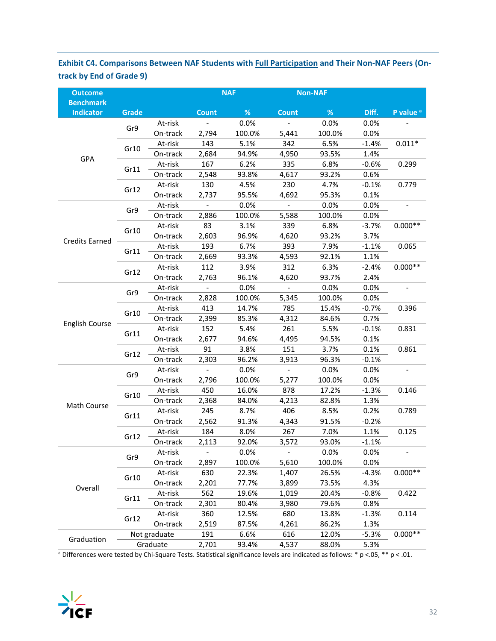# **Exhibit C4. Comparisons Between NAF Students with Full Participation and Their Non‐NAF Peers (On‐ track by End of Grade 9)**

| <b>Outcome</b>                       |              |              | <b>NAF</b>               |        |                          | <b>Non-NAF</b> |         |                      |
|--------------------------------------|--------------|--------------|--------------------------|--------|--------------------------|----------------|---------|----------------------|
| <b>Benchmark</b><br><b>Indicator</b> | <b>Grade</b> |              | <b>Count</b>             | %      | <b>Count</b>             | %              | Diff.   | P value <sup>a</sup> |
|                                      | Gr9          | At-risk      | $\overline{a}$           | 0.0%   | $\blacksquare$           | 0.0%           | 0.0%    |                      |
|                                      |              | On-track     | 2,794                    | 100.0% | 5,441                    | 100.0%         | 0.0%    |                      |
|                                      |              | At-risk      | 143                      | 5.1%   | 342                      | 6.5%           | $-1.4%$ | $0.011*$             |
| GPA                                  | Gr10         | On-track     | 2,684                    | 94.9%  | 4,950                    | 93.5%          | 1.4%    |                      |
|                                      |              | At-risk      | 167                      | 6.2%   | 335                      | 6.8%           | $-0.6%$ | 0.299                |
|                                      | Gr11         | On-track     | 2,548                    | 93.8%  | 4,617                    | 93.2%          | 0.6%    |                      |
|                                      | Gr12         | At-risk      | 130                      | 4.5%   | 230                      | 4.7%           | $-0.1%$ | 0.779                |
|                                      |              | On-track     | 2,737                    | 95.5%  | 4,692                    | 95.3%          | 0.1%    |                      |
|                                      |              | At-risk      | $\blacksquare$           | 0.0%   | $\overline{\phantom{a}}$ | 0.0%           | 0.0%    |                      |
|                                      | Gr9          | On-track     | 2,886                    | 100.0% | 5,588                    | 100.0%         | 0.0%    |                      |
|                                      |              | At-risk      | 83                       | 3.1%   | 339                      | 6.8%           | $-3.7%$ | $0.000**$            |
|                                      | Gr10         | On-track     | 2,603                    | 96.9%  | 4,620                    | 93.2%          | 3.7%    |                      |
| <b>Credits Earned</b>                |              | At-risk      | 193                      | 6.7%   | 393                      | 7.9%           | $-1.1%$ | 0.065                |
|                                      | Gr11         | On-track     | 2,669                    | 93.3%  | 4,593                    | 92.1%          | 1.1%    |                      |
|                                      |              | At-risk      | 112                      | 3.9%   | 312                      | 6.3%           | $-2.4%$ | $0.000**$            |
|                                      | Gr12         | On-track     | 2,763                    | 96.1%  | 4,620                    | 93.7%          | 2.4%    |                      |
|                                      |              | At-risk      |                          | 0.0%   |                          | 0.0%           | 0.0%    |                      |
|                                      | Gr9          | On-track     | 2,828                    | 100.0% | 5,345                    | 100.0%         | 0.0%    |                      |
|                                      |              | At-risk      | 413                      | 14.7%  | 785                      | 15.4%          | $-0.7%$ | 0.396                |
|                                      | Gr10         | On-track     | 2,399                    | 85.3%  | 4,312                    | 84.6%          | 0.7%    |                      |
| <b>English Course</b>                |              | At-risk      | 152                      | 5.4%   | 261                      | 5.5%           | $-0.1%$ | 0.831                |
|                                      | Gr11         | On-track     | 2,677                    | 94.6%  | 4,495                    | 94.5%          | 0.1%    |                      |
|                                      |              | At-risk      | 91                       | 3.8%   | 151                      | 3.7%           | 0.1%    | 0.861                |
|                                      | Gr12         | On-track     | 2,303                    | 96.2%  | 3,913                    | 96.3%          | $-0.1%$ |                      |
|                                      | Gr9          | At-risk      | $\blacksquare$           | 0.0%   | $\overline{\phantom{a}}$ | 0.0%           | 0.0%    |                      |
|                                      |              | On-track     | 2,796                    | 100.0% | 5,277                    | 100.0%         | 0.0%    |                      |
|                                      | Gr10         | At-risk      | 450                      | 16.0%  | 878                      | 17.2%          | $-1.3%$ | 0.146                |
| Math Course                          |              | On-track     | 2,368                    | 84.0%  | 4,213                    | 82.8%          | 1.3%    |                      |
|                                      | Gr11         | At-risk      | 245                      | 8.7%   | 406                      | 8.5%           | 0.2%    | 0.789                |
|                                      |              | On-track     | 2,562                    | 91.3%  | 4,343                    | 91.5%          | $-0.2%$ |                      |
|                                      | Gr12         | At-risk      | 184                      | 8.0%   | 267                      | 7.0%           | 1.1%    | 0.125                |
|                                      |              | On-track     | 2,113                    | 92.0%  | 3,572                    | 93.0%          | $-1.1%$ |                      |
|                                      | Gr9          | At-risk      | $\overline{\phantom{0}}$ | 0.0%   | $\overline{\phantom{a}}$ | 0.0%           | 0.0%    |                      |
|                                      |              | On-track     | 2,897                    | 100.0% | 5,610                    | 100.0%         | 0.0%    |                      |
|                                      | Gr10         | At-risk      | 630                      | 22.3%  | 1,407                    | 26.5%          | $-4.3%$ | $0.000**$            |
| Overall                              |              | On-track     | 2,201                    | 77.7%  | 3,899                    | 73.5%          | 4.3%    |                      |
|                                      |              | At-risk      | 562                      | 19.6%  | 1,019                    | 20.4%          | $-0.8%$ | 0.422                |
|                                      | Gr11         | On-track     | 2,301                    | 80.4%  | 3,980                    | 79.6%          | 0.8%    |                      |
|                                      |              | At-risk      | 360                      | 12.5%  | 680                      | 13.8%          | $-1.3%$ | 0.114                |
|                                      | Gr12         | On-track     | 2,519                    | 87.5%  | 4,261                    | 86.2%          | 1.3%    |                      |
| Graduation                           |              | Not graduate | 191                      | 6.6%   | 616                      | 12.0%          | $-5.3%$ | $0.000**$            |
|                                      |              | Graduate     | 2,701                    | 93.4%  | 4,537                    | 88.0%          | 5.3%    |                      |

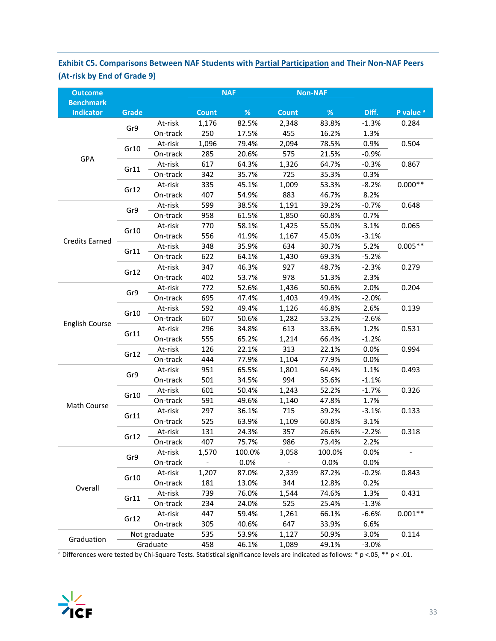# **Exhibit C5. Comparisons Between NAF Students with Partial Participation and Their Non‐NAF Peers (At‐risk by End of Grade 9)**

| <b>Outcome</b>                       |              |              | <b>NAF</b>   |        |              | <b>Non-NAF</b> |         |                      |
|--------------------------------------|--------------|--------------|--------------|--------|--------------|----------------|---------|----------------------|
| <b>Benchmark</b><br><b>Indicator</b> | <b>Grade</b> |              | <b>Count</b> | $\%$   | <b>Count</b> | %              | Diff.   | P value <sup>a</sup> |
|                                      |              | At-risk      | 1,176        | 82.5%  | 2,348        | 83.8%          | $-1.3%$ | 0.284                |
|                                      | Gr9          | On-track     | 250          | 17.5%  | 455          | 16.2%          | 1.3%    |                      |
|                                      |              | At-risk      | 1,096        | 79.4%  | 2,094        | 78.5%          | 0.9%    | 0.504                |
|                                      | Gr10         | On-track     | 285          | 20.6%  | 575          | 21.5%          | $-0.9%$ |                      |
| GPA                                  |              | At-risk      | 617          | 64.3%  | 1,326        | 64.7%          | $-0.3%$ | 0.867                |
|                                      | Gr11         | On-track     | 342          | 35.7%  | 725          | 35.3%          | 0.3%    |                      |
|                                      |              | At-risk      | 335          | 45.1%  | 1,009        | 53.3%          | $-8.2%$ | $0.000**$            |
|                                      | Gr12         | On-track     | 407          | 54.9%  | 883          | 46.7%          | 8.2%    |                      |
|                                      |              | At-risk      | 599          | 38.5%  | 1,191        | 39.2%          | $-0.7%$ | 0.648                |
|                                      | Gr9          | On-track     | 958          | 61.5%  | 1,850        | 60.8%          | 0.7%    |                      |
|                                      |              | At-risk      | 770          | 58.1%  | 1,425        | 55.0%          | 3.1%    | 0.065                |
|                                      | Gr10         | On-track     | 556          | 41.9%  | 1,167        | 45.0%          | $-3.1%$ |                      |
| <b>Credits Earned</b>                |              | At-risk      | 348          | 35.9%  | 634          | 30.7%          | 5.2%    | $0.005**$            |
|                                      | Gr11         | On-track     | 622          | 64.1%  | 1,430        | 69.3%          | $-5.2%$ |                      |
|                                      |              | At-risk      | 347          | 46.3%  | 927          | 48.7%          | $-2.3%$ | 0.279                |
|                                      | Gr12         | On-track     | 402          | 53.7%  | 978          | 51.3%          | 2.3%    |                      |
|                                      |              | At-risk      | 772          | 52.6%  | 1,436        | 50.6%          | 2.0%    | 0.204                |
|                                      | Gr9          | On-track     | 695          | 47.4%  | 1,403        | 49.4%          | $-2.0%$ |                      |
|                                      |              | At-risk      | 592          | 49.4%  | 1,126        | 46.8%          | 2.6%    | 0.139                |
|                                      | Gr10         | On-track     | 607          | 50.6%  | 1,282        | 53.2%          | $-2.6%$ |                      |
| <b>English Course</b>                | Gr11         | At-risk      | 296          | 34.8%  | 613          | 33.6%          | 1.2%    | 0.531                |
|                                      |              | On-track     | 555          | 65.2%  | 1,214        | 66.4%          | $-1.2%$ |                      |
|                                      | Gr12         | At-risk      | 126          | 22.1%  | 313          | 22.1%          | 0.0%    | 0.994                |
|                                      |              | On-track     | 444          | 77.9%  | 1,104        | 77.9%          | 0.0%    |                      |
|                                      | Gr9          | At-risk      | 951          | 65.5%  | 1,801        | 64.4%          | 1.1%    | 0.493                |
|                                      |              | On-track     | 501          | 34.5%  | 994          | 35.6%          | $-1.1%$ |                      |
|                                      | Gr10         | At-risk      | 601          | 50.4%  | 1,243        | 52.2%          | $-1.7%$ | 0.326                |
| Math Course                          |              | On-track     | 591          | 49.6%  | 1,140        | 47.8%          | 1.7%    |                      |
|                                      | Gr11         | At-risk      | 297          | 36.1%  | 715          | 39.2%          | $-3.1%$ | 0.133                |
|                                      |              | On-track     | 525          | 63.9%  | 1,109        | 60.8%          | 3.1%    |                      |
|                                      | Gr12         | At-risk      | 131          | 24.3%  | 357          | 26.6%          | $-2.2%$ | 0.318                |
|                                      |              | On-track     | 407          | 75.7%  | 986          | 73.4%          | 2.2%    |                      |
|                                      | Gr9          | At-risk      | 1,570        | 100.0% | 3,058        | 100.0%         | 0.0%    |                      |
|                                      |              | On-track     |              | 0.0%   |              | 0.0%           | 0.0%    |                      |
|                                      | Gr10         | At-risk      | 1,207        | 87.0%  | 2,339        | 87.2%          | $-0.2%$ | 0.843                |
| Overall                              |              | On-track     | 181          | 13.0%  | 344          | 12.8%          | 0.2%    |                      |
|                                      | Gr11         | At-risk      | 739          | 76.0%  | 1,544        | 74.6%          | 1.3%    | 0.431                |
|                                      |              | On-track     | 234          | 24.0%  | 525          | 25.4%          | $-1.3%$ |                      |
|                                      | Gr12         | At-risk      | 447          | 59.4%  | 1,261        | 66.1%          | $-6.6%$ | $0.001**$            |
|                                      |              | On-track     | 305          | 40.6%  | 647          | 33.9%          | 6.6%    |                      |
| Graduation                           |              | Not graduate | 535          | 53.9%  | 1,127        | 50.9%          | 3.0%    | 0.114                |
|                                      |              | Graduate     | 458          | 46.1%  | 1,089        | 49.1%          | $-3.0%$ |                      |

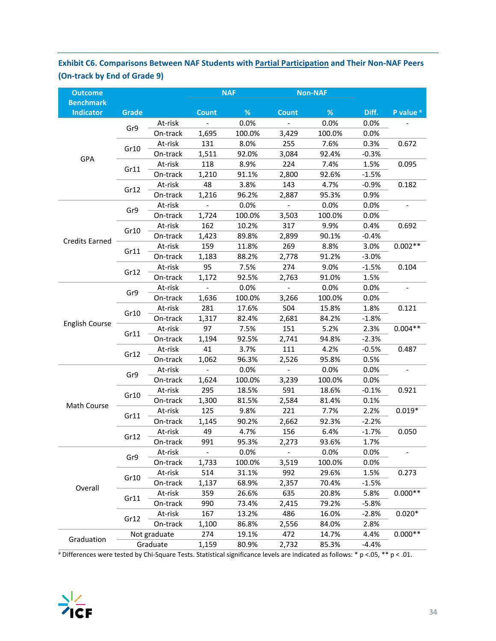# **Exhibit C6. Comparisons Between NAF Students with Partial Participation and Their Non‐NAF Peers (On‐track by End of Grade 9)**

| <b>Outcome</b>                       |              |              |                | <b>NAF</b> |                          | <b>Non-NAF</b> |         |                          |
|--------------------------------------|--------------|--------------|----------------|------------|--------------------------|----------------|---------|--------------------------|
| <b>Benchmark</b><br><b>Indicator</b> | <b>Grade</b> |              | <b>Count</b>   | %          | <b>Count</b>             | %              | Diff.   | P value <sup>a</sup>     |
|                                      | Gr9          | At-risk      | $\equiv$       | 0.0%       | $\equiv$                 | 0.0%           | 0.0%    |                          |
|                                      |              | On-track     | 1,695          | 100.0%     | 3,429                    | 100.0%         | 0.0%    |                          |
|                                      |              | At-risk      | 131            | 8.0%       | 255                      | 7.6%           | 0.3%    | 0.672                    |
| GPA                                  | Gr10         | On-track     | 1,511          | 92.0%      | 3,084                    | 92.4%          | $-0.3%$ |                          |
|                                      |              | At-risk      | 118            | 8.9%       | 224                      | 7.4%           | 1.5%    | 0.095                    |
|                                      | Gr11         | On-track     | 1,210          | 91.1%      | 2,800                    | 92.6%          | $-1.5%$ |                          |
|                                      |              | At-risk      | 48             | 3.8%       | 143                      | 4.7%           | $-0.9%$ | 0.182                    |
|                                      | Gr12         | On-track     | 1,216          | 96.2%      | 2,887                    | 95.3%          | 0.9%    |                          |
|                                      |              | At-risk      | $\blacksquare$ | 0.0%       | $\overline{\phantom{a}}$ | 0.0%           | 0.0%    |                          |
|                                      | Gr9          | On-track     | 1,724          | 100.0%     | 3,503                    | 100.0%         | 0.0%    |                          |
|                                      |              | At-risk      | 162            | 10.2%      | 317                      | 9.9%           | 0.4%    | 0.692                    |
|                                      | Gr10         | On-track     | 1,423          | 89.8%      | 2,899                    | 90.1%          | $-0.4%$ |                          |
| <b>Credits Earned</b>                |              | At-risk      | 159            | 11.8%      | 269                      | 8.8%           | 3.0%    | $0.002**$                |
|                                      | Gr11         | On-track     | 1,183          | 88.2%      | 2,778                    | 91.2%          | $-3.0%$ |                          |
|                                      |              | At-risk      | 95             | 7.5%       | 274                      | 9.0%           | $-1.5%$ | 0.104                    |
|                                      | Gr12         | On-track     | 1,172          | 92.5%      | 2,763                    | 91.0%          | 1.5%    |                          |
|                                      |              | At-risk      |                | 0.0%       |                          | 0.0%           | 0.0%    |                          |
|                                      | Gr9          | On-track     | 1,636          | 100.0%     | 3,266                    | 100.0%         | 0.0%    |                          |
|                                      |              | At-risk      | 281            | 17.6%      | 504                      | 15.8%          | 1.8%    | 0.121                    |
|                                      | Gr10         | On-track     | 1,317          | 82.4%      | 2,681                    | 84.2%          | $-1.8%$ |                          |
| <b>English Course</b>                |              | At-risk      | 97             | 7.5%       | 151                      | 5.2%           | 2.3%    | $0.004**$                |
|                                      | Gr11         | On-track     | 1,194          | 92.5%      | 2,741                    | 94.8%          | $-2.3%$ |                          |
|                                      |              | At-risk      | 41             | 3.7%       | 111                      | 4.2%           | $-0.5%$ | 0.487                    |
|                                      | Gr12         | On-track     | 1,062          | 96.3%      | 2,526                    | 95.8%          | 0.5%    |                          |
|                                      |              | At-risk      | $\frac{1}{2}$  | 0.0%       | $\overline{\phantom{a}}$ | 0.0%           | 0.0%    | $\overline{\phantom{a}}$ |
|                                      | Gr9          | On-track     | 1,624          | 100.0%     | 3,239                    | 100.0%         | 0.0%    |                          |
|                                      |              | At-risk      | 295            | 18.5%      | 591                      | 18.6%          | $-0.1%$ | 0.921                    |
|                                      | Gr10         | On-track     | 1,300          | 81.5%      | 2,584                    | 81.4%          | 0.1%    |                          |
| Math Course                          |              | At-risk      | 125            | 9.8%       | 221                      | 7.7%           | 2.2%    | $0.019*$                 |
|                                      | Gr11         | On-track     | 1,145          | 90.2%      | 2,662                    | 92.3%          | $-2.2%$ |                          |
|                                      |              | At-risk      | 49             | 4.7%       | 156                      | 6.4%           | $-1.7%$ | 0.050                    |
|                                      | Gr12         | On-track     | 991            | 95.3%      | 2,273                    | 93.6%          | 1.7%    |                          |
|                                      |              | At-risk      |                | 0.0%       | $\overline{\phantom{a}}$ | 0.0%           | 0.0%    |                          |
|                                      | Gr9          | On-track     | 1,733          | 100.0%     | 3,519                    | 100.0%         | 0.0%    |                          |
|                                      |              | At-risk      | 514            | 31.1%      | 992                      | 29.6%          | 1.5%    | 0.273                    |
|                                      | Gr10         | On-track     | 1,137          | 68.9%      | 2,357                    | 70.4%          | $-1.5%$ |                          |
| Overall                              |              | At-risk      | 359            | 26.6%      | 635                      | 20.8%          | 5.8%    | $0.000**$                |
|                                      | Gr11         | On-track     | 990            | 73.4%      | 2,415                    | 79.2%          | $-5.8%$ |                          |
|                                      |              | At-risk      | 167            | 13.2%      | 486                      | 16.0%          | $-2.8%$ | $0.020*$                 |
|                                      | Gr12         | On-track     | 1,100          | 86.8%      | 2,556                    | 84.0%          | 2.8%    |                          |
|                                      |              | Not graduate | 274            | 19.1%      | 472                      | 14.7%          | 4.4%    | $0.000**$                |
| Graduation                           |              | Graduate     | 1,159          | 80.9%      | 2,732                    | 85.3%          | $-4.4%$ |                          |

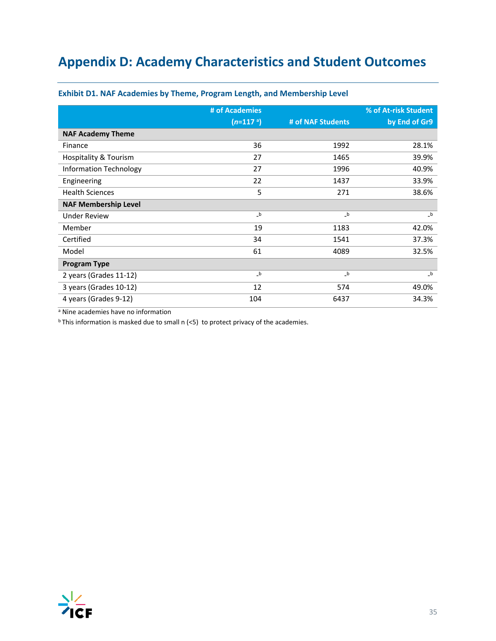# **Appendix D: Academy Characteristics and Student Outcomes**

|                               | # of Academies |                   | % of At-risk Student |
|-------------------------------|----------------|-------------------|----------------------|
|                               | $(n=117a)$     | # of NAF Students | by End of Gr9        |
| <b>NAF Academy Theme</b>      |                |                   |                      |
| Finance                       | 36             | 1992              | 28.1%                |
| Hospitality & Tourism         | 27             | 1465              | 39.9%                |
| <b>Information Technology</b> | 27             | 1996              | 40.9%                |
| Engineering                   | 22             | 1437              | 33.9%                |
| <b>Health Sciences</b>        | 5              | 271               | 38.6%                |
| <b>NAF Membership Level</b>   |                |                   |                      |
| <b>Under Review</b>           | $_b$           | $_b$              | $_b$                 |
| Member                        | 19             | 1183              | 42.0%                |
| Certified                     | 34             | 1541              | 37.3%                |
| Model                         | 61             | 4089              | 32.5%                |
| <b>Program Type</b>           |                |                   |                      |
| 2 years (Grades 11-12)        | $\mathsf{b}$   | $\mathsf{b}$      | $_b$                 |
| 3 years (Grades 10-12)        | 12             | 574               | 49.0%                |
| 4 years (Grades 9-12)         | 104            | 6437              | 34.3%                |

### **Exhibit D1. NAF Academies by Theme, Program Length, and Membership Level**

a Nine academies have no information

 $b$  This information is masked due to small n  $(5)$  to protect privacy of the academies.

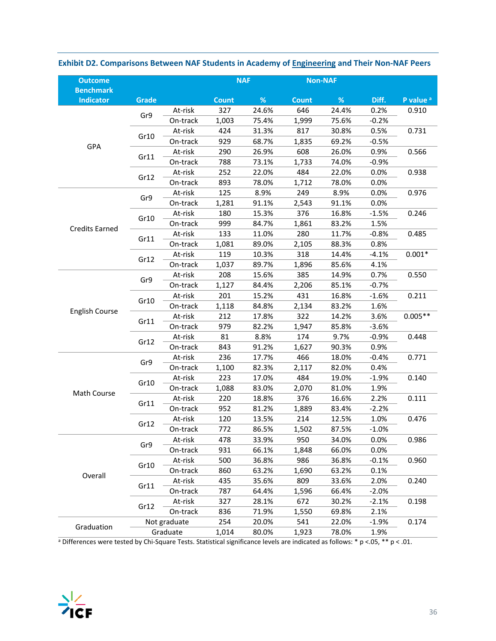| <b>Outcome</b>                       |              |              |              | <b>NAF</b> |              | <b>Non-NAF</b> |         |                      |
|--------------------------------------|--------------|--------------|--------------|------------|--------------|----------------|---------|----------------------|
| <b>Benchmark</b><br><b>Indicator</b> | <b>Grade</b> |              | <b>Count</b> | $\%$       | <b>Count</b> | $\%$           | Diff.   | P value <sup>a</sup> |
|                                      |              | At-risk      | 327          | 24.6%      | 646          | 24.4%          | 0.2%    | 0.910                |
|                                      | Gr9          | On-track     | 1,003        | 75.4%      | 1,999        | 75.6%          | $-0.2%$ |                      |
|                                      |              | At-risk      | 424          | 31.3%      | 817          | 30.8%          | 0.5%    | 0.731                |
|                                      | Gr10         | On-track     | 929          | 68.7%      | 1,835        | 69.2%          | $-0.5%$ |                      |
| GPA                                  |              | At-risk      | 290          | 26.9%      | 608          | 26.0%          | 0.9%    | 0.566                |
|                                      | Gr11         | On-track     | 788          | 73.1%      | 1,733        | 74.0%          | $-0.9%$ |                      |
|                                      | Gr12         | At-risk      | 252          | 22.0%      | 484          | 22.0%          | 0.0%    | 0.938                |
|                                      |              | On-track     | 893          | 78.0%      | 1,712        | 78.0%          | 0.0%    |                      |
|                                      | Gr9          | At-risk      | 125          | 8.9%       | 249          | 8.9%           | 0.0%    | 0.976                |
|                                      |              | On-track     | 1,281        | 91.1%      | 2,543        | 91.1%          | 0.0%    |                      |
|                                      | Gr10         | At-risk      | 180          | 15.3%      | 376          | 16.8%          | $-1.5%$ | 0.246                |
| <b>Credits Earned</b>                |              | On-track     | 999          | 84.7%      | 1,861        | 83.2%          | 1.5%    |                      |
|                                      | Gr11         | At-risk      | 133          | 11.0%      | 280          | 11.7%          | $-0.8%$ | 0.485                |
|                                      |              | On-track     | 1,081        | 89.0%      | 2,105        | 88.3%          | 0.8%    |                      |
|                                      | Gr12         | At-risk      | 119          | 10.3%      | 318          | 14.4%          | $-4.1%$ | $0.001*$             |
|                                      |              | On-track     | 1,037        | 89.7%      | 1,896        | 85.6%          | 4.1%    |                      |
|                                      | Gr9          | At-risk      | 208          | 15.6%      | 385          | 14.9%          | 0.7%    | 0.550                |
|                                      |              | On-track     | 1,127        | 84.4%      | 2,206        | 85.1%          | $-0.7%$ |                      |
|                                      | Gr10         | At-risk      | 201          | 15.2%      | 431          | 16.8%          | $-1.6%$ | 0.211                |
| <b>English Course</b>                |              | On-track     | 1,118        | 84.8%      | 2,134        | 83.2%          | 1.6%    |                      |
|                                      |              | At-risk      | 212          | 17.8%      | 322          | 14.2%          | 3.6%    | $0.005**$            |
|                                      | Gr11         | On-track     | 979          | 82.2%      | 1,947        | 85.8%          | $-3.6%$ |                      |
|                                      | Gr12         | At-risk      | 81           | 8.8%       | 174          | 9.7%           | $-0.9%$ | 0.448                |
|                                      |              | On-track     | 843          | 91.2%      | 1,627        | 90.3%          | 0.9%    |                      |
|                                      | Gr9          | At-risk      | 236          | 17.7%      | 466          | 18.0%          | $-0.4%$ | 0.771                |
|                                      |              | On-track     | 1,100        | 82.3%      | 2,117        | 82.0%          | 0.4%    |                      |
|                                      | Gr10         | At-risk      | 223          | 17.0%      | 484          | 19.0%          | $-1.9%$ | 0.140                |
| Math Course                          |              | On-track     | 1,088        | 83.0%      | 2,070        | 81.0%          | 1.9%    |                      |
|                                      | Gr11         | At-risk      | 220          | 18.8%      | 376          | 16.6%          | 2.2%    | 0.111                |
|                                      |              | On-track     | 952          | 81.2%      | 1,889        | 83.4%          | $-2.2%$ |                      |
|                                      | Gr12         | At-risk      | 120          | 13.5%      | 214          | 12.5%          | 1.0%    | 0.476                |
|                                      |              | On-track     | 772          | 86.5%      | 1,502        | 87.5%          | $-1.0%$ |                      |
|                                      | Gr9          | At-risk      | 478          | 33.9%      | 950          | 34.0%          | 0.0%    | 0.986                |
|                                      |              | On-track     | 931          | 66.1%      | 1,848        | 66.0%          | 0.0%    |                      |
|                                      | Gr10         | At-risk      | 500          | 36.8%      | 986          | 36.8%          | $-0.1%$ | 0.960                |
| Overall                              |              | On-track     | 860          | 63.2%      | 1,690        | 63.2%          | 0.1%    |                      |
|                                      | Gr11         | At-risk      | 435          | 35.6%      | 809          | 33.6%          | 2.0%    | 0.240                |
|                                      |              | On-track     | 787          | 64.4%      | 1,596        | 66.4%          | $-2.0%$ |                      |
|                                      | Gr12         | At-risk      | 327          | 28.1%      | 672          | 30.2%          | $-2.1%$ | 0.198                |
|                                      |              | On-track     | 836          | 71.9%      | 1,550        | 69.8%          | 2.1%    |                      |
| Graduation                           |              | Not graduate | 254          | 20.0%      | 541          | 22.0%          | $-1.9%$ | 0.174                |
|                                      |              | Graduate     | 1,014        | 80.0%      | 1,923        | 78.0%          | 1.9%    |                      |

**Exhibit D2. Comparisons Between NAF Students in Academy of Engineering and Their Non‐NAF Peers** 

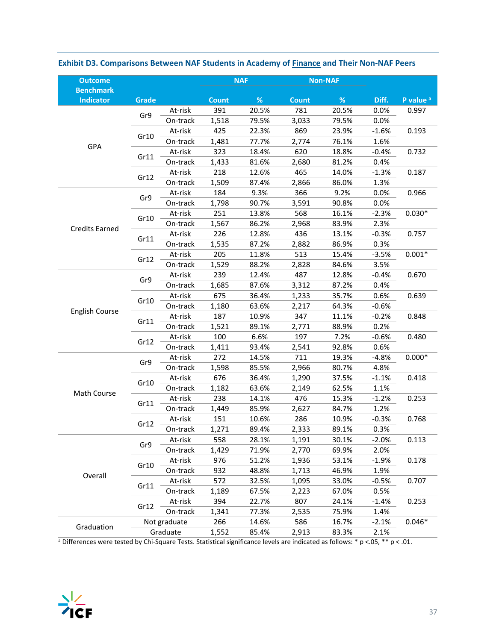| <b>Outcome</b>                       |       |              |              | <b>NAF</b> |              | <b>Non-NAF</b> |         |                      |
|--------------------------------------|-------|--------------|--------------|------------|--------------|----------------|---------|----------------------|
| <b>Benchmark</b><br><b>Indicator</b> | Grade |              | <b>Count</b> | $\%$       | <b>Count</b> | $\%$           | Diff.   | P value <sup>a</sup> |
|                                      |       | At-risk      | 391          | 20.5%      | 781          | 20.5%          | 0.0%    | 0.997                |
|                                      | Gr9   | On-track     | 1,518        | 79.5%      | 3,033        | 79.5%          | 0.0%    |                      |
|                                      |       | At-risk      | 425          | 22.3%      | 869          | 23.9%          | $-1.6%$ | 0.193                |
|                                      | Gr10  | On-track     | 1,481        | 77.7%      | 2,774        | 76.1%          | 1.6%    |                      |
| GPA                                  |       | At-risk      | 323          | 18.4%      | 620          | 18.8%          | $-0.4%$ | 0.732                |
|                                      | Gr11  | On-track     | 1,433        | 81.6%      | 2,680        | 81.2%          | 0.4%    |                      |
|                                      |       | At-risk      | 218          | 12.6%      | 465          | 14.0%          | $-1.3%$ | 0.187                |
|                                      | Gr12  | On-track     | 1,509        | 87.4%      | 2,866        | 86.0%          | 1.3%    |                      |
|                                      |       | At-risk      | 184          | 9.3%       | 366          | 9.2%           | 0.0%    | 0.966                |
|                                      | Gr9   | On-track     | 1,798        | 90.7%      | 3,591        | 90.8%          | 0.0%    |                      |
|                                      |       | At-risk      | 251          | 13.8%      | 568          | 16.1%          | $-2.3%$ | $0.030*$             |
|                                      | Gr10  | On-track     | 1,567        | 86.2%      | 2,968        | 83.9%          | 2.3%    |                      |
| <b>Credits Earned</b>                |       | At-risk      | 226          | 12.8%      | 436          | 13.1%          | $-0.3%$ | 0.757                |
|                                      | Gr11  | On-track     | 1,535        | 87.2%      | 2,882        | 86.9%          | 0.3%    |                      |
|                                      |       | At-risk      | 205          | 11.8%      | 513          | 15.4%          | $-3.5%$ | $0.001*$             |
|                                      | Gr12  | On-track     | 1,529        | 88.2%      | 2,828        | 84.6%          | 3.5%    |                      |
|                                      |       | At-risk      | 239          | 12.4%      | 487          | 12.8%          | $-0.4%$ | 0.670                |
|                                      | Gr9   | On-track     | 1,685        | 87.6%      | 3,312        | 87.2%          | 0.4%    |                      |
|                                      |       | At-risk      | 675          | 36.4%      | 1,233        | 35.7%          | 0.6%    | 0.639                |
|                                      | Gr10  | On-track     | 1,180        | 63.6%      | 2,217        | 64.3%          | $-0.6%$ |                      |
| English Course                       |       | At-risk      | 187          | 10.9%      | 347          | 11.1%          | $-0.2%$ | 0.848                |
|                                      | Gr11  | On-track     | 1,521        | 89.1%      | 2,771        | 88.9%          | 0.2%    |                      |
|                                      |       | At-risk      | 100          | 6.6%       | 197          | 7.2%           | $-0.6%$ | 0.480                |
|                                      | Gr12  | On-track     | 1,411        | 93.4%      | 2,541        | 92.8%          | 0.6%    |                      |
|                                      |       | At-risk      | 272          | 14.5%      | 711          | 19.3%          | $-4.8%$ | $0.000*$             |
|                                      | Gr9   | On-track     | 1,598        | 85.5%      | 2,966        | 80.7%          | 4.8%    |                      |
|                                      |       | At-risk      | 676          | 36.4%      | 1,290        | 37.5%          | $-1.1%$ | 0.418                |
|                                      | Gr10  | On-track     | 1,182        | 63.6%      | 2,149        | 62.5%          | 1.1%    |                      |
| Math Course                          |       | At-risk      | 238          | 14.1%      | 476          | 15.3%          | $-1.2%$ | 0.253                |
|                                      | Gr11  | On-track     | 1,449        | 85.9%      | 2,627        | 84.7%          | 1.2%    |                      |
|                                      |       | At-risk      | 151          | 10.6%      | 286          | 10.9%          | $-0.3%$ | 0.768                |
|                                      | Gr12  | On-track     | 1,271        | 89.4%      | 2,333        | 89.1%          | 0.3%    |                      |
|                                      |       | At-risk      | 558          | 28.1%      | 1,191        | 30.1%          | $-2.0%$ | 0.113                |
|                                      | Gr9   | On-track     | 1,429        | 71.9%      | 2,770        | 69.9%          | 2.0%    |                      |
|                                      |       | At-risk      | 976          | 51.2%      | 1,936        | 53.1%          | $-1.9%$ | 0.178                |
|                                      | Gr10  | On-track     | 932          | 48.8%      | 1,713        | 46.9%          | 1.9%    |                      |
| Overall                              |       | At-risk      | 572          | 32.5%      | 1,095        | 33.0%          | $-0.5%$ | 0.707                |
|                                      | Gr11  | On-track     | 1,189        | 67.5%      | 2,223        | 67.0%          | 0.5%    |                      |
|                                      |       | At-risk      | 394          | 22.7%      | 807          | 24.1%          | $-1.4%$ | 0.253                |
|                                      | Gr12  | On-track     | 1,341        | 77.3%      | 2,535        | 75.9%          | 1.4%    |                      |
|                                      |       | Not graduate | 266          | 14.6%      | 586          | 16.7%          | $-2.1%$ | $0.046*$             |
| Graduation                           |       | Graduate     | 1,552        | 85.4%      | 2,913        | 83.3%          | 2.1%    |                      |

### **Exhibit D3. Comparisons Between NAF Students in Academy of Finance and Their Non‐NAF Peers**

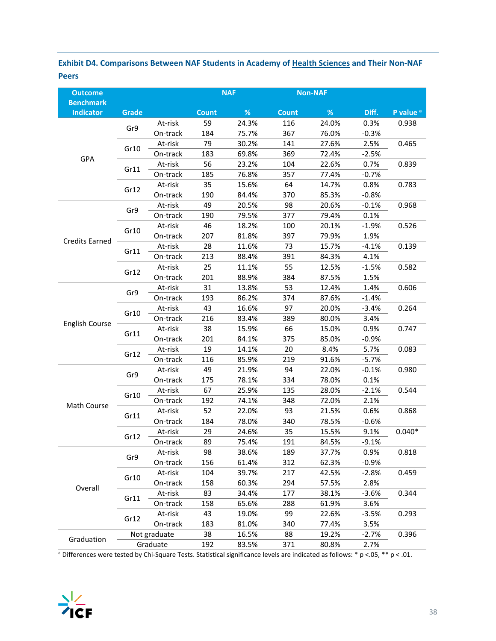### **Exhibit D4. Comparisons Between NAF Students in Academy of Health Sciences and Their Non‐NAF Peers**

| <b>Outcome</b>                       |              |              |              | <b>NAF</b> |              | <b>Non-NAF</b> |         |                      |
|--------------------------------------|--------------|--------------|--------------|------------|--------------|----------------|---------|----------------------|
| <b>Benchmark</b><br><b>Indicator</b> | <b>Grade</b> |              | <b>Count</b> | $\%$       | <b>Count</b> | $\%$           | Diff.   | P value <sup>a</sup> |
|                                      | Gr9          | At-risk      | 59           | 24.3%      | 116          | 24.0%          | 0.3%    | 0.938                |
|                                      |              | On-track     | 184          | 75.7%      | 367          | 76.0%          | $-0.3%$ |                      |
|                                      |              | At-risk      | 79           | 30.2%      | 141          | 27.6%          | 2.5%    | 0.465                |
| GPA                                  | Gr10         | On-track     | 183          | 69.8%      | 369          | 72.4%          | $-2.5%$ |                      |
|                                      | Gr11         | At-risk      | 56           | 23.2%      | 104          | 22.6%          | 0.7%    | 0.839                |
|                                      |              | On-track     | 185          | 76.8%      | 357          | 77.4%          | $-0.7%$ |                      |
|                                      | Gr12         | At-risk      | 35           | 15.6%      | 64           | 14.7%          | 0.8%    | 0.783                |
|                                      |              | On-track     | 190          | 84.4%      | 370          | 85.3%          | $-0.8%$ |                      |
|                                      | Gr9          | At-risk      | 49           | 20.5%      | 98           | 20.6%          | $-0.1%$ | 0.968                |
|                                      |              | On-track     | 190          | 79.5%      | 377          | 79.4%          | 0.1%    |                      |
|                                      | Gr10         | At-risk      | 46           | 18.2%      | 100          | 20.1%          | $-1.9%$ | 0.526                |
| <b>Credits Earned</b>                |              | On-track     | 207          | 81.8%      | 397          | 79.9%          | 1.9%    |                      |
|                                      |              | At-risk      | 28           | 11.6%      | 73           | 15.7%          | $-4.1%$ | 0.139                |
|                                      | Gr11         | On-track     | 213          | 88.4%      | 391          | 84.3%          | 4.1%    |                      |
|                                      | Gr12         | At-risk      | 25           | 11.1%      | 55           | 12.5%          | $-1.5%$ | 0.582                |
|                                      |              | On-track     | 201          | 88.9%      | 384          | 87.5%          | 1.5%    |                      |
|                                      |              | At-risk      | 31           | 13.8%      | 53           | 12.4%          | 1.4%    | 0.606                |
|                                      | Gr9          | On-track     | 193          | 86.2%      | 374          | 87.6%          | $-1.4%$ |                      |
|                                      |              | At-risk      | 43           | 16.6%      | 97           | 20.0%          | $-3.4%$ | 0.264                |
|                                      | Gr10         | On-track     | 216          | 83.4%      | 389          | 80.0%          | 3.4%    |                      |
| <b>English Course</b>                |              | At-risk      | 38           | 15.9%      | 66           | 15.0%          | 0.9%    | 0.747                |
|                                      | Gr11         | On-track     | 201          | 84.1%      | 375          | 85.0%          | $-0.9%$ |                      |
|                                      | Gr12         | At-risk      | 19           | 14.1%      | 20           | 8.4%           | 5.7%    | 0.083                |
|                                      |              | On-track     | 116          | 85.9%      | 219          | 91.6%          | $-5.7%$ |                      |
|                                      | Gr9          | At-risk      | 49           | 21.9%      | 94           | 22.0%          | $-0.1%$ | 0.980                |
|                                      |              | On-track     | 175          | 78.1%      | 334          | 78.0%          | 0.1%    |                      |
|                                      | Gr10         | At-risk      | 67           | 25.9%      | 135          | 28.0%          | $-2.1%$ | 0.544                |
| Math Course                          |              | On-track     | 192          | 74.1%      | 348          | 72.0%          | 2.1%    |                      |
|                                      | Gr11         | At-risk      | 52           | 22.0%      | 93           | 21.5%          | 0.6%    | 0.868                |
|                                      |              | On-track     | 184          | 78.0%      | 340          | 78.5%          | $-0.6%$ |                      |
|                                      | Gr12         | At-risk      | 29           | 24.6%      | 35           | 15.5%          | 9.1%    | $0.040*$             |
|                                      |              | On-track     | 89           | 75.4%      | 191          | 84.5%          | $-9.1%$ |                      |
|                                      | Gr9          | At-risk      | 98           | 38.6%      | 189          | 37.7%          | 0.9%    | 0.818                |
|                                      |              | On-track     | 156          | 61.4%      | 312          | 62.3%          | $-0.9%$ |                      |
|                                      | Gr10         | At-risk      | 104          | 39.7%      | 217          | 42.5%          | $-2.8%$ | 0.459                |
| Overall                              |              | On-track     | 158          | 60.3%      | 294          | 57.5%          | 2.8%    |                      |
|                                      | Gr11         | At-risk      | 83           | 34.4%      | 177          | 38.1%          | $-3.6%$ | 0.344                |
|                                      |              | On-track     | 158          | 65.6%      | 288          | 61.9%          | 3.6%    |                      |
|                                      | Gr12         | At-risk      | 43           | 19.0%      | 99           | 22.6%          | $-3.5%$ | 0.293                |
|                                      |              | On-track     | 183          | 81.0%      | 340          | 77.4%          | 3.5%    |                      |
| Graduation                           |              | Not graduate | 38           | 16.5%      | 88           | 19.2%          | $-2.7%$ | 0.396                |
|                                      |              | Graduate     | 192          | 83.5%      | 371          | 80.8%          | 2.7%    |                      |

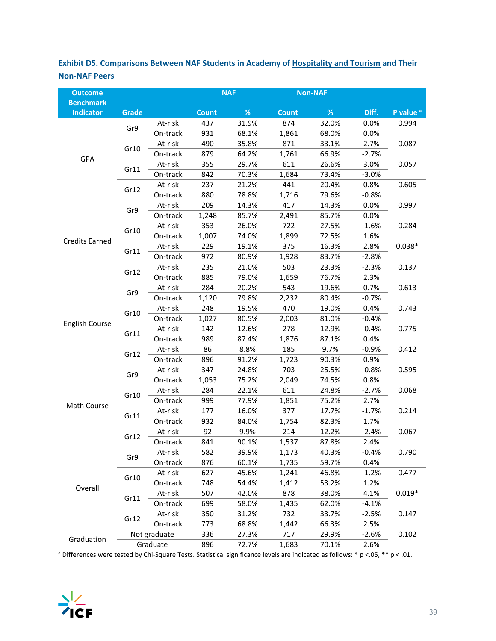### **Exhibit D5. Comparisons Between NAF Students in Academy of Hospitality and Tourism and Their Non‐NAF Peers**

| <b>Outcome</b>                       |              |              |              | <b>NAF</b> |              | <b>Non-NAF</b> |         |                      |
|--------------------------------------|--------------|--------------|--------------|------------|--------------|----------------|---------|----------------------|
| <b>Benchmark</b><br><b>Indicator</b> | <b>Grade</b> |              | <b>Count</b> | %          | <b>Count</b> | %              | Diff.   | P value <sup>a</sup> |
|                                      | Gr9          | At-risk      | 437          | 31.9%      | 874          | 32.0%          | 0.0%    | 0.994                |
|                                      |              | On-track     | 931          | 68.1%      | 1,861        | 68.0%          | 0.0%    |                      |
|                                      |              | At-risk      | 490          | 35.8%      | 871          | 33.1%          | 2.7%    | 0.087                |
|                                      | Gr10         | On-track     | 879          | 64.2%      | 1,761        | 66.9%          | $-2.7%$ |                      |
| GPA                                  |              | At-risk      | 355          | 29.7%      | 611          | 26.6%          | 3.0%    | 0.057                |
|                                      | Gr11         | On-track     | 842          | 70.3%      | 1,684        | 73.4%          | $-3.0%$ |                      |
|                                      |              | At-risk      | 237          | 21.2%      | 441          | 20.4%          | 0.8%    | 0.605                |
|                                      | Gr12         | On-track     | 880          | 78.8%      | 1,716        | 79.6%          | $-0.8%$ |                      |
|                                      |              | At-risk      | 209          | 14.3%      | 417          | 14.3%          | 0.0%    | 0.997                |
|                                      | Gr9          | On-track     | 1,248        | 85.7%      | 2,491        | 85.7%          | 0.0%    |                      |
|                                      |              | At-risk      | 353          | 26.0%      | 722          | 27.5%          | $-1.6%$ | 0.284                |
|                                      | Gr10         | On-track     | 1,007        | 74.0%      | 1,899        | 72.5%          | 1.6%    |                      |
| <b>Credits Earned</b>                |              | At-risk      | 229          | 19.1%      | 375          | 16.3%          | 2.8%    | $0.038*$             |
|                                      | Gr11         | On-track     | 972          | 80.9%      | 1,928        | 83.7%          | $-2.8%$ |                      |
|                                      |              | At-risk      | 235          | 21.0%      | 503          | 23.3%          | $-2.3%$ | 0.137                |
|                                      | Gr12         | On-track     | 885          | 79.0%      | 1,659        | 76.7%          | 2.3%    |                      |
|                                      |              | At-risk      | 284          | 20.2%      | 543          | 19.6%          | 0.7%    | 0.613                |
|                                      | Gr9          | On-track     | 1,120        | 79.8%      | 2,232        | 80.4%          | $-0.7%$ |                      |
|                                      |              | At-risk      | 248          | 19.5%      | 470          | 19.0%          | 0.4%    | 0.743                |
|                                      | Gr10         | On-track     | 1,027        | 80.5%      | 2,003        | 81.0%          | $-0.4%$ |                      |
| <b>English Course</b>                |              | At-risk      | 142          | 12.6%      | 278          | 12.9%          | $-0.4%$ | 0.775                |
|                                      | Gr11         | On-track     | 989          | 87.4%      | 1,876        | 87.1%          | 0.4%    |                      |
|                                      |              | At-risk      | 86           | 8.8%       | 185          | 9.7%           | $-0.9%$ | 0.412                |
|                                      | Gr12         | On-track     | 896          | 91.2%      | 1,723        | 90.3%          | 0.9%    |                      |
|                                      |              | At-risk      | 347          | 24.8%      | 703          | 25.5%          | $-0.8%$ | 0.595                |
|                                      | Gr9          | On-track     | 1,053        | 75.2%      | 2,049        | 74.5%          | 0.8%    |                      |
|                                      |              | At-risk      | 284          | 22.1%      | 611          | 24.8%          | $-2.7%$ | 0.068                |
|                                      | Gr10         | On-track     | 999          | 77.9%      | 1,851        | 75.2%          | 2.7%    |                      |
| <b>Math Course</b>                   |              | At-risk      | 177          | 16.0%      | 377          | 17.7%          | $-1.7%$ | 0.214                |
|                                      | Gr11         | On-track     | 932          | 84.0%      | 1,754        | 82.3%          | 1.7%    |                      |
|                                      |              | At-risk      | 92           | 9.9%       | 214          | 12.2%          | $-2.4%$ | 0.067                |
|                                      | Gr12         | On-track     | 841          | 90.1%      | 1,537        | 87.8%          | 2.4%    |                      |
|                                      |              | At-risk      | 582          | 39.9%      | 1,173        | 40.3%          | $-0.4%$ | 0.790                |
|                                      | Gr9          | On-track     | 876          | 60.1%      | 1,735        | 59.7%          | 0.4%    |                      |
|                                      |              | At-risk      | 627          | 45.6%      | 1,241        | 46.8%          | $-1.2%$ | 0.477                |
| Overall                              | Gr10         | On-track     | 748          | 54.4%      | 1,412        | 53.2%          | 1.2%    |                      |
|                                      |              | At-risk      | 507          | 42.0%      | 878          | 38.0%          | 4.1%    | $0.019*$             |
|                                      | Gr11         | On-track     | 699          | 58.0%      | 1,435        | 62.0%          | $-4.1%$ |                      |
|                                      |              | At-risk      | 350          | 31.2%      | 732          | 33.7%          | $-2.5%$ | 0.147                |
|                                      | Gr12         | On-track     | 773          | 68.8%      | 1,442        | 66.3%          | 2.5%    |                      |
| Graduation                           |              | Not graduate | 336          | 27.3%      | 717          | 29.9%          | $-2.6%$ | 0.102                |
|                                      |              | Graduate     | 896          | 72.7%      | 1,683        | 70.1%          | 2.6%    |                      |

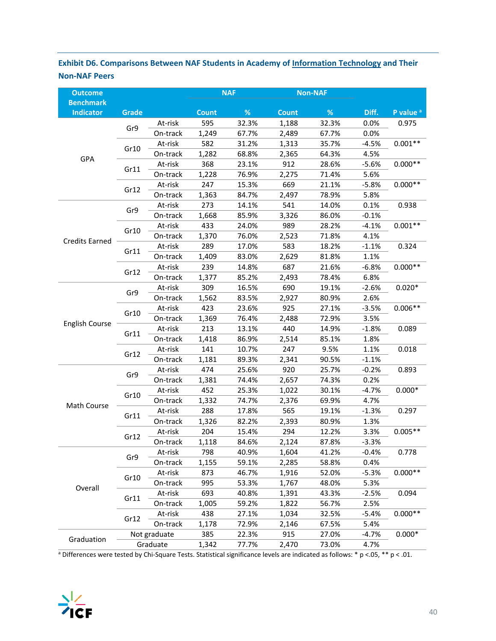### **Exhibit D6. Comparisons Between NAF Students in Academy of Information Technology and Their Non‐NAF Peers**

| <b>Outcome</b>                       |              |              |              | <b>NAF</b> |              | <b>Non-NAF</b> |         |                      |
|--------------------------------------|--------------|--------------|--------------|------------|--------------|----------------|---------|----------------------|
| <b>Benchmark</b><br><b>Indicator</b> | <b>Grade</b> |              | <b>Count</b> | $\%$       | <b>Count</b> | $\%$           | Diff.   | P value <sup>a</sup> |
|                                      |              | At-risk      | 595          | 32.3%      | 1,188        | 32.3%          | 0.0%    | 0.975                |
|                                      | Gr9          | On-track     | 1,249        | 67.7%      | 2,489        | 67.7%          | 0.0%    |                      |
|                                      |              | At-risk      | 582          | 31.2%      | 1,313        | 35.7%          | $-4.5%$ | $0.001**$            |
|                                      | Gr10         | On-track     | 1,282        | 68.8%      | 2,365        | 64.3%          | 4.5%    |                      |
| GPA                                  |              | At-risk      | 368          | 23.1%      | 912          | 28.6%          | $-5.6%$ | $0.000**$            |
|                                      | Gr11         | On-track     | 1,228        | 76.9%      | 2,275        | 71.4%          | 5.6%    |                      |
|                                      |              | At-risk      | 247          | 15.3%      | 669          | 21.1%          | $-5.8%$ | $0.000**$            |
|                                      | Gr12         | On-track     | 1,363        | 84.7%      | 2,497        | 78.9%          | 5.8%    |                      |
|                                      |              | At-risk      | 273          | 14.1%      | 541          | 14.0%          | 0.1%    | 0.938                |
|                                      | Gr9          | On-track     | 1,668        | 85.9%      | 3,326        | 86.0%          | $-0.1%$ |                      |
|                                      |              | At-risk      | 433          | 24.0%      | 989          | 28.2%          | $-4.1%$ | $0.001**$            |
|                                      | Gr10         | On-track     | 1,370        | 76.0%      | 2,523        | 71.8%          | 4.1%    |                      |
| <b>Credits Earned</b>                |              | At-risk      | 289          | 17.0%      | 583          | 18.2%          | $-1.1%$ | 0.324                |
|                                      | Gr11         | On-track     | 1,409        | 83.0%      | 2,629        | 81.8%          | 1.1%    |                      |
|                                      |              | At-risk      | 239          | 14.8%      | 687          | 21.6%          | $-6.8%$ | $0.000**$            |
|                                      | Gr12         | On-track     | 1,377        | 85.2%      | 2,493        | 78.4%          | 6.8%    |                      |
|                                      |              | At-risk      | 309          | 16.5%      | 690          | 19.1%          | $-2.6%$ | $0.020*$             |
|                                      | Gr9          | On-track     | 1,562        | 83.5%      | 2,927        | 80.9%          | 2.6%    |                      |
|                                      |              | At-risk      | 423          | 23.6%      | 925          | 27.1%          | $-3.5%$ | $0.006**$            |
|                                      | Gr10         | On-track     | 1,369        | 76.4%      | 2,488        | 72.9%          | 3.5%    |                      |
| <b>English Course</b>                |              | At-risk      | 213          | 13.1%      | 440          | 14.9%          | $-1.8%$ | 0.089                |
|                                      | Gr11         | On-track     | 1,418        | 86.9%      | 2,514        | 85.1%          | 1.8%    |                      |
|                                      |              | At-risk      | 141          | 10.7%      | 247          | 9.5%           | 1.1%    | 0.018                |
|                                      | Gr12         | On-track     | 1,181        | 89.3%      | 2,341        | 90.5%          | $-1.1%$ |                      |
|                                      |              | At-risk      | 474          | 25.6%      | 920          | 25.7%          | $-0.2%$ | 0.893                |
|                                      | Gr9          | On-track     | 1,381        | 74.4%      | 2,657        | 74.3%          | 0.2%    |                      |
|                                      |              | At-risk      | 452          | 25.3%      | 1,022        | 30.1%          | $-4.7%$ | $0.000*$             |
|                                      | Gr10         | On-track     | 1,332        | 74.7%      | 2,376        | 69.9%          | 4.7%    |                      |
| Math Course                          |              | At-risk      | 288          | 17.8%      | 565          | 19.1%          | $-1.3%$ | 0.297                |
|                                      | Gr11         | On-track     | 1,326        | 82.2%      | 2,393        | 80.9%          | 1.3%    |                      |
|                                      |              | At-risk      | 204          | 15.4%      | 294          | 12.2%          | 3.3%    | $0.005**$            |
|                                      | Gr12         | On-track     | 1,118        | 84.6%      | 2,124        | 87.8%          | $-3.3%$ |                      |
|                                      | Gr9          | At-risk      | 798          | 40.9%      | 1,604        | 41.2%          | $-0.4%$ | 0.778                |
|                                      |              | On-track     | 1,155        | 59.1%      | 2,285        | 58.8%          | 0.4%    |                      |
|                                      |              | At-risk      | 873          | 46.7%      | 1,916        | 52.0%          | $-5.3%$ | $0.000**$            |
| Overall                              | Gr10         | On-track     | 995          | 53.3%      | 1,767        | 48.0%          | 5.3%    |                      |
|                                      |              | At-risk      | 693          | 40.8%      | 1,391        | 43.3%          | $-2.5%$ | 0.094                |
|                                      | Gr11         | On-track     | 1,005        | 59.2%      | 1,822        | 56.7%          | 2.5%    |                      |
|                                      |              | At-risk      | 438          | 27.1%      | 1,034        | 32.5%          | $-5.4%$ | $0.000**$            |
|                                      | Gr12         | On-track     | 1,178        | 72.9%      | 2,146        | 67.5%          | 5.4%    |                      |
|                                      |              | Not graduate | 385          | 22.3%      | 915          | 27.0%          | $-4.7%$ | $0.000*$             |
| Graduation                           |              | Graduate     | 1,342        | 77.7%      | 2,470        | 73.0%          | 4.7%    |                      |

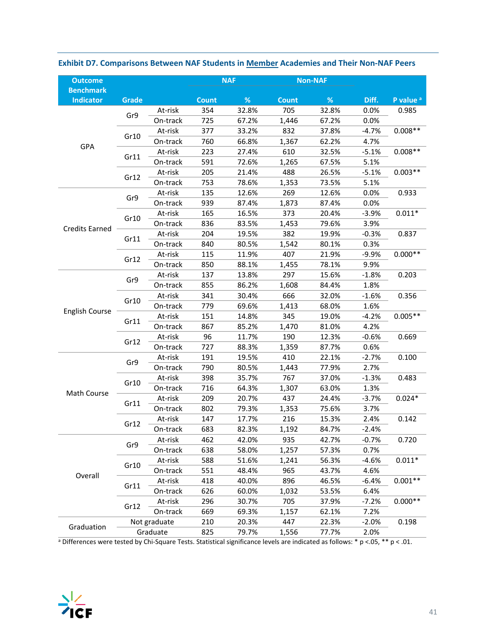| <b>Outcome</b>                       |              |              |              | <b>NAF</b> |              | <b>Non-NAF</b> |         |                      |
|--------------------------------------|--------------|--------------|--------------|------------|--------------|----------------|---------|----------------------|
| <b>Benchmark</b><br><b>Indicator</b> | <b>Grade</b> |              | <b>Count</b> | %          | <b>Count</b> | $\%$           | Diff.   | P value <sup>a</sup> |
|                                      |              | At-risk      | 354          | 32.8%      | 705          | 32.8%          | 0.0%    | 0.985                |
|                                      | Gr9          | On-track     | 725          | 67.2%      | 1,446        | 67.2%          | 0.0%    |                      |
|                                      |              | At-risk      | 377          | 33.2%      | 832          | 37.8%          | $-4.7%$ | $0.008**$            |
|                                      | Gr10         | On-track     | 760          | 66.8%      | 1,367        | 62.2%          | 4.7%    |                      |
| GPA                                  |              | At-risk      | 223          | 27.4%      | 610          | 32.5%          | $-5.1%$ | $0.008**$            |
|                                      | Gr11         | On-track     | 591          | 72.6%      | 1,265        | 67.5%          | 5.1%    |                      |
|                                      |              | At-risk      | 205          | 21.4%      | 488          | 26.5%          | $-5.1%$ | $0.003**$            |
|                                      | Gr12         | On-track     | 753          | 78.6%      | 1,353        | 73.5%          | 5.1%    |                      |
|                                      |              | At-risk      | 135          | 12.6%      | 269          | 12.6%          | 0.0%    | 0.933                |
|                                      | Gr9          | On-track     | 939          | 87.4%      | 1,873        | 87.4%          | 0.0%    |                      |
|                                      |              | At-risk      | 165          | 16.5%      | 373          | 20.4%          | $-3.9%$ | $0.011*$             |
|                                      | Gr10         | On-track     | 836          | 83.5%      | 1,453        | 79.6%          | 3.9%    |                      |
| <b>Credits Earned</b>                |              | At-risk      | 204          | 19.5%      | 382          | 19.9%          | $-0.3%$ | 0.837                |
|                                      | Gr11         | On-track     | 840          | 80.5%      | 1,542        | 80.1%          | 0.3%    |                      |
|                                      |              | At-risk      | 115          | 11.9%      | 407          | 21.9%          | $-9.9%$ | $0.000**$            |
|                                      | Gr12         | On-track     | 850          | 88.1%      | 1,455        | 78.1%          | 9.9%    |                      |
|                                      |              | At-risk      | 137          | 13.8%      | 297          | 15.6%          | $-1.8%$ | 0.203                |
|                                      | Gr9          | On-track     | 855          | 86.2%      | 1,608        | 84.4%          | 1.8%    |                      |
|                                      |              | At-risk      | 341          | 30.4%      | 666          | 32.0%          | $-1.6%$ | 0.356                |
|                                      | Gr10         | On-track     | 779          | 69.6%      | 1,413        | 68.0%          | 1.6%    |                      |
| <b>English Course</b>                |              | At-risk      | 151          | 14.8%      | 345          | 19.0%          | $-4.2%$ | $0.005**$            |
|                                      | Gr11         | On-track     | 867          | 85.2%      | 1,470        | 81.0%          | 4.2%    |                      |
|                                      |              | At-risk      | 96           | 11.7%      | 190          | 12.3%          | $-0.6%$ | 0.669                |
|                                      | Gr12         | On-track     | 727          | 88.3%      | 1,359        | 87.7%          | 0.6%    |                      |
|                                      |              | At-risk      | 191          | 19.5%      | 410          | 22.1%          | $-2.7%$ | 0.100                |
|                                      | Gr9          | On-track     | 790          | 80.5%      | 1,443        | 77.9%          | 2.7%    |                      |
|                                      |              | At-risk      | 398          | 35.7%      | 767          | 37.0%          | $-1.3%$ | 0.483                |
|                                      | Gr10         | On-track     | 716          | 64.3%      | 1,307        | 63.0%          | 1.3%    |                      |
| Math Course                          |              | At-risk      | 209          | 20.7%      | 437          | 24.4%          | $-3.7%$ | $0.024*$             |
|                                      | Gr11         | On-track     | 802          | 79.3%      | 1,353        | 75.6%          | 3.7%    |                      |
|                                      |              | At-risk      | 147          | 17.7%      | 216          | 15.3%          | 2.4%    | 0.142                |
|                                      | Gr12         | On-track     | 683          | 82.3%      | 1,192        | 84.7%          | $-2.4%$ |                      |
|                                      |              | At-risk      | 462          | 42.0%      | 935          | 42.7%          | $-0.7%$ | 0.720                |
|                                      | Gr9          | On-track     | 638          | 58.0%      | 1,257        | 57.3%          | 0.7%    |                      |
|                                      |              | At-risk      | 588          | 51.6%      | 1,241        | 56.3%          | $-4.6%$ | $0.011*$             |
| Overall                              | Gr10         | On-track     | 551          | 48.4%      | 965          | 43.7%          | 4.6%    |                      |
|                                      |              | At-risk      | 418          | 40.0%      | 896          | 46.5%          | $-6.4%$ | $0.001**$            |
|                                      | Gr11         | On-track     | 626          | 60.0%      | 1,032        | 53.5%          | 6.4%    |                      |
|                                      | Gr12         | At-risk      | 296          | 30.7%      | 705          | 37.9%          | $-7.2%$ | $0.000**$            |
|                                      |              | On-track     | 669          | 69.3%      | 1,157        | 62.1%          | 7.2%    |                      |
| Graduation                           |              | Not graduate | 210          | 20.3%      | 447          | 22.3%          | $-2.0%$ | 0.198                |
|                                      |              | Graduate     | 825          | 79.7%      | 1,556        | 77.7%          | 2.0%    |                      |

**Exhibit D7. Comparisons Between NAF Students in Member Academies and Their Non‐NAF Peers** 

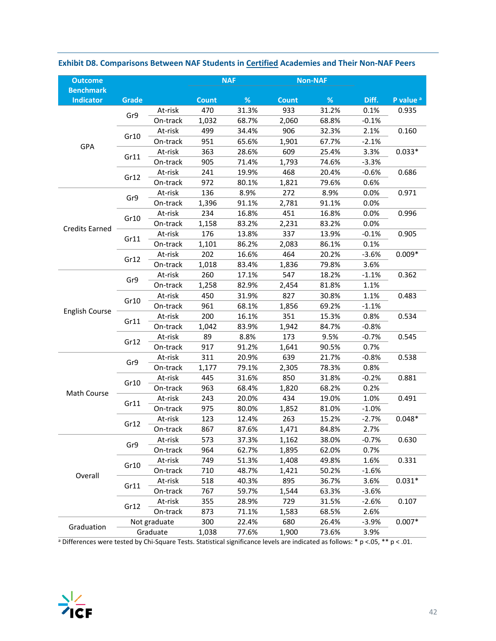| <b>Outcome</b>                       |       |              |              | <b>NAF</b> |              | <b>Non-NAF</b> |         |                      |
|--------------------------------------|-------|--------------|--------------|------------|--------------|----------------|---------|----------------------|
| <b>Benchmark</b><br><b>Indicator</b> | Grade |              | <b>Count</b> | %          | <b>Count</b> | %              | Diff.   | P value <sup>a</sup> |
|                                      |       | At-risk      | 470          | 31.3%      | 933          | 31.2%          | 0.1%    | 0.935                |
|                                      | Gr9   | On-track     | 1,032        | 68.7%      | 2,060        | 68.8%          | $-0.1%$ |                      |
|                                      |       | At-risk      | 499          | 34.4%      | 906          | 32.3%          | 2.1%    | 0.160                |
|                                      | Gr10  | On-track     | 951          | 65.6%      | 1,901        | 67.7%          | $-2.1%$ |                      |
| GPA                                  |       | At-risk      | 363          | 28.6%      | 609          | 25.4%          | 3.3%    | $0.033*$             |
|                                      | Gr11  | On-track     | 905          | 71.4%      | 1,793        | 74.6%          | $-3.3%$ |                      |
|                                      |       | At-risk      | 241          | 19.9%      | 468          | 20.4%          | $-0.6%$ | 0.686                |
|                                      | Gr12  | On-track     | 972          | 80.1%      | 1,821        | 79.6%          | 0.6%    |                      |
|                                      |       | At-risk      | 136          | 8.9%       | 272          | 8.9%           | 0.0%    | 0.971                |
|                                      | Gr9   | On-track     | 1,396        | 91.1%      | 2,781        | 91.1%          | 0.0%    |                      |
|                                      |       | At-risk      | 234          | 16.8%      | 451          | 16.8%          | 0.0%    | 0.996                |
|                                      | Gr10  | On-track     | 1,158        | 83.2%      | 2,231        | 83.2%          | 0.0%    |                      |
| <b>Credits Earned</b>                |       | At-risk      | 176          | 13.8%      | 337          | 13.9%          | $-0.1%$ | 0.905                |
|                                      | Gr11  | On-track     | 1,101        | 86.2%      | 2,083        | 86.1%          | 0.1%    |                      |
|                                      |       | At-risk      | 202          | 16.6%      | 464          | 20.2%          | $-3.6%$ | $0.009*$             |
|                                      | Gr12  | On-track     | 1,018        | 83.4%      | 1,836        | 79.8%          | 3.6%    |                      |
|                                      |       | At-risk      | 260          | 17.1%      | 547          | 18.2%          | $-1.1%$ | 0.362                |
|                                      | Gr9   | On-track     | 1,258        | 82.9%      | 2,454        | 81.8%          | 1.1%    |                      |
|                                      |       | At-risk      | 450          | 31.9%      | 827          | 30.8%          | 1.1%    | 0.483                |
|                                      | Gr10  | On-track     | 961          | 68.1%      | 1,856        | 69.2%          | $-1.1%$ |                      |
| <b>English Course</b>                |       | At-risk      | 200          | 16.1%      | 351          | 15.3%          | 0.8%    | 0.534                |
|                                      | Gr11  | On-track     | 1,042        | 83.9%      | 1,942        | 84.7%          | $-0.8%$ |                      |
|                                      | Gr12  | At-risk      | 89           | 8.8%       | 173          | 9.5%           | $-0.7%$ | 0.545                |
|                                      |       | On-track     | 917          | 91.2%      | 1,641        | 90.5%          | 0.7%    |                      |
|                                      | Gr9   | At-risk      | 311          | 20.9%      | 639          | 21.7%          | $-0.8%$ | 0.538                |
|                                      |       | On-track     | 1,177        | 79.1%      | 2,305        | 78.3%          | 0.8%    |                      |
|                                      | Gr10  | At-risk      | 445          | 31.6%      | 850          | 31.8%          | $-0.2%$ | 0.881                |
| Math Course                          |       | On-track     | 963          | 68.4%      | 1,820        | 68.2%          | 0.2%    |                      |
|                                      | Gr11  | At-risk      | 243          | 20.0%      | 434          | 19.0%          | 1.0%    | 0.491                |
|                                      |       | On-track     | 975          | 80.0%      | 1,852        | 81.0%          | $-1.0%$ |                      |
|                                      | Gr12  | At-risk      | 123          | 12.4%      | 263          | 15.2%          | $-2.7%$ | $0.048*$             |
|                                      |       | On-track     | 867          | 87.6%      | 1,471        | 84.8%          | 2.7%    |                      |
|                                      | Gr9   | At-risk      | 573          | 37.3%      | 1,162        | 38.0%          | $-0.7%$ | 0.630                |
|                                      |       | On-track     | 964          | 62.7%      | 1,895        | 62.0%          | 0.7%    |                      |
|                                      | Gr10  | At-risk      | 749          | 51.3%      | 1,408        | 49.8%          | 1.6%    | 0.331                |
| Overall                              |       | On-track     | 710          | 48.7%      | 1,421        | 50.2%          | $-1.6%$ |                      |
|                                      | Gr11  | At-risk      | 518          | 40.3%      | 895          | 36.7%          | 3.6%    | $0.031*$             |
|                                      |       | On-track     | 767          | 59.7%      | 1,544        | 63.3%          | $-3.6%$ |                      |
|                                      | Gr12  | At-risk      | 355          | 28.9%      | 729          | 31.5%          | $-2.6%$ | 0.107                |
|                                      |       | On-track     | 873          | 71.1%      | 1,583        | 68.5%          | 2.6%    |                      |
| Graduation                           |       | Not graduate | 300          | 22.4%      | 680          | 26.4%          | $-3.9%$ | $0.007*$             |
|                                      |       | Graduate     | 1,038        | 77.6%      | 1,900        | 73.6%          | 3.9%    |                      |

### **Exhibit D8. Comparisons Between NAF Students in Certified Academies and Their Non‐NAF Peers**

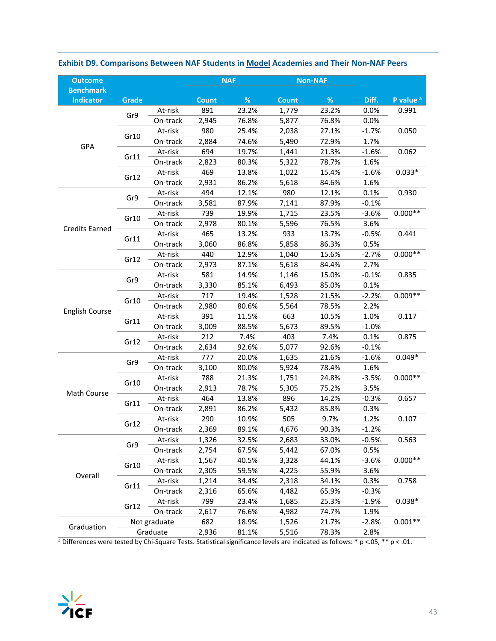| <b>Outcome</b>                       |       |              |              | <b>NAF</b> |              | <b>Non-NAF</b> |         |                      |
|--------------------------------------|-------|--------------|--------------|------------|--------------|----------------|---------|----------------------|
| <b>Benchmark</b><br><b>Indicator</b> | Grade |              | <b>Count</b> | %          | <b>Count</b> | %              | Diff.   | P value <sup>a</sup> |
|                                      |       | At-risk      | 891          | 23.2%      | 1,779        | 23.2%          | 0.0%    | 0.991                |
|                                      | Gr9   | On-track     | 2,945        | 76.8%      | 5,877        | 76.8%          | 0.0%    |                      |
|                                      |       | At-risk      | 980          | 25.4%      | 2,038        | 27.1%          | $-1.7%$ | 0.050                |
|                                      | Gr10  | On-track     | 2,884        | 74.6%      | 5,490        | 72.9%          | 1.7%    |                      |
| GPA                                  |       | At-risk      | 694          | 19.7%      | 1,441        | 21.3%          | $-1.6%$ | 0.062                |
|                                      | Gr11  | On-track     | 2,823        | 80.3%      | 5,322        | 78.7%          | 1.6%    |                      |
|                                      |       | At-risk      | 469          | 13.8%      | 1,022        | 15.4%          | $-1.6%$ | $0.033*$             |
|                                      | Gr12  | On-track     | 2,931        | 86.2%      | 5,618        | 84.6%          | 1.6%    |                      |
|                                      |       | At-risk      | 494          | 12.1%      | 980          | 12.1%          | 0.1%    | 0.930                |
|                                      | Gr9   | On-track     | 3,581        | 87.9%      | 7,141        | 87.9%          | $-0.1%$ |                      |
|                                      |       | At-risk      | 739          | 19.9%      | 1,715        | 23.5%          | $-3.6%$ | $0.000**$            |
|                                      | Gr10  | On-track     | 2,978        | 80.1%      | 5,596        | 76.5%          | 3.6%    |                      |
| <b>Credits Earned</b>                |       | At-risk      | 465          | 13.2%      | 933          | 13.7%          | $-0.5%$ | 0.441                |
|                                      | Gr11  | On-track     | 3,060        | 86.8%      | 5,858        | 86.3%          | 0.5%    |                      |
|                                      |       | At-risk      | 440          | 12.9%      | 1,040        | 15.6%          | $-2.7%$ | $0.000**$            |
|                                      | Gr12  | On-track     | 2,973        | 87.1%      | 5,618        | 84.4%          | 2.7%    |                      |
|                                      |       | At-risk      | 581          | 14.9%      | 1,146        | 15.0%          | $-0.1%$ | 0.835                |
|                                      | Gr9   | On-track     | 3,330        | 85.1%      | 6,493        | 85.0%          | 0.1%    |                      |
|                                      |       | At-risk      | 717          | 19.4%      | 1,528        | 21.5%          | $-2.2%$ | $0.009**$            |
|                                      | Gr10  | On-track     | 2,980        | 80.6%      | 5,564        | 78.5%          | 2.2%    |                      |
| <b>English Course</b>                |       | At-risk      | 391          | 11.5%      | 663          | 10.5%          | 1.0%    | 0.117                |
|                                      | Gr11  | On-track     | 3,009        | 88.5%      | 5,673        | 89.5%          | $-1.0%$ |                      |
|                                      | Gr12  | At-risk      | 212          | 7.4%       | 403          | 7.4%           | 0.1%    | 0.875                |
|                                      |       | On-track     | 2,634        | 92.6%      | 5,077        | 92.6%          | $-0.1%$ |                      |
|                                      | Gr9   | At-risk      | 777          | 20.0%      | 1,635        | 21.6%          | $-1.6%$ | $0.049*$             |
|                                      |       | On-track     | 3,100        | 80.0%      | 5,924        | 78.4%          | 1.6%    |                      |
|                                      |       | At-risk      | 788          | 21.3%      | 1,751        | 24.8%          | $-3.5%$ | $0.000**$            |
| Math Course                          | Gr10  | On-track     | 2,913        | 78.7%      | 5,305        | 75.2%          | 3.5%    |                      |
|                                      | Gr11  | At-risk      | 464          | 13.8%      | 896          | 14.2%          | $-0.3%$ | 0.657                |
|                                      |       | On-track     | 2,891        | 86.2%      | 5,432        | 85.8%          | 0.3%    |                      |
|                                      | Gr12  | At-risk      | 290          | 10.9%      | 505          | 9.7%           | 1.2%    | 0.107                |
|                                      |       | On-track     | 2,369        | 89.1%      | 4,676        | 90.3%          | $-1.2%$ |                      |
|                                      | Gr9   | At-risk      | 1,326        | 32.5%      | 2,683        | 33.0%          | $-0.5%$ | 0.563                |
|                                      |       | On-track     | 2,754        | 67.5%      | 5,442        | 67.0%          | 0.5%    |                      |
|                                      | Gr10  | At-risk      | 1,567        | 40.5%      | 3,328        | 44.1%          | $-3.6%$ | $0.000**$            |
| Overall                              |       | On-track     | 2,305        | 59.5%      | 4,225        | 55.9%          | 3.6%    |                      |
|                                      | Gr11  | At-risk      | 1,214        | 34.4%      | 2,318        | 34.1%          | 0.3%    | 0.758                |
|                                      |       | On-track     | 2,316        | 65.6%      | 4,482        | 65.9%          | $-0.3%$ |                      |
|                                      | Gr12  | At-risk      | 799          | 23.4%      | 1,685        | 25.3%          | $-1.9%$ | $0.038*$             |
|                                      |       | On-track     | 2,617        | 76.6%      | 4,982        | 74.7%          | 1.9%    |                      |
| Graduation                           |       | Not graduate | 682          | 18.9%      | 1,526        | 21.7%          | $-2.8%$ | $0.001**$            |
|                                      |       | Graduate     | 2,936        | 81.1%      | 5,516        | 78.3%          | 2.8%    |                      |

### **Exhibit D9. Comparisons Between NAF Students in Model Academies and Their Non‐NAF Peers**

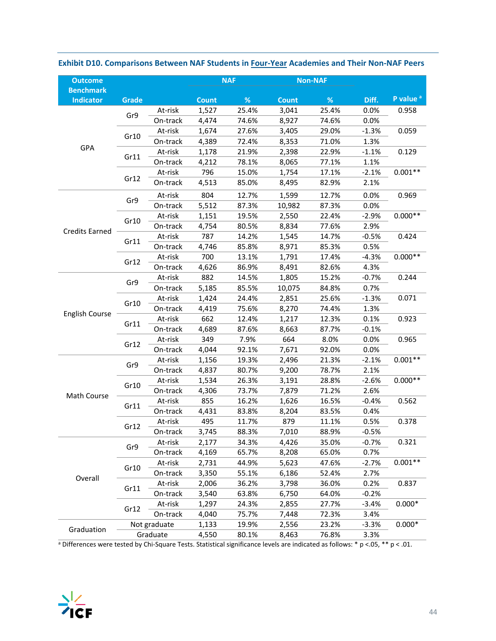| <b>Outcome</b>        |          |              |              | <b>NAF</b>     |              | <b>Non-NAF</b> |         |                      |
|-----------------------|----------|--------------|--------------|----------------|--------------|----------------|---------|----------------------|
| <b>Benchmark</b>      |          |              |              | %              |              | %              | Diff.   | P value <sup>a</sup> |
| <b>Indicator</b>      | Grade    |              | <b>Count</b> |                | <b>Count</b> |                |         |                      |
|                       | Gr9      | At-risk      | 1,527        | 25.4%<br>74.6% | 3,041        | 25.4%          | 0.0%    | 0.958                |
|                       |          | On-track     | 4,474        |                | 8,927        | 74.6%          | 0.0%    | 0.059                |
|                       | Gr10     | At-risk      | 1,674        | 27.6%          | 3,405        | 29.0%          | $-1.3%$ |                      |
| GPA                   |          | On-track     | 4,389        | 72.4%          | 8,353        | 71.0%          | 1.3%    | 0.129                |
|                       | Gr11     | At-risk      | 1,178        | 21.9%          | 2,398        | 22.9%          | $-1.1%$ |                      |
|                       |          | On-track     | 4,212        | 78.1%          | 8,065        | 77.1%          | 1.1%    |                      |
|                       | Gr12     | At-risk      | 796          | 15.0%          | 1,754        | 17.1%          | $-2.1%$ | $0.001**$            |
|                       |          | On-track     | 4,513        | 85.0%          | 8,495        | 82.9%          | 2.1%    |                      |
|                       | Gr9      | At-risk      | 804          | 12.7%          | 1,599        | 12.7%          | 0.0%    | 0.969                |
|                       |          | On-track     | 5,512        | 87.3%          | 10,982       | 87.3%          | 0.0%    |                      |
|                       | Gr10     | At-risk      | 1,151        | 19.5%          | 2,550        | 22.4%          | $-2.9%$ | $0.000**$            |
| <b>Credits Earned</b> |          | On-track     | 4,754        | 80.5%          | 8,834        | 77.6%          | 2.9%    |                      |
|                       | Gr11     | At-risk      | 787          | 14.2%          | 1,545        | 14.7%          | $-0.5%$ | 0.424                |
|                       |          | On-track     | 4,746        | 85.8%          | 8,971        | 85.3%          | 0.5%    |                      |
|                       | Gr12     | At-risk      | 700          | 13.1%          | 1,791        | 17.4%          | $-4.3%$ | $0.000**$            |
|                       |          | On-track     | 4,626        | 86.9%          | 8,491        | 82.6%          | 4.3%    |                      |
|                       | Gr9      | At-risk      | 882          | 14.5%          | 1,805        | 15.2%          | $-0.7%$ | 0.244                |
|                       | On-track | 5,185        | 85.5%        | 10,075         | 84.8%        | 0.7%           |         |                      |
|                       | Gr10     | At-risk      | 1,424        | 24.4%          | 2,851        | 25.6%          | $-1.3%$ | 0.071                |
| <b>English Course</b> |          | On-track     | 4,419        | 75.6%          | 8,270        | 74.4%          | 1.3%    |                      |
|                       |          | At-risk      | 662          | 12.4%          | 1,217        | 12.3%          | 0.1%    | 0.923                |
|                       | Gr11     | On-track     | 4,689        | 87.6%          | 8,663        | 87.7%          | $-0.1%$ |                      |
|                       |          | At-risk      | 349          | 7.9%           | 664          | 8.0%           | 0.0%    | 0.965                |
|                       | Gr12     | On-track     | 4,044        | 92.1%          | 7,671        | 92.0%          | 0.0%    |                      |
|                       |          | At-risk      | 1,156        | 19.3%          | 2,496        | 21.3%          | $-2.1%$ | $0.001**$            |
|                       | Gr9      | On-track     | 4,837        | 80.7%          | 9,200        | 78.7%          | 2.1%    |                      |
|                       |          | At-risk      | 1,534        | 26.3%          | 3,191        | 28.8%          | $-2.6%$ | $0.000**$            |
|                       | Gr10     | On-track     | 4,306        | 73.7%          | 7,879        | 71.2%          | 2.6%    |                      |
| Math Course           |          | At-risk      | 855          | 16.2%          | 1,626        | 16.5%          | $-0.4%$ | 0.562                |
|                       | Gr11     | On-track     | 4,431        | 83.8%          | 8,204        | 83.5%          | 0.4%    |                      |
|                       |          | At-risk      | 495          | 11.7%          | 879          | 11.1%          | 0.5%    | 0.378                |
|                       | Gr12     | On-track     | 3,745        | 88.3%          | 7,010        | 88.9%          | $-0.5%$ |                      |
|                       |          | At-risk      | 2,177        | 34.3%          | 4,426        | 35.0%          | $-0.7%$ | 0.321                |
|                       | Gr9      | On-track     | 4,169        | 65.7%          | 8,208        | 65.0%          | 0.7%    |                      |
|                       |          | At-risk      | 2,731        | 44.9%          | 5,623        | 47.6%          | $-2.7%$ | $0.001**$            |
|                       | Gr10     | On-track     | 3,350        | 55.1%          | 6,186        | 52.4%          | 2.7%    |                      |
| Overall               |          | At-risk      | 2,006        | 36.2%          | 3,798        | 36.0%          | 0.2%    | 0.837                |
|                       | Gr11     | On-track     | 3,540        | 63.8%          | 6,750        | 64.0%          | $-0.2%$ |                      |
|                       |          | At-risk      | 1,297        | 24.3%          | 2,855        | 27.7%          | $-3.4%$ | $0.000*$             |
|                       | Gr12     | On-track     | 4,040        | 75.7%          | 7,448        | 72.3%          | 3.4%    |                      |
|                       |          | Not graduate | 1,133        | 19.9%          | 2,556        | 23.2%          | $-3.3%$ | $0.000*$             |
| Graduation            |          | Graduate     | 4,550        | 80.1%          | 8,463        | 76.8%          | 3.3%    |                      |

### **Exhibit D10. Comparisons Between NAF Students in Four‐Year Academies and Their Non‐NAF Peers**

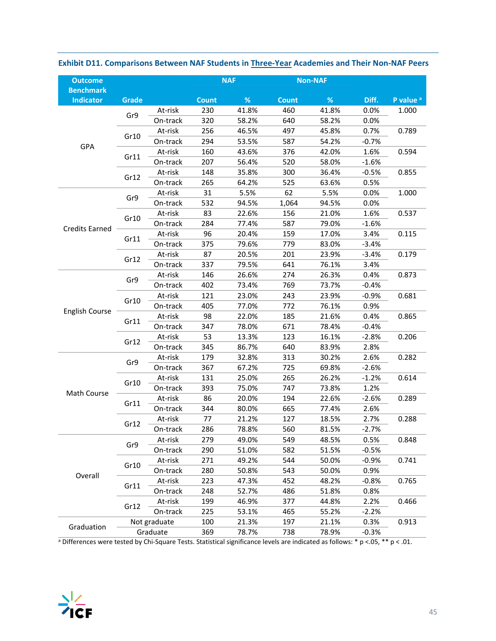| <b>Outcome</b>                       |              |              |              | <b>NAF</b> |              | <b>Non-NAF</b> |         |                      |
|--------------------------------------|--------------|--------------|--------------|------------|--------------|----------------|---------|----------------------|
| <b>Benchmark</b><br><b>Indicator</b> | <b>Grade</b> |              | <b>Count</b> | %          | <b>Count</b> | $\%$           | Diff.   | P value <sup>a</sup> |
|                                      |              | At-risk      | 230          | 41.8%      | 460          | 41.8%          | 0.0%    | 1.000                |
|                                      | Gr9          | On-track     | 320          | 58.2%      | 640          | 58.2%          | 0.0%    |                      |
|                                      |              | At-risk      | 256          | 46.5%      | 497          | 45.8%          | 0.7%    | 0.789                |
|                                      | Gr10         | On-track     | 294          | 53.5%      | 587          | 54.2%          | $-0.7%$ |                      |
| GPA                                  |              | At-risk      | 160          | 43.6%      | 376          | 42.0%          | 1.6%    | 0.594                |
|                                      | Gr11         | On-track     | 207          | 56.4%      | 520          | 58.0%          | $-1.6%$ |                      |
|                                      |              | At-risk      | 148          | 35.8%      | 300          | 36.4%          | $-0.5%$ | 0.855                |
|                                      | Gr12         | On-track     | 265          | 64.2%      | 525          | 63.6%          | 0.5%    |                      |
|                                      |              | At-risk      | 31           | 5.5%       | 62           | 5.5%           | 0.0%    | 1.000                |
|                                      | Gr9          | On-track     | 532          | 94.5%      | 1,064        | 94.5%          | 0.0%    |                      |
|                                      |              | At-risk      | 83           | 22.6%      | 156          | 21.0%          | 1.6%    | 0.537                |
|                                      | Gr10         | On-track     | 284          | 77.4%      | 587          | 79.0%          | $-1.6%$ |                      |
| <b>Credits Earned</b>                |              | At-risk      | 96           | 20.4%      | 159          | 17.0%          | 3.4%    | 0.115                |
|                                      | Gr11         | On-track     | 375          | 79.6%      | 779          | 83.0%          | $-3.4%$ |                      |
|                                      |              | At-risk      | 87           | 20.5%      | 201          | 23.9%          | $-3.4%$ | 0.179                |
|                                      | Gr12         | On-track     | 337          | 79.5%      | 641          | 76.1%          | 3.4%    |                      |
|                                      |              | At-risk      | 146          | 26.6%      | 274          | 26.3%          | 0.4%    | 0.873                |
|                                      | Gr9          | On-track     | 402          | 73.4%      | 769          | 73.7%          | $-0.4%$ |                      |
|                                      |              | At-risk      | 121          | 23.0%      | 243          | 23.9%          | $-0.9%$ | 0.681                |
|                                      | Gr10         | On-track     | 405          | 77.0%      | 772          | 76.1%          | 0.9%    |                      |
| English Course                       |              | At-risk      | 98           | 22.0%      | 185          | 21.6%          | 0.4%    | 0.865                |
|                                      | Gr11         | On-track     | 347          | 78.0%      | 671          | 78.4%          | $-0.4%$ |                      |
|                                      |              | At-risk      | 53           | 13.3%      | 123          | 16.1%          | $-2.8%$ | 0.206                |
|                                      | Gr12         | On-track     | 345          | 86.7%      | 640          | 83.9%          | 2.8%    |                      |
|                                      |              | At-risk      | 179          | 32.8%      | 313          | 30.2%          | 2.6%    | 0.282                |
|                                      | Gr9          | On-track     | 367          | 67.2%      | 725          | 69.8%          | $-2.6%$ |                      |
|                                      |              | At-risk      | 131          | 25.0%      | 265          | 26.2%          | $-1.2%$ | 0.614                |
|                                      | Gr10         | On-track     | 393          | 75.0%      | 747          | 73.8%          | 1.2%    |                      |
| Math Course                          |              | At-risk      | 86           | 20.0%      | 194          | 22.6%          | $-2.6%$ | 0.289                |
|                                      | Gr11         | On-track     | 344          | 80.0%      | 665          | 77.4%          | 2.6%    |                      |
|                                      |              | At-risk      | 77           | 21.2%      | 127          | 18.5%          | 2.7%    | 0.288                |
|                                      | Gr12         | On-track     | 286          | 78.8%      | 560          | 81.5%          | $-2.7%$ |                      |
|                                      |              | At-risk      | 279          | 49.0%      | 549          | 48.5%          | 0.5%    | 0.848                |
|                                      | Gr9          | On-track     | 290          | 51.0%      | 582          | 51.5%          | $-0.5%$ |                      |
|                                      |              | At-risk      | 271          | 49.2%      | 544          | 50.0%          | $-0.9%$ | 0.741                |
|                                      | Gr10         | On-track     | 280          | 50.8%      | 543          | 50.0%          | 0.9%    |                      |
| Overall                              |              | At-risk      | 223          | 47.3%      | 452          | 48.2%          | $-0.8%$ | 0.765                |
|                                      | Gr11         | On-track     | 248          | 52.7%      | 486          | 51.8%          | 0.8%    |                      |
|                                      |              | At-risk      | 199          | 46.9%      | 377          | 44.8%          | 2.2%    | 0.466                |
|                                      | Gr12         | On-track     | 225          | 53.1%      | 465          | 55.2%          | $-2.2%$ |                      |
|                                      |              | Not graduate | 100          | 21.3%      | 197          | 21.1%          | 0.3%    | 0.913                |
| Graduation                           |              | Graduate     | 369          | 78.7%      | 738          | 78.9%          | $-0.3%$ |                      |

### **Exhibit D11. Comparisons Between NAF Students in Three‐Year Academies and Their Non‐NAF Peers**

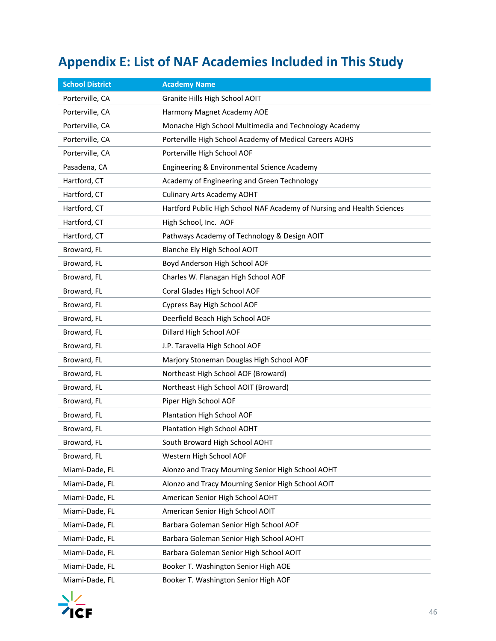# **Appendix E: List of NAF Academies Included in This Study**

| <b>School District</b> | <b>Academy Name</b>                                                    |
|------------------------|------------------------------------------------------------------------|
| Porterville, CA        | Granite Hills High School AOIT                                         |
| Porterville, CA        | Harmony Magnet Academy AOE                                             |
| Porterville, CA        | Monache High School Multimedia and Technology Academy                  |
| Porterville, CA        | Porterville High School Academy of Medical Careers AOHS                |
| Porterville, CA        | Porterville High School AOF                                            |
| Pasadena, CA           | Engineering & Environmental Science Academy                            |
| Hartford, CT           | Academy of Engineering and Green Technology                            |
| Hartford, CT           | <b>Culinary Arts Academy AOHT</b>                                      |
| Hartford, CT           | Hartford Public High School NAF Academy of Nursing and Health Sciences |
| Hartford, CT           | High School, Inc. AOF                                                  |
| Hartford, CT           | Pathways Academy of Technology & Design AOIT                           |
| Broward, FL            | Blanche Ely High School AOIT                                           |
| Broward, FL            | Boyd Anderson High School AOF                                          |
| Broward, FL            | Charles W. Flanagan High School AOF                                    |
| Broward, FL            | Coral Glades High School AOF                                           |
| Broward, FL            | Cypress Bay High School AOF                                            |
| Broward, FL            | Deerfield Beach High School AOF                                        |
| Broward, FL            | Dillard High School AOF                                                |
| Broward, FL            | J.P. Taravella High School AOF                                         |
| Broward, FL            | Marjory Stoneman Douglas High School AOF                               |
| Broward, FL            | Northeast High School AOF (Broward)                                    |
| Broward, FL            | Northeast High School AOIT (Broward)                                   |
| Broward, FL            | Piper High School AOF                                                  |
| Broward, FL            | Plantation High School AOF                                             |
| Broward, FL            | Plantation High School AOHT                                            |
| Broward, FL            | South Broward High School AOHT                                         |
| Broward, FL            | Western High School AOF                                                |
| Miami-Dade, FL         | Alonzo and Tracy Mourning Senior High School AOHT                      |
| Miami-Dade, FL         | Alonzo and Tracy Mourning Senior High School AOIT                      |
| Miami-Dade, FL         | American Senior High School AOHT                                       |
| Miami-Dade, FL         | American Senior High School AOIT                                       |
| Miami-Dade, FL         | Barbara Goleman Senior High School AOF                                 |
| Miami-Dade, FL         | Barbara Goleman Senior High School AOHT                                |
| Miami-Dade, FL         | Barbara Goleman Senior High School AOIT                                |
| Miami-Dade, FL         | Booker T. Washington Senior High AOE                                   |
| Miami-Dade, FL         | Booker T. Washington Senior High AOF                                   |

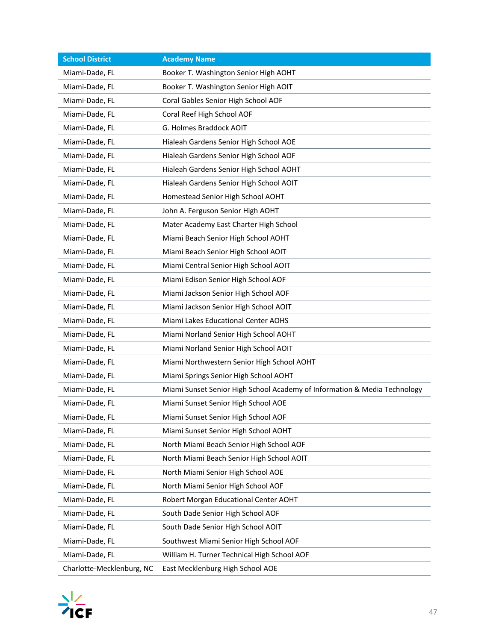| <b>School District</b>    | <b>Academy Name</b>                                                       |
|---------------------------|---------------------------------------------------------------------------|
| Miami-Dade, FL            | Booker T. Washington Senior High AOHT                                     |
| Miami-Dade, FL            | Booker T. Washington Senior High AOIT                                     |
| Miami-Dade, FL            | Coral Gables Senior High School AOF                                       |
| Miami-Dade, FL            | Coral Reef High School AOF                                                |
| Miami-Dade, FL            | G. Holmes Braddock AOIT                                                   |
| Miami-Dade, FL            | Hialeah Gardens Senior High School AOE                                    |
| Miami-Dade, FL            | Hialeah Gardens Senior High School AOF                                    |
| Miami-Dade, FL            | Hialeah Gardens Senior High School AOHT                                   |
| Miami-Dade, FL            | Hialeah Gardens Senior High School AOIT                                   |
| Miami-Dade, FL            | Homestead Senior High School AOHT                                         |
| Miami-Dade, FL            | John A. Ferguson Senior High AOHT                                         |
| Miami-Dade, FL            | Mater Academy East Charter High School                                    |
| Miami-Dade, FL            | Miami Beach Senior High School AOHT                                       |
| Miami-Dade, FL            | Miami Beach Senior High School AOIT                                       |
| Miami-Dade, FL            | Miami Central Senior High School AOIT                                     |
| Miami-Dade, FL            | Miami Edison Senior High School AOF                                       |
| Miami-Dade, FL            | Miami Jackson Senior High School AOF                                      |
| Miami-Dade, FL            | Miami Jackson Senior High School AOIT                                     |
| Miami-Dade, FL            | Miami Lakes Educational Center AOHS                                       |
| Miami-Dade, FL            | Miami Norland Senior High School AOHT                                     |
| Miami-Dade, FL            | Miami Norland Senior High School AOIT                                     |
| Miami-Dade, FL            | Miami Northwestern Senior High School AOHT                                |
| Miami-Dade, FL            | Miami Springs Senior High School AOHT                                     |
| Miami-Dade, FL            | Miami Sunset Senior High School Academy of Information & Media Technology |
| Miami-Dade, FL            | Miami Sunset Senior High School AOE                                       |
| Miami-Dade, FL            | Miami Sunset Senior High School AOF                                       |
| Miami-Dade, FL            | Miami Sunset Senior High School AOHT                                      |
| Miami-Dade, FL            | North Miami Beach Senior High School AOF                                  |
| Miami-Dade, FL            | North Miami Beach Senior High School AOIT                                 |
| Miami-Dade, FL            | North Miami Senior High School AOE                                        |
| Miami-Dade, FL            | North Miami Senior High School AOF                                        |
| Miami-Dade, FL            | Robert Morgan Educational Center AOHT                                     |
| Miami-Dade, FL            | South Dade Senior High School AOF                                         |
| Miami-Dade, FL            | South Dade Senior High School AOIT                                        |
| Miami-Dade, FL            | Southwest Miami Senior High School AOF                                    |
| Miami-Dade, FL            | William H. Turner Technical High School AOF                               |
| Charlotte-Mecklenburg, NC | East Mecklenburg High School AOE                                          |

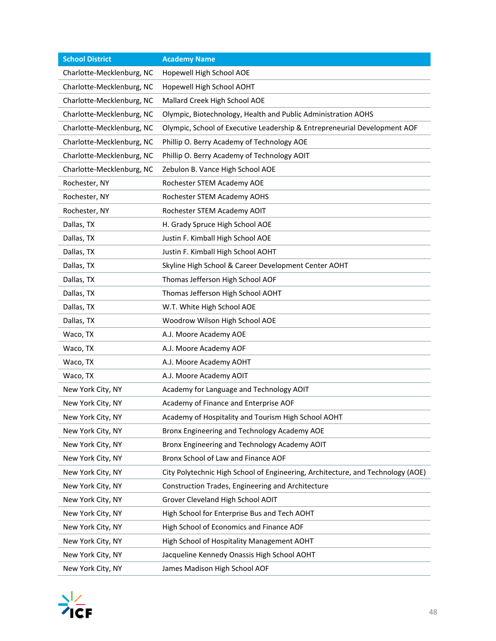| <b>School District</b>    | <b>Academy Name</b>                                                             |
|---------------------------|---------------------------------------------------------------------------------|
| Charlotte-Mecklenburg, NC | Hopewell High School AOE                                                        |
| Charlotte-Mecklenburg, NC | Hopewell High School AOHT                                                       |
| Charlotte-Mecklenburg, NC | Mallard Creek High School AOE                                                   |
| Charlotte-Mecklenburg, NC | Olympic, Biotechnology, Health and Public Administration AOHS                   |
| Charlotte-Mecklenburg, NC | Olympic, School of Executive Leadership & Entrepreneurial Development AOF       |
| Charlotte-Mecklenburg, NC | Phillip O. Berry Academy of Technology AOE                                      |
| Charlotte-Mecklenburg, NC | Phillip O. Berry Academy of Technology AOIT                                     |
| Charlotte-Mecklenburg, NC | Zebulon B. Vance High School AOE                                                |
| Rochester, NY             | Rochester STEM Academy AOE                                                      |
| Rochester, NY             | Rochester STEM Academy AOHS                                                     |
| Rochester, NY             | Rochester STEM Academy AOIT                                                     |
| Dallas, TX                | H. Grady Spruce High School AOE                                                 |
| Dallas, TX                | Justin F. Kimball High School AOE                                               |
| Dallas, TX                | Justin F. Kimball High School AOHT                                              |
| Dallas, TX                | Skyline High School & Career Development Center AOHT                            |
| Dallas, TX                | Thomas Jefferson High School AOF                                                |
| Dallas, TX                | Thomas Jefferson High School AOHT                                               |
| Dallas, TX                | W.T. White High School AOE                                                      |
| Dallas, TX                | Woodrow Wilson High School AOE                                                  |
| Waco, TX                  | A.J. Moore Academy AOE                                                          |
| Waco, TX                  | A.J. Moore Academy AOF                                                          |
| Waco, TX                  | A.J. Moore Academy AOHT                                                         |
| Waco, TX                  | A.J. Moore Academy AOIT                                                         |
| New York City, NY         | Academy for Language and Technology AOIT                                        |
| New York City, NY         | Academy of Finance and Enterprise AOF                                           |
| New York City, NY         | Academy of Hospitality and Tourism High School AOHT                             |
| New York City, NY         | Bronx Engineering and Technology Academy AOE                                    |
| New York City, NY         | Bronx Engineering and Technology Academy AOIT                                   |
| New York City, NY         | Bronx School of Law and Finance AOF                                             |
| New York City, NY         | City Polytechnic High School of Engineering, Architecture, and Technology (AOE) |
| New York City, NY         | Construction Trades, Engineering and Architecture                               |
| New York City, NY         | Grover Cleveland High School AOIT                                               |
| New York City, NY         | High School for Enterprise Bus and Tech AOHT                                    |
| New York City, NY         | High School of Economics and Finance AOF                                        |
| New York City, NY         | High School of Hospitality Management AOHT                                      |
| New York City, NY         | Jacqueline Kennedy Onassis High School AOHT                                     |
| New York City, NY         | James Madison High School AOF                                                   |